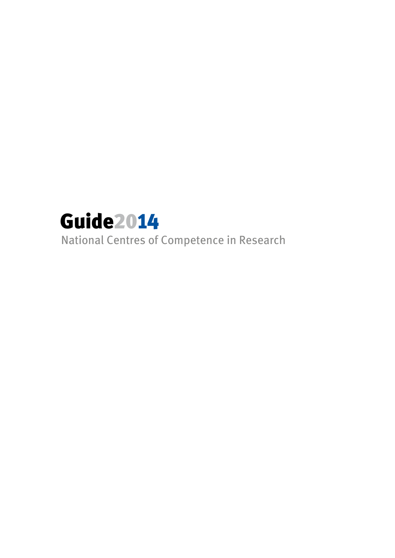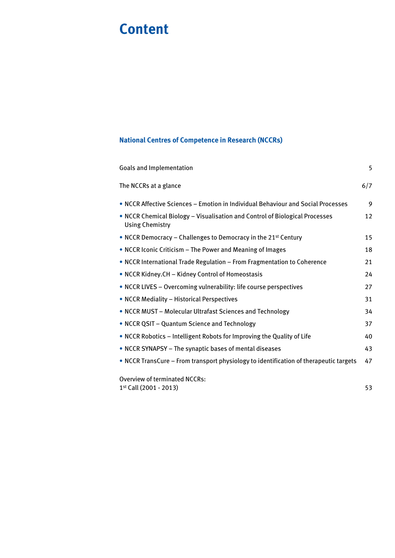# **Content**

## **National Centres of Competence in Research (NCCRs)**

| Goals and Implementation                                                                       | 5   |
|------------------------------------------------------------------------------------------------|-----|
| The NCCRs at a glance                                                                          | 6/7 |
| . NCCR Affective Sciences - Emotion in Individual Behaviour and Social Processes               | 9   |
| • NCCR Chemical Biology - Visualisation and Control of Biological Processes<br>Using Chemistry | 12  |
| • NCCR Democracy – Challenges to Democracy in the 21 <sup>st</sup> Century                     | 15  |
| • NCCR Iconic Criticism – The Power and Meaning of Images                                      | 18  |
| • NCCR International Trade Regulation - From Fragmentation to Coherence                        | 21  |
| • NCCR Kidney.CH - Kidney Control of Homeostasis                                               | 24  |
| • NCCR LIVES - Overcoming vulnerability: life course perspectives                              | 27  |
| • NCCR Mediality - Historical Perspectives                                                     | 31  |
| • NCCR MUST - Molecular Ultrafast Sciences and Technology                                      | 34  |
| • NCCR QSIT - Quantum Science and Technology                                                   | 37  |
| • NCCR Robotics – Intelligent Robots for Improving the Quality of Life                         | 40  |
| • NCCR SYNAPSY - The synaptic bases of mental diseases                                         | 43  |
| • NCCR TransCure – From transport physiology to identification of therapeutic targets          | 47  |
| <b>Overview of terminated NCCRs:</b>                                                           |     |
| 1st Call (2001 - 2013)                                                                         | 53  |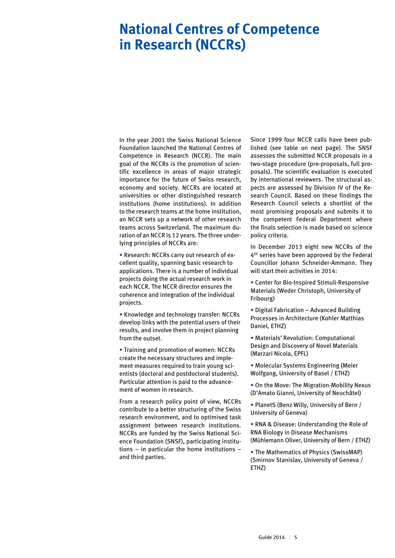## **National Centres of Competence in Research (NCCRs)**

In the year 2001 the Swiss National Science Foundation launched the National Centres of Competence in Research (NCCR). The main goal of the NCCRs is the promotion of scientific excellence in areas of major strategic importance for the future of Swiss research, economy and society. NCCRs are located at universities or other distinguished research institutions (home institutions). In addition to the research teams at the home institution, an NCCR sets up a network of other research teams across Switzerland. The maximum duration of an NCCR is 12 years. The three underlying principles of NCCRs are:

• Research: NCCRs carry out research of excellent quality, spanning basic research to applications. There is a number of individual projects doing the actual research work in each NCCR. The NCCR director ensures the coherence and integration of the individual projects.

• Knowledge and technology transfer: NCCRs develop links with the potential users of their results, and involve them in project planning from the outset.

• Training and promotion of women: NCCRs create the necessary structures and implement measures required to train young scientists (doctoral and postdoctoral students). Particular attention is paid to the advancement of women in research.

From a research policy point of view, NCCRs contribute to a better structuring of the Swiss research environment, and to optimised task assignment between research institutions. NCCRs are funded by the Swiss National Science Foundation (SNSF), participating institutions – in particular the home institutions – and third parties.

Since 1999 four NCCR calls have been published (see table on next page). The SNSF assesses the submitted NCCR proposals in a two-stage procedure (pre-proposals, full proposals). The scientific evaluation is executed by international reviewers. The structural aspects are assessed by Division IV of the Research Council. Based on these findings the Research Council selects a shortlist of the most promising proposals and submits it to the competent Federal Department where the finals selection is made based on science policy criteria.

In December 2013 eight new NCCRs of the 4th series have been approved by the Federal Councillor Johann Schneider-Ammann. They will start their activities in 2014:

• Center for Bio-Inspired Stimuli-Responsive Materials (Weder Christoph, University of Fribourg)

• Digital Fabrication – Advanced Building Processes in Architecture (Kohler Matthias Daniel, ETHZ)

• Materials' Revolution: Computational Design and Discovery of Novel Materials (Marzari Nicola, EPFL)

• Molecular Systems Engineering (Meier Wolfgang, University of Basel / ETHZ)

• On the Move: The Migration-Mobility Nexus (D'Amato Gianni, University of Neuchâtel)

• PlanetS (Benz Willy, University of Bern / University of Geneva)

• RNA & Disease: Understanding the Role of RNA Biology in Disease Mechanisms (Mühlemann Oliver, University of Bern / ETHZ)

• The Mathematics of Physics (SwissMAP) (Smirnov Stanislav, University of Geneva / ETHZ)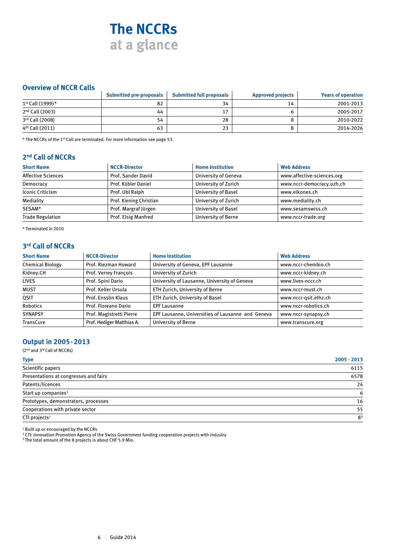## **The NCCRs at a glance**

#### **Overview of NCCR Calls**

|                             | <b>Submitted pre-proposals</b> | <b>Submitted full proposals</b> | <b>Approved projects</b> | <b>Years of operation</b> |
|-----------------------------|--------------------------------|---------------------------------|--------------------------|---------------------------|
| 1st Call (1999)*            | 82                             | 34                              | 14                       | 2001-2013                 |
| 2 <sup>nd</sup> Call (2003) | 44                             | 17                              |                          | 2005-2017                 |
| 3rd Call (2008)             | 54                             | 28                              |                          | 2010-2022                 |
| 4 <sup>th</sup> Call (2011) | 63                             | 23                              |                          | 2014-2026                 |

\* The NCCRs of the 1<sup>st</sup> Call are terminated. For more information see page 53.

### **2nd Call of NCCRs**

| <b>Short Name</b>         | <b>NCCR-Director</b>    | <b>Home Institution</b>     | <b>Web Address</b>         |
|---------------------------|-------------------------|-----------------------------|----------------------------|
| <b>Affective Sciences</b> | Prof. Sander David      | <b>University of Geneva</b> | www.affective-sciences.org |
| Democracy                 | Prof. Kübler Daniel     | University of Zurich        | www.nccr-democracy.uzh.ch  |
| <b>Iconic Criticism</b>   | Prof. Ubl Ralph         | <b>University of Basel</b>  | www.eikones.ch             |
| Mediality                 | Prof. Kiening Christian | University of Zurich        | www.mediality.ch           |
| SESAM*                    | Prof. Margraf Jürgen    | <b>University of Basel</b>  | www.sesamswiss.ch          |
| <b>Trade Regulation</b>   | Prof. Elsig Manfred     | University of Berne         | www.nccr-trade.org         |

\* Terminated in 2010

#### **3rd Call of NCCRs**

| <b>Short Name</b>       | <b>NCCR-Director</b>      | <b>Home Institution</b>                           | <b>Web Address</b>    |
|-------------------------|---------------------------|---------------------------------------------------|-----------------------|
| <b>Chemical Biology</b> | Prof. Riezman Howard      | University of Geneva, EPF Lausanne                | www.nccr-chembio.ch   |
| Kidney.CH               | Prof. Verrey François     | University of Zurich                              | www.nccr-kidney.ch    |
| <b>LIVES</b>            | Prof. Spini Dario         | University of Lausanne, University of Geneva      | www.lives-nccr.ch     |
| <b>MUST</b>             | Prof. Keller Ursula       | ETH Zurich, University of Berne                   | www.nccr-must.ch      |
| QSIT                    | Prof. Ensslin Klaus       | ETH Zurich, University of Basel                   | www.nccr-gsit.ethz.ch |
| Robotics                | Prof. Floreano Dario      | <b>EPF Lausanne</b>                               | www.nccr-robotics.ch  |
| <b>SYNAPSY</b>          | Prof. Magistretti Pierre  | EPF Lausanne, Universities of Lausanne and Geneva | www.nccr-synapsy.ch   |
| TransCure               | Prof. Hediger Matthias A. | <b>University of Berne</b>                        | www.transcure.org     |

#### **Output in 2005-2013**

(2nd and 3rd Call of NCCRs)

| <b>Type</b>                           | $2005 - 2013$  |
|---------------------------------------|----------------|
| Scientific papers                     | 6115           |
| Presentations at congresses and fairs | 6578           |
| Patents/licences                      | 24             |
| Start up companies <sup>1</sup>       | 6              |
| Prototypes, demonstrators, processes  | 16             |
| Cooperations with private sector      | 55             |
| CTI projects <sup>2</sup>             | 8 <sup>3</sup> |

<sup>1</sup> Built up or encouraged by the NCCRs

<sup>2</sup> CTI: Innovation Promotion Agency of the Swiss Government funding cooperation projects with industry

<sup>3</sup> The total amount of the 8 projects is about CHF 5.9 Mio.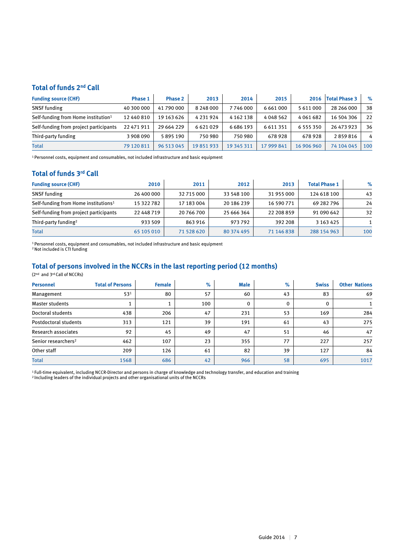## **Total of funds 2nd Call**

| <b>Funding source (CHF)</b>                     | <b>Phase 1</b> | <b>Phase 2</b> | 2013          | 2014          | 2015       | 2016          | <b>Total Phase 3</b> | $\%$ |
|-------------------------------------------------|----------------|----------------|---------------|---------------|------------|---------------|----------------------|------|
| <b>SNSF</b> funding                             | 40 300 000     | 41 790 000     | 8 2 4 8 0 0 0 | 7746000       | 6661000    | 5 611 000     | 28 266 000           | 38   |
| Self-funding from Home institution <sup>1</sup> | 12 440 810     | 19 163 626     | 4 2 3 1 9 2 4 | 4 1 6 2 1 3 8 | 4048562    | 4061682       | 16 504 306           | 22   |
| Self-funding from project participants          | 22 471 911     | 29 664 229     | 6621029       | 6686193       | 6611351    | 6 5 5 5 3 5 0 | 26 473 923           | 36   |
| Third-party funding                             | 3 908 090      | 5895190        | 750 980       | 750 980       | 678928     | 678928        | 2859816              | 4    |
| <b>Total</b>                                    | 79 120 811     | 96 513 045     | 19851933      | 19 345 311    | 17 999 841 | 16 906 960    | 74 104 045           | 100  |

<sup>1</sup> Personnel costs, equipment and consumables, not included infrastructure and basic equipment

### **Total of funds 3rd Call**

| <b>Funding source (CHF)</b>                      | 2010       | 2011       | 2012       | 2013       | <b>Total Phase 1</b> | $\%$ |
|--------------------------------------------------|------------|------------|------------|------------|----------------------|------|
| <b>SNSF</b> funding                              | 26 400 000 | 32 715 000 | 33 548 100 | 31 955 000 | 124 618 100          | 43   |
| Self-funding from Home institutions <sup>1</sup> | 15 322 782 | 17 183 004 | 20 186 239 | 16 590 771 | 69 282 796           | 24   |
| Self-funding from project participants           | 22 448 719 | 20 766 700 | 25 666 364 | 22 208 859 | 91 090 642           | 32   |
| Third-party funding <sup>2</sup>                 | 933 509    | 863 916    | 973792     | 392 208    | 3 1 6 3 4 2 5        |      |
| <b>Total</b>                                     | 65 105 010 | 71 528 620 | 80 374 495 | 71 146 838 | 288 154 963          | 100  |

<sup>1</sup> Personnel costs, equipment and consumables, not included infrastructure and basic equipment

2 Not included is CTI funding

### **Total of persons involved in the NCCRs in the last reporting period (12 months)**

(2nd and 3rd Call of NCCRs)

| <b>Personnel</b>                | <b>Total of Persons</b> | <b>Female</b> | %   | <b>Male</b> | $\%$ | <b>Swiss</b> | <b>Other Nations</b> |
|---------------------------------|-------------------------|---------------|-----|-------------|------|--------------|----------------------|
| Management                      | 53 <sup>1</sup>         | 80            | 57  | 60          | 43   | 83           | 69                   |
| <b>Master students</b>          |                         |               | 100 | $\Omega$    | 0    |              |                      |
| Doctoral students               | 438                     | 206           | 47  | 231         | 53   | 169          | 284                  |
| Postdoctoral students           | 313                     | 121           | 39  | 191         | 61   | 43           | 275                  |
| Research associates             | 92                      | 45            | 49  | 47          | 51   | 46           | 47                   |
| Senior researchers <sup>2</sup> | 462                     | 107           | 23  | 355         | 77   | 227          | 257                  |
| Other staff                     | 209                     | 126           | 61  | 82          | 39   | 127          | 84                   |
| <b>Total</b>                    | 1568                    | 686           | 42  | 966         | 58   | 695          | 1017                 |

<sup>1</sup> Full-time equivalent, including NCCR-Director and persons in charge of knowledge and technology transfer, and education and training

<sup>2</sup> Including leaders of the individual projects and other organisational units of the NCCRs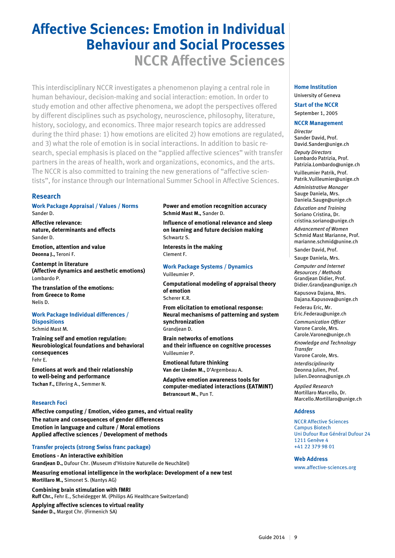# **Affective Sciences: Emotion in Individual Behaviour and Social Processes NCCR Affective Sciences**

This interdisciplinary NCCR investigates a phenomenon playing a central role in human behaviour, decision-making and social interaction: emotion. In order to study emotion and other affective phenomena, we adopt the perspectives offered by different disciplines such as psychology, neuroscience, philosophy, literature, history, sociology, and economics. Three major research topics are addressed during the third phase: 1) how emotions are elicited 2) how emotions are regulated, and 3) what the role of emotion is in social interactions. In addition to basic research, special emphasis is placed on the "applied affective sciences" with transfer partners in the areas of health, work and organizations, economics, and the arts. The NCCR is also committed to training the new generations of "affective scientists", for instance through our International Summer School in Affective Sciences.

#### **Research**

**Work Package Appraisal / Values / Norms**  Sander D.

**Affective relevance: nature, determinants and effects** Sander D.

**Emotion, attention and value Deonna J.,** Teroni F.

**Contempt in literature (Affective dynamics and aesthetic emotions)** Lombardo P.

**The translation of the emotions: from Greece to Rome** Nelis D.

#### **Work Package Individual differences / Dispositions**  Schmid Mast M.

**Training self and emotion regulation: Neurobiological foundations and behavioral consequences** Fehr E.

**Emotions at work and their relationship to well-being and performance Tschan F.,** Elfering A., Semmer N.

#### **Research Foci**

**Affective computing / Emotion, video games, and virtual reality The nature and consequences of gender differences Emotion in language and culture / Moral emotions Applied affective sciences / Development of methods**

#### **Transfer projects (strong Swiss franc package)**

**Emotions - An interactive exhibition Grandjean D.,** Dufour Chr. (Museum d'Histoire Naturelle de Neuchâtel)

**Measuring emotional intelligence in the workplace: Development of a new test Mortillaro M.,** Simonet S. (Nantys AG)

**Combining brain stimulation with fMRI Ruff Chr.,** Fehr E., Scheidegger M. (Philips AG Healthcare Switzerland)

**Applying affective sciences to virtual reality Sander D.,** Margot Chr. (Firmenich SA)

#### **Power and emotion recognition accuracy Schmid Mast M.,** Sander D.

**Influence of emotional relevance and sleep on learning and future decision making** Schwartz S.

**Interests in the making** Clement F.

**Work Package Systems / Dynamics**  Vuilleumier P.

**Computational modeling of appraisal theory of emotion** Scherer K.R.

**From elicitation to emotional response: Neural mechanisms of patterning and system synchronization** Grandjean D.

**Brain networks of emotions and their influence on cognitive processes** Vuilleumier P.

**Emotional future thinking Van der Linden M.,** D'Argembeau A.

**Adaptive emotion awareness tools for computer-mediated interactions (EATMINT) Betrancourt M.**, Pun T.

#### **Home Institution**

University of Geneva

**Start of the NCCR** September 1, 2005

#### **NCCR Management**

*Director* Sander David, Prof. David.Sander@unige.ch *Deputy Directors* 

Lombardo Patrizia, Prof. Patrizia.Lombardo@unige.ch

Vuilleumier Patrik, Prof. Patrik.Vuilleumier@unige.ch

*Administrative Manager* Sauge Daniela, Mrs. Daniela.Sauge@unige.ch

*Education and Training* Soriano Cristina, Dr. cristina.soriano@unige.ch

*Advancement of Women* Schmid Mast Marianne, Prof. marianne.schmid@unine.ch Sander David, Prof.

Sauge Daniela, Mrs.

*Computer and Internet Resources / Methods* Grandjean Didier, Prof. Didier.Grandjean@unige.ch

Kapusova Dajana, Mrs. Dajana.Kapusova@unige.ch

Federau Eric, Mr. Eric.Federau@unige.ch

*Communication Officer*  Varone Carole, Mrs. Carole.Varone@unige.ch

*Knowledge and Technology Transfer*

Varone Carole, Mrs. *Interdisciplinarity* Deonna Julien, Prof. Julien.Deonna@unige.ch

*Applied Research* Mortillaro Marcello, Dr. Marcello.Mortillaro@unige.ch

#### **Address**

NCCR Affective Sciences Campus Biotech Uni Dufour Rue Général Dufour 24 1211 Genève 4 +41 22 379 98 01

#### **Web Address**

www.affective-sciences.org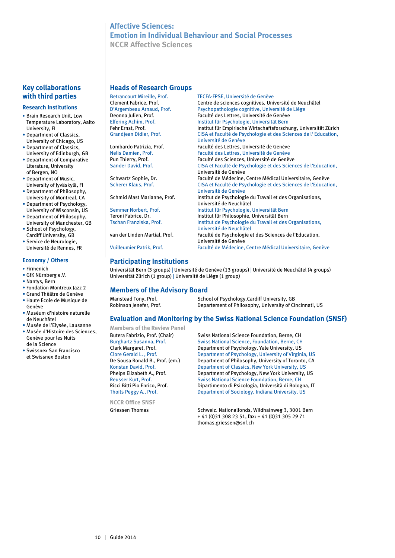### **Affective Sciences: Emotion in Individual Behaviour and Social Processes NCCR Affective Sciences**

#### **Key collaborations with third parties**

#### **Research Institutions**

- Brain Research Unit, Low Temperature Laboratory, Aalto University, FI
- Department of Classics, University of Chicago, US • Department of Classics,
- University of Edinburgh, GB • Department of Comparative
- Literature, University of Bergen, NO
- Department of Music, University of Jyväskylä, FI
- Department of Philosophy, University of Montreal, CA
- Department of Psychology, University of Wisconsin, US
- Department of Philosophy, University of Manchester, GB
- School of Psychology, Cardiff University, GB
- Service de Neurologie, Université de Rennes, FR

#### **Economy / Others**

- Firmenich
- GfK Nürnberg e.V.
- Nantys, Bern
- Fondation Montreux Jazz 2
- Grand Théâtre de Genève
- Haute Ecole de Musique de Genève
- Muséum d'histoire naturelle de Neuchâtel
- Musée de l'Elysée, Lausanne • Musée d'Histoire des Sciences,
- Genève pour les Nuits de la Science • Swissnex San Francisco
- et Swissnex Boston

#### **Heads of Research Groups**

| <b>Betrancourt Mireille, Prof.</b> | TECFA-FPSE, Université de Genève                                                        |
|------------------------------------|-----------------------------------------------------------------------------------------|
| Clement Fabrice, Prof.             | Centre de sciences cognitives, Université de Neuchâtel                                  |
| D'Argembeau Arnaud, Prof.          | Psychopathologie cognitive, Université de Liège                                         |
| Deonna Julien, Prof.               | Faculté des Lettres, Université de Genève                                               |
| Elfering Achim, Prof.              | Institut für Psychologie, Universität Bern                                              |
| Fehr Ernst, Prof.                  | Institut für Empirische Wirtschaftsforschung, Universitä                                |
| Grandjean Didier, Prof.            | CISA et Faculté de Psychologie et des Sciences de l'Edu<br><b>Ilnivercité de Genève</b> |

Université de Neuchâtel<br>van der Linden Martial, Prof.<br>Faculté de Psychologie e

### **Participating Institutions**

Universität Bern (3 groups) | Université de Genève (13 groups) | Université de Neuchâtel (4 groups) Universität Zürich (1 group) | Université de Liège (1 group)

#### **Members of the Advisory Board**

| Manstead Tony, Prof.    | School of Psychology, Cardiff University, GB |
|-------------------------|----------------------------------------------|
| Robinson Jenefer, Prof. | Departement of Philosophy, University of Ci  |

Robinson Jenefer, Prof. Departement of Philosophy, University of Cincinnati, US

#### **Evaluation and Monitoring by the Swiss National Science Foundation (SNSF)**

**Members of the Review Panel**

**NCCR Office SNSF**

Butera Fabrizio, Prof. (Chair) Swiss National Science Foundation, Berne, CH Burghartz Susanna, Prof. Swiss National Science, Foundation, Berne, CH Clark Margaret, Prof. The Department of Psychology, Yale University, US<br>Clore Gerald L., Prof. Department of Psychology, University of Virgin Department of Psychology, University of Virginia, US De Sousa Ronald B., Prof. (em.) Department of Philosophy, University of Toronto, CA<br>Konstan David, Prof. Department of Classics, New York University, US **Department of Classics, New York University, US** Phelps Elizabeth A., Prof. Department of Psychology, New York University, US Reusser Kurt, Prof. Swiss National Science Foundation, Berne, CH<br>Ricci Bitti Pio Enrico, Prof. Dipartimento di Psicologia, Università di Bolog Dipartimento di Psicologia, Università di Bologna, IT Thoits Peggy A., Prof. Department of Sociology, Indiana University, US

Griessen Thomas Schweiz. Nationalfonds, Wildhainweg 3, 3001 Bern + 41 (0)31 308 23 51, fax: + 41 (0)31 305 29 71 thomas.griessen@snf.ch

Faculté des Lettres, Université de Genève Elfering Achim, Prof. Institut für Psychologie, Universität Bern Fehr Ernst, Prof.<br> **Institut für Empirische Wirtschaftsforschung, Universität Zürich**<br> **ISA et Eaculté de Psychologie et des Sciences de l'Education** CISA et Faculté de Psychologie et des Sciences de l'Education, Université de Genève Lombardo Patrizia, Prof.<br>
Relis Damien. Prof.<br>
Faculté des Lettres. Université de Genève Faculté des Lettres, Université de Genève Pun Thierry, Prof.<br>
Sander David. Prof. Faculté des Sciences, Université de Genève CISA et Faculté de Psychologie et des Sciences de l'Education, Université de Genève Schwartz Sophie, Dr. Faculté de Médecine, Centre Médical Universitaire, Genève<br>Scherer Klaus, Prof. CISA et Faculté de Psychologie et des Sciences de l'Educati CISA et Faculté de Psychologie et des Sciences de l'Education, Université de Genève Schmid Mast Marianne, Prof. **Institut de Psychologie du Travail et des Organisations**, Université de Neuchâtel Semmer Norbert, Prof. **Institut für Psychologie, Universität Bern**<br> **Institut für Philosophie, Universität Bern**<br>
Institut für Philosophie, Universität Bern Teroni Fabrice, Dr. Institut für Philosophie, Universität Bern Institut de Psychologie du Travail et des Organisations, Faculté de Psychologie et des Sciences de l'Education, Université de Genève<br>Vuilleumier Patrik, Prof.<br>Faculté de Médecine, Faculté de Médecine, Centre Médical Universitaire, Genève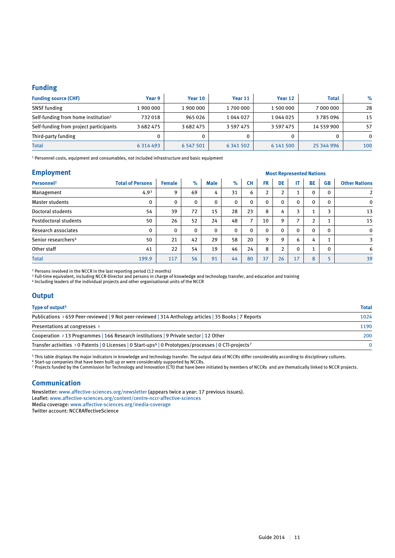#### **Funding**

| <b>Funding source (CHF)</b>                     | Year 9        | Year 10       | Year 11       | Year 12       | <b>Total</b> | $\%$     |
|-------------------------------------------------|---------------|---------------|---------------|---------------|--------------|----------|
| <b>SNSF</b> funding                             | 1 900 000     | 1 900 000     | 1700000       | 1 500 000     | 7 000 000    | 28       |
| Self-funding from home institution <sup>1</sup> | 732018        | 965026        | 1044027       | 1 044 025     | 3785096      | 15       |
| Self-funding from project participants          | 3682475       | 3 682 475     | 3 5 9 7 4 7 5 | 3 5 9 7 4 7 5 | 14 559 900   | 57       |
| Third-party funding                             | 0             |               |               |               |              | $\Omega$ |
| <b>Total</b>                                    | 6 3 1 4 4 9 3 | 6 5 4 7 5 0 1 | 6 3 4 1 5 0 2 | 6 141 500     | 25 344 996   | 100      |

1 Personnel costs, equipment and consumables, not included infrastructure and basic equipment

| <b>Employment</b> |
|-------------------|
|                   |

| <b>Employment</b>               |                         | <b>Most Represented Nations</b> |          |             |              |                          |                |                |                |                |              |                      |
|---------------------------------|-------------------------|---------------------------------|----------|-------------|--------------|--------------------------|----------------|----------------|----------------|----------------|--------------|----------------------|
| Personnel <sup>2</sup>          | <b>Total of Persons</b> | <b>Female</b>                   | $\%$     | <b>Male</b> | $\%$         | <b>CH</b>                | <b>FR</b>      | <b>DE</b>      | IT.            | BE             | <b>GB</b>    | <b>Other Nations</b> |
| Management                      | 4.9 <sup>3</sup>        | 9                               | 69       | 4           | 31           | 6                        | $\overline{2}$ | $\overline{2}$ | 1<br>Τ.        | 0              | 0            | $\overline{2}$       |
| Master students                 | 0                       | $\mathbf{0}$                    | 0        | 0           | $\mathbf 0$  | 0                        | $\mathbf{0}$   | $\mathbf{0}$   | $\mathbf 0$    | $\mathbf 0$    | $\mathbf{0}$ | $\mathbf 0$          |
| Doctoral students               | 54                      | 39                              | 72       | 15          | 28           | 23                       | 8              | 4              | 3              |                | 3            | 13                   |
| Postdoctoral students           | 50                      | 26                              | 52       | 24          | 48           | $\overline{\phantom{a}}$ | 10             | 9              | $\overline{ }$ | $\overline{2}$ |              | 15                   |
| Research associates             | 0                       | $\Omega$                        | $\Omega$ | 0           | $\mathbf{0}$ | $\mathbf{0}$             | $\mathbf{0}$   | $\mathbf{0}$   | $\mathbf 0$    | $\Omega$       | $\mathbf{0}$ | $\mathbf 0$          |
| Senior researchers <sup>4</sup> | 50                      | 21                              | 42       | 29          | 58           | 20                       | 9              | 9              | 6              | 4              | 1            | 3                    |
| Other staff                     | 41                      | 22                              | 54       | 19          | 46           | 24                       | 8              | $\overline{2}$ | $\mathbf 0$    |                | $\Omega$     | 6                    |
| <b>Total</b>                    | 199.9                   | 117                             | 56       | 91          | 44           | 80                       | 37             | 26             | 17             | 8              | п.           | 39                   |

2 Persons involved in the NCCR in the last reporting period (12 months)

 $^3$  Full-time equivalent, including NCCR-Director and persons in charge of knowledge and technology transfer, and education and training

4 Including leaders of the individual projects and other organisational units of the NCCR

#### **Output**

| Type of output <sup>5</sup>                                                                                                    | <b>Total</b> |
|--------------------------------------------------------------------------------------------------------------------------------|--------------|
| Publications > 659 Peer-reviewed   9 Not peer-reviewed   314 Anthology articles   35 Books   7 Reports                         | 1024         |
| Presentations at congresses >                                                                                                  | 1190         |
| Cooperation > 13 Programmes   166 Research institutions   9 Private sector   12 Other                                          | 200          |
| Transfer activities > 0 Patents   0 Licenses   0 Start-ups <sup>6</sup>   0 Prototypes/processes   0 CTI-projects <sup>7</sup> | $\Omega$     |

5 This table displays the major indicators in knowledge and technology transfer. The output data of NCCRs differ considerably according to disciplinary cultures.

6 Start-up companies that have been built up or were considerably supported by NCCRs.

7 Projects funded by the Commission for Technology and Innovation (CTI) that have been initiated by members of NCCRs and are thematically linked to NCCR projects.

#### **Communication**

Newsletter: www.affective-sciences.org/newsletter (appears twice a year: 17 previous issues). Leaflet: www.affective-sciences.org/content/centre-nccr-affective-sciences Media coverage: www.affective-sciences.org/media-coverage Twitter account: NCCRAffectiveScience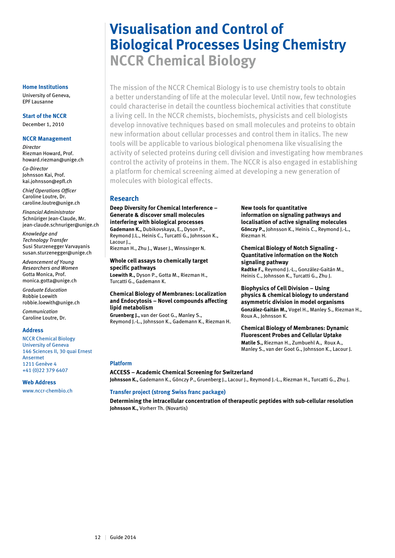# **Visualisation and Control of Biological Processes Using Chemistry NCCR Chemical Biology**

The mission of the NCCR Chemical Biology is to use chemistry tools to obtain a better understanding of life at the molecular level. Until now, few technologies could characterise in detail the countless biochemical activities that constitute a living cell. In the NCCR chemists, biochemists, physicists and cell biologists develop innovative techniques based on small molecules and proteins to obtain new information about cellular processes and control them in italics. The new tools will be applicable to various biological phenomena like visualising the activity of selected proteins during cell division and investigating how membranes control the activity of proteins in them. The NCCR is also engaged in establishing a platform for chemical screening aimed at developing a new generation of molecules with biological effects.

#### **Research**

**Deep Diversity for Chemical Interference – Generate & discover small molecules interfering with biological processes Gademann K.,** Dubikovskaya, E., Dyson P., Reymond J.L., Heinis C., Turcatti G., Johnsson K., Lacour J.,

Riezman H., Zhu J., Waser J., Winssinger N.

**Whole cell assays to chemically target specific pathways Loewith R.,** Dyson P., Gotta M., Riezman H., Turcatti G., Gademann K.

#### **Chemical Biology of Membranes: Localization and Endocytosis – Novel compounds affecting lipid metabolism**

**Gruenberg J.,** van der Goot G., Manley S., Reymond J.-L., Johnsson K., Gademann K., Riezman H.

#### **New tools for quantitative information on signaling pathways and localisation of active signaling molecules Gönczy P.,** Johnsson K., Heinis C., Reymond J.-L., Riezman H.

#### **Chemical Biology of Notch Signaling - Quantitative information on the Notch signaling pathway Radtke F.,** Reymond J.-L., González-Gaitán M., Heinis C., Johnsson K., Turcatti G., Zhu J.

**Biophysics of Cell Division – Using physics & chemical biology to understand asymmetric division in model organisms González-Gaitán M.,** Vogel H., Manley S., Riezman H., Roux A., Johnsson K.

**Chemical Biology of Membranes: Dynamic Fluorescent Probes and Cellular Uptake Matile S.,** Riezman H., Zumbuehl A., Roux A., Manley S., van der Goot G., Johnsson K., Lacour J.

#### **Platform**

#### **ACCESS – Academic Chemical Screening for Switzerland**

**Johnsson K.,** Gademann K., Gönczy P., Gruenberg J., Lacour J., Reymond J.-L., Riezman H., Turcatti G., Zhu J.

#### **Transfer project (strong Swiss franc package)**

**Determining the intracellular concentration of therapeutic peptides with sub-cellular resolution Johnsson K.,** Vorherr Th. (Novartis)

#### **Home Institutions**

University of Geneva, EPF Lausanne

#### **Start of the NCCR** December 1, 2010

#### **NCCR Management**

*Director* Riezman Howard, Prof. howard.riezman@unige.ch

*Co-Director* Johnsson Kai, Prof. kai.johnsson@epfl.ch

*Chief Operations Officer* Caroline Loutre, Dr. caroline.loutre@unige.ch

*Financial Administrator* Schnüriger Jean-Claude, Mr. jean-claude.schnuriger@unige.ch

*Knowledge and Technology Transfer* Susi Sturzenegger Varvayanis susan.sturzenegger@unige.ch

*Advancement of Young Researchers and Women* Gotta Monica, Prof. monica.gotta@unige.ch

*Graduate Education* Robbie Loewith robbie.loewith@unige.ch

*Communication* Caroline Loutre, Dr.

#### **Address**

NCCR Chemical Biology University of Geneva 146 Sciences II, 30 quai Ernest Ansermet 1211 Genève 4 +41 (0)22 379 6407

#### **Web Address**

www.nccr-chembio.ch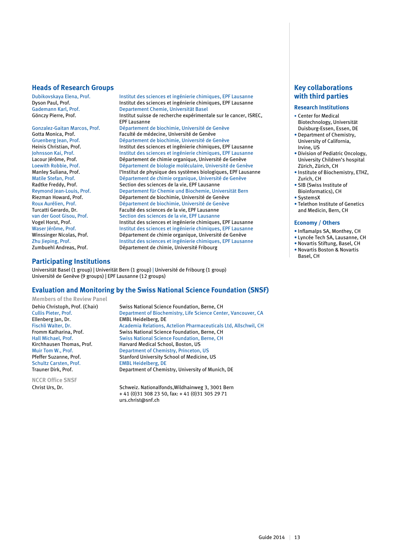#### **Heads of Research Groups**

Dubikovskaya Elena, Prof. Institut des sciences et ingénierie chimiques, EPF Lausanne Dyson Paul, Prof. **Institut des sciences et ingénierie chimiques, EPF Lausanne**<br>Gademann Karl, Prof. **Institut des sciences et ingénierie chimiques**, EPF Lausanne Gademann Karl, Prof.<br>
Gönczy Pierre, Prof. Samen Basel (Discrement Chemie, Universität Basel (Discrement Discrement Discrement Disc Institut suisse de recherche expérimentale sur le cancer, ISREC, EPF Lausanne Gonzalez-Gaitan Marcos, Prof. Département de biochimie, Université de Genève<br>Gotta Monica, Prof. Saculté de médecine, Université de Genève Gotta Monica, Prof.<br>
Gruenberg Jean, Prof.<br>
Département de biochimie, Université de G Département de biochimie, Université de Genève Heinis Christian, Prof. **Institut des sciences et ingénierie chimiques, EPF Lausanne**<br>Institut des sciences et ingénierie chimiques, EPF Lausanne Institut des sciences et ingénierie chimiques, EPF Lausanne Lacour Jérôme, Prof. **Département de chimie organique, Université de Genève**<br>Loewith Robbie. Prof. **Département de biologie moléculaire. Université de Genève** Loewith Robbie, Prof. Département de biologie moléculaire, Université de Genève Manley Suliana, Prof. l'Institut de physique des systèmes biologiques, EPF Lausanne<br>Matile Stefan, Prof. le physique de chimie organique, Université de Genève Matile Stefan, Prof. Département de chimie organique, Université de Genève<br>
Radtke Freddy. Prof. Section des sciences de la vie. EPF Lausanne Section des sciences de la vie, EPF Lausanne Reymond Jean-Louis, Prof. Departement für Chemie und Biochemie, Universität Bern<br>Riezman Howard. Prof. Département de biochimie. Université de Genève Riezman Howard, Prof. **Département de biochimie, Université de Genève**<br>Roux Aurélien, Prof. **Département de biochimie, Université de Genève** Département de biochimie, Université de Genève Turcatti Gerardo, Dr. Faculté des sciences de la vie, EPF Lausanne van der Goot Gisou, Prof. Section des sciences de la vie, EPF Lausanne<br>Vogel Horst. Prof. Section des sciences et ingénierie chimiques Vogel Horst, Prof. **Institut des sciences et ingénierie chimiques, EPF Lausanne**<br>Waser Jérôme, Prof. **Institut des sciences et ingénierie chimiques**, EPF Lausanne Waser Jérôme, Prof. **Institut des sciences et ingénierie chimiques**, EPF Lausanne<br>Winssinger Nicolas, Prof. **Institut des sciences et ingénierie chimiques**, EPF Lausanne Département de chimie organique, Université de Genève Zhu Jieping, Prof. **Institut des sciences et ingénierie chimiques**, EPF Lausanne<br>Zumbuehl Andreas, Prof. **Institut des sciences et ingénierie chimiques**, EPF Lausanne Département de chimie, Université Fribourg

#### **Participating Institutions**

Universität Basel (1 group) | Univerität Bern (1 group) | Université de Fribourg (1 group) Université de Genève (9 groups) | EPF Lausanne (12 groups)

#### **Evaluation and Monitoring by the Swiss National Science Foundation (SNSF)**

**Members of the Review Panel**

Ellenberg Jan, Dr. EMBL Heidelberg, DE

**NCCR Office SNSF**

Dehio Christoph, Prof. (Chair) Swiss National Science Foundation, Berne, CH<br>Cullis Pieter. Prof. Department of Biochemistry. Life Science Cent Department of Biochemistry, Life Science Center, Vancouver, CA Fischli Walter, Dr. **Academia Relations, Actelion Pharmaceuticals Ltd, Allschwil, CH**<br>Fromm Katharina, Prof. **Swiss National Science Foundation, Berne, CH** Swiss National Science Foundation, Berne, CH Hall Michael, Prof. Swiss National Science Foundation, Berne, CH<br>
Kirchhausen Thomas, Prof. Harvard Medical School, Boston, US Kirchhausen Thomas, Prof.<br>
Muir Tom W., Prof. Department of Chemistry, Princeton, Department of Chemistry, Princeton, US Pfeffer Suzanne, Prof.<br>
Schultz Carsten. Prof.<br>
EMBL Heidelberg. DE **EMBL Heidelberg, DE** Trauner Dirk, Prof. Department of Chemistry, University of Munich, DE

Christ Urs, Dr. Schweiz. Nationalfonds, Wildhainweg 3, 3001 Bern + 41 (0)31 308 23 50, fax: + 41 (0)31 305 29 71 urs.christ@snf.ch

#### **Key collaborations with third parties**

#### **Research Institutions**

- Center for Medical Biotechnology, Universität Duisburg-Essen, Essen, DE
- Department of Chemistry, University of California, Irvine, US
- Division of Pediatric Oncology, University Children's hospital Zürich, Zürich, CH
- Institute of Biochemistry, ETHZ, Zurich, CH
- SIB (Swiss Institute of Bioinformatics), CH
- SystemsX
- Telethon Institute of Genetics and Medicin, Bern, CH

#### **Economy / Others**

- Inflamalps SA, Monthey, CH
- Lyncée Tech SA, Lausanne, CH
- Novartis Stiftung, Basel, CH
- Novartis Boston & Novartis
- Basel, CH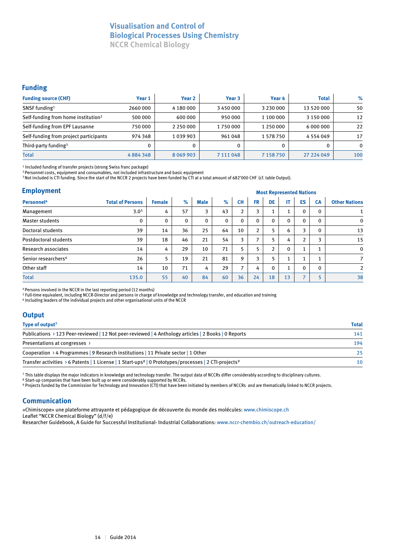## **Visualisation and Control of Biological Processes Using Chemistry**

**NCCR Chemical Biology**

#### **Funding**

| <b>Funding source (CHF)</b>                     | Year 1   | Year <sub>2</sub> | Year 3    | Year 4          | <b>Total</b>  | $\%$     |
|-------------------------------------------------|----------|-------------------|-----------|-----------------|---------------|----------|
| SNSF funding <sup>1</sup>                       | 2660 000 | 4 180 000         | 3450000   | 3 2 3 0 0 0 0 0 | 13 520 000    | 50       |
| Self-funding from home institution <sup>2</sup> | 500 000  | 600 000           | 950 000   | 1 100 000       | 3 150 000     | 12       |
| Self-funding from EPF Lausanne                  | 750 000  | 2 2 5 0 0 0 0     | 1750000   | 1 250 000       | 6 000 000     | 22       |
| Self-funding from project participants          | 974 348  | 1039903           | 961 048   | 1 578 750       | 4 5 5 4 0 4 9 | 17       |
| Third-party funding <sup>3</sup>                |          |                   | 0         | 0               | 0             | $\Omega$ |
| <b>Total</b>                                    | 4884348  | 8 0 6 9 9 0 3     | 7 111 048 | 7 1 5 8 7 5 0   | 27 224 049    | 100      |

1 Included funding of transfer projects (strong Swiss franc package)

2 Personnel costs, equipment and consumables, not included infrastructure and basic equipment

3 Not included is CTI funding. Since the start of the NCCR 2 projects have been funded by CTI at a total amount of 682'000 CHF (cf. table Output).

#### **Employment**

| <b>Employment</b>               |                         |               | <b>Most Represented Nations</b> |             |             |                          |                |    |                                |                          |                          |                      |
|---------------------------------|-------------------------|---------------|---------------------------------|-------------|-------------|--------------------------|----------------|----|--------------------------------|--------------------------|--------------------------|----------------------|
| Personnel <sup>4</sup>          | <b>Total of Persons</b> | <b>Female</b> | $\%$                            | <b>Male</b> | $\%$        | <b>CH</b>                | <b>FR</b>      | DE | IT.                            | <b>ES</b>                | <b>CA</b>                | <b>Other Nations</b> |
| Management                      | 3.0 <sup>5</sup>        | 4             | 57                              | 3           | 43          | $\overline{2}$           | 3              |    | $\overline{\phantom{a}}$<br>л. | $\Omega$                 | $\Omega$                 |                      |
| <b>Master students</b>          | 0                       | $\mathbf{0}$  | $\mathbf{0}$                    | 0           | $\mathbf 0$ | 0                        | $\Omega$       | 0  | 0                              | $\Omega$                 | $\Omega$                 | $\mathbf 0$          |
| Doctoral students               | 39                      | 14            | 36                              | 25          | 64          | 10                       | $\overline{2}$ |    | 6                              | 3                        | $\Omega$                 | 13                   |
| Postdoctoral students           | 39                      | 18            | 46                              | 21          | 54          | 3                        | ⇁              |    | 4                              | $\overline{2}$           | 3                        | 15                   |
| Research associates             | 14                      | 4             | 29                              | 10          | 71          | 5                        | 5              | າ  | 0                              |                          | $\blacktriangleleft$     | $\Omega$             |
| Senior researchers <sup>6</sup> | 26                      | 5             | 19                              | 21          | 81          | 9                        | 3              | 5  | $\overline{\phantom{a}}$       |                          | $\overline{\phantom{a}}$ |                      |
| Other staff                     | 14                      | 10            | 71                              | 4           | 29          | $\overline{\phantom{a}}$ | 4              | 0  | $\overline{ }$<br>Τ.           | $\Omega$                 | $\Omega$                 | $\overline{2}$       |
| <b>Total</b>                    | 135.0                   | 55            | 40                              | 84          | 60          | 36                       | 24             | 18 | 13                             | $\overline{\phantom{a}}$ | 5                        | 38                   |

4 Persons involved in the NCCR in the last reporting period (12 months)

5 Full-time equivalent, including NCCR-Director and persons in charge of knowledge and technology transfer, and education and training

6 Including leaders of the individual projects and other organisational units of the NCCR

#### **Output**

| Type of output <sup>7</sup>                                                                                                               | <b>Total</b> |
|-------------------------------------------------------------------------------------------------------------------------------------------|--------------|
| Publications > 123 Peer-reviewed   12 Not peer-reviewed   4 Anthology articles   2 Books   0 Reports                                      | 141          |
| Presentations at congresses >                                                                                                             | 194          |
| Cooperation > 4 Programmes   9 Research institutions   11 Private sector   1 Other                                                        | 25           |
| Transfer activities $\rightarrow$ 6 Patents   1 License   1 Start-ups <sup>8</sup>   0 Prototypes/processes   2 CTI-projects <sup>9</sup> | 10           |

7 This table displays the major indicators in knowledge and technology transfer. The output data of NCCRs differ considerably according to disciplinary cultures.

8 Start-up companies that have been built up or were considerably supported by NCCRs.

9 Projects funded by the Commission for Technology and Innovation (CTI) that have been initiated by members of NCCRs and are thematically linked to NCCR projects.

#### **Communication**

«Chimiscope» une plateforme attrayante et pédagogique de découverte du monde des molécules: www.chimiscope.ch Leaflet "NCCR Chemical Biology" (d/f/e)

Researcher Guidebook, A Guide for Successful Institutional- Industrial Collaborations: www.nccr-chembio.ch/outreach-education/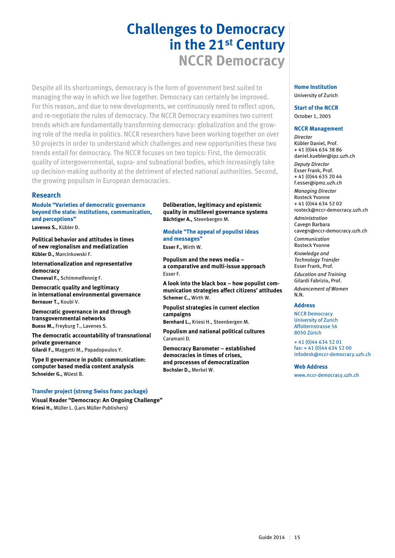# **Challenges to Democracy in the 21st Century NCCR Democracy**

Despite all its shortcomings, democracy is the form of government best suited to managing the way in which we live together. Democracy can certainly be improved. For this reason, and due to new developments, we continuously need to reflect upon, and re-negotiate the rules of democracy. The NCCR Democracy examines two current trends which are fundamentally transforming democracy: globalization and the growing role of the media in politics. NCCR researchers have been working together on over 50 projects in order to understand which challenges and new opportunities these two trends entail for democracy. The NCCR focuses on two topics: First, the democratic quality of intergovernmental, supra- and subnational bodies, which increasingly take up decision-making authority at the detriment of elected national authorities. Second, the growing populism in European democracies.

#### **Research**

**Module "Varieties of democratic governance beyond the state: institutions, communication, and perceptions"**

**Lavenex S.,** Kübler D.

**Political behavior and attitudes in times of new regionalism and mediatization Kübler D.,** Marcinkowski F.

**Internationalization and representative democracy Cheneval F.,** Schimmelfennig F.

**Democratic quality and legitimacy in international environmental governance Bernauer T.,** Koubi V.

**Democratic governance in and through transgovernmental networks Buess M.,** Freyburg T., Lavenex S.

**The democratic accountability of transnational private governance Gilardi F.,** Maggetti M., Papadopoulos Y.

**Type II governance in public communication: computer based media content analysis Schneider G.,** Wüest B.

#### **Transfer project (strong Swiss franc package)**

**Visual Reader "Democracy: An Ongoing Challenge" Kriesi H.,** Müller L. (Lars Müller Publishers)

**Deliberation, legitimacy and epistemic quality in multilevel governance systems Bächtiger A.,** Steenbergen M.

**Module "The appeal of populist ideas and messages" Esser F.,** Wirth W.

**Populism and the news media – a comparative and multi-issue approach** Esser F.

**A look into the black box – how populist communication strategies affect citizens' attitudes Schemer C.,** Wirth W.

**Populist strategies in current election campaigns Bernhard L.,** Kriesi H., Steenbergen M.

**Populism and national political cultures** Caramani D.

**Democracy Barometer – established democracies in times of crises, and processes of democratization Bochsler D.,** Merkel W.

#### **Home Institution** University of Zurich

**Start of the NCCR**

October 1, 2005

#### **NCCR Management**

*Director* Kübler Daniel, Prof. + 41 (0)44 634 38 86 daniel.kuebler@ipz.uzh.ch *Deputy Director* Esser Frank, Prof.

+ 41 (0)44 635 20 44 f.esser@ipmz.uzh.ch *Managing Director*

Rosteck Yvonne + 41 (0)44 634 52 02

rosteck@nccr-democracy.uzh.ch *Administration* Cavegn Barbara

cavegn@nccr-democracy.uzh.ch *Communication*

Rosteck Yvonne

*Knowledge and Technology Transfer* Esser Frank, Prof.

*Education and Training* Gilardi Fabrizio, Prof.

*Advancement of Women* N.N.

#### **Address**

NCCR Democracy University of Zurich Affolternstrasse 56 8050 Zürich

+ 41 (0)44 634 52 01 fax: + 41 (0)44 634 52 00 infodesk@nccr-democracy.uzh.ch

#### **Web Address**

www.nccr-democracy.uzh.ch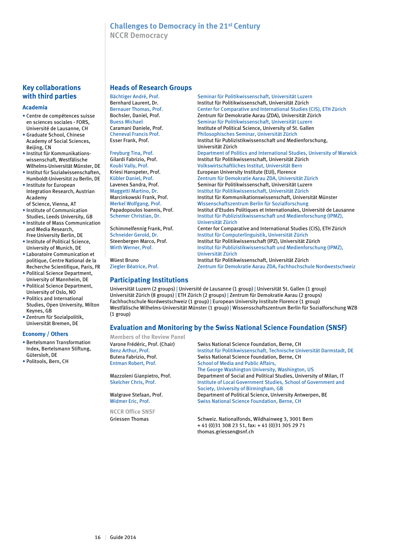## **Challenges to Democracy in the 21st Century**

**NCCR Democracy**

#### **Key collaborations with third parties**

#### **Academia**

- Centre de compétences suisse en sciences sociales - FORS, Université de Lausanne, CH
- Graduate School, Chinese Academy of Social Sciences, Beijing, CN
- Institut für Kommunikationswissenschaft, Westfälische Wilhelms-Universität Münster, DE
- Institut für Sozialwissenschaften, Humboldt-Universität zu Berlin, DE
- Institute for European Integration Research, Austrian Academy
- of Science, Vienna, AT • Institute of Communication Studies, Leeds University, GB
- Institute of Mass Communication and Media Research,
- Free University Berlin, DE • Institute of Political Science, University of Munich, DE
- Laboratoire Communication et politique, Centre National de la Recherche Scientifique, Paris, FR
- Political Science Department, University of Mannheim, DE
- Political Science Department, University of Oslo, NO
- Politics and International Studies, Open University, Milton Keynes, GB
- Zentrum für Sozialpolitik, Universität Bremen, DE

#### **Economy / Others**

- Bertelsmann Transformation Index, Bertelsmann Stiftung, Gütersloh, DE
- Politools, Bern, CH

#### **Heads of Research Groups**

Bächtiger André, Prof. Seminar für Politikwissenschaft, Universität Luzern<br>Bernhard Laurent. Dr. Seminar Schutt für Politikwissenschaft. Universität Zürich

#### **Participating Institutions**

Bernauer Thomas, Prof. Center for Comparative and International Studies (CIS), ETH Zürich<br>Bochsler, Daniel, Prof. 2001 - Zentrum für Demokratie Aarau (ZDA), Universität Zürich Bochsler, Daniel, Prof. Zentrum für Demokratie Aarau (ZDA), Universität Zürich Seminar für Politikwissenschaft, Universität Luzern Caramani Daniele, Prof.<br>
Institute of Political Science, University of St. Gallen<br>
Philosophisches Seminar, Universität Zürich<br>
Philosophisches Seminar, Universität Zürich Cheneval Francis Prof. Philosophisches Seminar, Universität Zürich Institut für Publizistikwissenschaft und Medienforschung, Universität Zürich Department of Politics and International Studies, University of Warwick Gilardi Fabrizio, Prof. The Institut für Politikwissenschaft, Universität Zürich<br>
Koubi Vally, Prof. The State Volkswirtschaftliches Institut. Universität Bern Koubi Vally, Prof. The Volkswirtschaftliches Institut, Universität Bern<br>
Kriesi Hanspeter, Prof. The European University Institute (EUI), Florence Kriesi Hanspeter, Prof. **European University Institute (EUI), Florence**<br>Kübler Daniel, Prof. **European European Zentrum für Demokratie Aarau ZDA**, Universi Kübler Daniel, Prof. Tentrum für Demokratie Aarau ZDA, Universität Zürich<br>Lavenex Sandra. Prof. Tentrum Seminar für Politikwissenschaft. Universität Luzern Seminar für Politikwissenschaft, Universität Luzern Maggetti Martino, Dr. Institut für Politikwissenschaft, Universität Zürich Marcinkowski Frank, Prof. **Institut für Kommunikationswissenschaft**, Universität Münster<br>Merkel Wolfgang, Prof. **Institut Müssenschaftszentrum Berlin für Sozialforschung** Wissenschaftszentrum Berlin für Sozialforschung Papadopoulos Ioannis, Prof. **Institut d'Etudes Politiques et Internationales**, Université de Lausanne<br>Schemer Christian, Dr. **Institut für Publizistikwissenschaft und Medienforschung (IPMZ**). Institut für Publizistikwissenschaft und Medienforschung (IPMZ), Universität Zürich<br>Schimmelfennig Frank, Prof. Center for Compar Schimmelfennig Frank, Prof. Center for Comparative and International Studies (CIS), ETH Zürich<br>Schneider Gerold, Dr. Schneider (Gerold, Dr. Schneider Gerold, Dr. Schneider Gerold, Dr. Institut für Computerlinguistik, Universität Zürich Steenbergen Marco, Prof. Institut für Politikwissenschaft (IPZ), Universität Zürich Wirth Werner, Prof. Institut für Publizistikwissenschaft und Medienforschung (IPMZ), Universität Zürich

Institut für Politikwissenschaft, Universität Zürich

Wüest Bruno Institut für Politikwissenschaft, Universität Zürich<br>Ziegler Béatrice, Prof. Tentrum für Demokratie Aarau ZDA, Fachhochschu Zentrum für Demokratie Aarau ZDA, Fachhochschule Nordwestschweiz

#### Universität Luzern (2 groups) | Université de Lausanne (1 group) | Universität St. Gallen (1 group) Universität Zürich (8 groups) | ETH Zürich (2 groups) | Zentrum für Demokratie Aarau (2 groups) Fachhochschule Nordwestschweiz (1 group) | European University Institute Florence (1 group) Westfälische Wilhelms-Universität Münster (1 group) | Wissensschaftszentrum Berlin für Sozialforschung WZB (1 group)

#### **Evaluation and Monitoring by the Swiss National Science Foundation (SNSF)**

**Members of the Review Panel**

**NCCR Office SNSF**

Varone Frédéric, Prof. (Chair) Swiss National Science Foundation, Berne, CH Benz Arthur, Prof. Institut für Politikwissenschaft, Technische Universität Darmstadt, DE Butera Fabrizio, Prof.<br>
Entman Robert. Prof. School of Media and Public Affairs. School of Media and Public Affairs, The George Washington University, Washington, US<br>Mazzoleni Gianpietro. Prof. Department of Social and Political Studies. Universit Department of Social and Political Studies, University of Milan, IT Skelcher Chris, Prof. Institute of Local Government Studies, School of Government and Society, University of Birmingham, GB<br>Department of Political Science, University of Birmingham, Prof. Department of Political Science, University Antwerpen, BE Widmer Eric, Prof. Swiss National Science Foundation, Berne, CH

Griessen Thomas Schweiz. Nationalfonds, Wildhainweg 3, 3001 Bern + 41 (0)31 308 23 51, fax: + 41 (0)31 305 29 71 thomas.griessen@snf.ch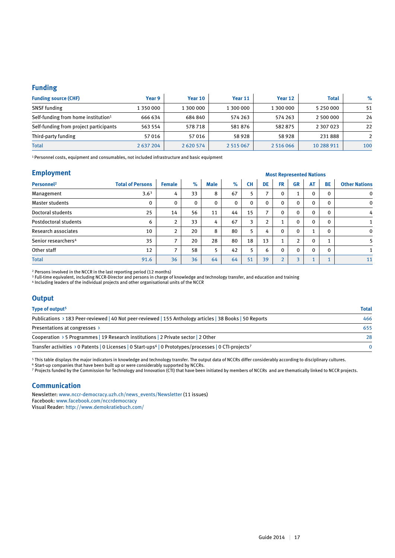#### **Funding**

| <b>Funding source (CHF)</b>                     | Year 9    | Year 10      | Year 11       | Year 12   | <b>Total</b>  | $\%$ |
|-------------------------------------------------|-----------|--------------|---------------|-----------|---------------|------|
| <b>SNSF</b> funding                             | 1 350 000 | 1 300 000    | 1 300 000     | 1 300 000 | 5 2 5 0 0 0 0 | 51   |
| Self-funding from home institution <sup>1</sup> | 666 634   | 684840       | 574 263       | 574 263   | 2 500 000     | 24   |
| Self-funding from project participants          | 563 554   | 578718       | 581876        | 582875    | 2 3 0 7 0 2 3 | 22   |
| Third-party funding                             | 57016     | 57 016       | 58928         | 58 928    | 231888        |      |
| <b>Total</b>                                    | 2 637 204 | 2 6 20 5 7 4 | 2 5 1 5 0 6 7 | 2 516 066 | 10 288 911    | 100  |

1 Personnel costs, equipment and consumables, not included infrastructure and basic equipment

#### **Employment**

| <b>Employment</b>               |                         |                          |      |             |             |           | <b>Most Represented Nations</b> |               |                |                |              |                      |  |
|---------------------------------|-------------------------|--------------------------|------|-------------|-------------|-----------|---------------------------------|---------------|----------------|----------------|--------------|----------------------|--|
| Personnel <sup>2</sup>          | <b>Total of Persons</b> | <b>Female</b>            | $\%$ | <b>Male</b> | $\%$        | <b>CH</b> | DE                              | <b>FR</b>     | <b>GR</b>      | <b>AT</b>      | <b>BE</b>    | <b>Other Nations</b> |  |
| Management                      | 3.6 <sup>3</sup>        | 4                        | 33   | 8           | 67          | 5         | $\overline{\phantom{a}}$        | $\mathbf{0}$  | $\mathbf{1}$   | $\Omega$       | $\Omega$     | $\mathbf 0$          |  |
| <b>Master students</b>          | 0                       | $\Omega$                 | 0    | $\mathbf 0$ | $\mathbf 0$ | 0         | $\mathbf{0}$                    | $\Omega$      | $\Omega$       | 0              | $\mathbf{0}$ | $\mathbf 0$          |  |
| Doctoral students               | 25                      | 14                       | 56   | 11          | 44          | 15        | ⇁                               | $\mathbf{0}$  | 0              | 0              | $\mathbf{0}$ | 4                    |  |
| Postdoctoral students           | 6                       | $\overline{2}$           | 33   | 4           | 67          | 3         | $\overline{2}$                  |               | $\mathbf 0$    | $\Omega$       | $\mathbf{0}$ |                      |  |
| Research associates             | 10                      | $\overline{2}$           | 20   | 8           | 80          | 5         | 4                               | $\Omega$      | $\mathbf 0$    | $\overline{ }$ | $\mathbf{0}$ | $\mathbf 0$          |  |
| Senior researchers <sup>4</sup> | 35                      | $\overline{ }$           | 20   | 28          | 80          | 18        | 13                              |               | $\overline{2}$ | 0              |              | 5                    |  |
| Other staff                     | 12                      | $\overline{\phantom{a}}$ | 58   | 5           | 42          | 5         | 6                               | $\Omega$      | $\mathbf{0}$   | $\Omega$       | $\Omega$     |                      |  |
| <b>Total</b>                    | 91.6                    | 36                       | 36   | 64          | 64          | 51        | 39                              | $\mathcal{L}$ | 3              | $\overline{a}$ |              | 11                   |  |

2 Persons involved in the NCCR in the last reporting period (12 months)

 $^{\rm 3}$  Full-time equivalent, including NCCR-Director and persons in charge of knowledge and technology transfer, and education and training

4 Including leaders of the individual projects and other organisational units of the NCCR

#### **Output**

| Type of output <sup>5</sup>                                                                                                    | <b>Total</b> |
|--------------------------------------------------------------------------------------------------------------------------------|--------------|
| Publications > 183 Peer-reviewed   40 Not peer-reviewed   155 Anthology articles   38 Books   50 Reports                       | 466          |
| Presentations at congresses $\rightarrow$                                                                                      | 655          |
| Cooperation $\rightarrow$ 5 Programmes   19 Research institutions   2 Private sector   2 Other                                 | 28           |
| Transfer activities > 0 Patents   0 Licenses   0 Start-ups <sup>6</sup>   0 Prototypes/processes   0 CTI-projects <sup>7</sup> |              |

5 This table displays the major indicators in knowledge and technology transfer. The output data of NCCRs differ considerably according to disciplinary cultures.

6 Start-up companies that have been built up or were considerably supported by NCCRs.

7 Projects funded by the Commission for Technology and Innovation (CTI) that have been initiated by members of NCCRs and are thematically linked to NCCR projects.

#### **Communication**

Newsletter: www.nccr-democracy.uzh.ch/news\_events/Newsletter (11 issues) Facebook: www.facebook.com/nccrdemocracy Visual Reader: http://www.demokratiebuch.com/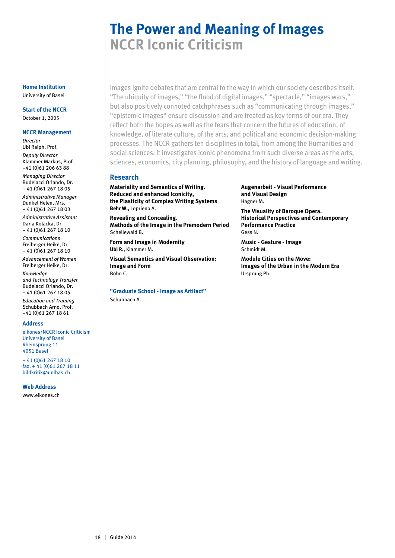# **The Power and Meaning of Images NCCR Iconic Criticism**

Images ignite debates that are central to the way in which our society describes itself. "The ubiquity of images," "the flood of digital images," "spectacle," "images wars," but also positively connoted catchphrases such as "communicating through images," "epistemic images" ensure discussion and are treated as key terms of our era. They reflect both the hopes as well as the fears that concern the futures of education, of knowledge, of literate culture, of the arts, and political and economic decision-making processes. The NCCR gathers ten disciplines in total, from among the Humanities and social sciences. It investigates iconic phenomena from such diverse areas as the arts, sciences, economics, city planning, philosophy, and the history of language and writing.

#### **Research**

**Materiality and Semantics of Writing. Reduced and enhanced Iconicity, the Plasticity of Complex Writing Systems Behr W.,** Loprieno A.

**Revealing and Concealing. Methods of the Image in the Premodern Period** Schellewald B.

**Form and Image in Modernity Ubl R.,** Klammer M.

**Visual Semantics and Visual Observation: Image and Form** Bohn C.

**"Graduate School - Image as Artifact"** Schubbach A.

**Augenarbeit - Visual Performance and Visual Design** Hagner M.

**The Visuality of Baroque Opera. Historical Perspectives and Contemporary Performance Practice** Gess N.

**Music - Gesture - Image** Schmidt M.

**Module Cities on the Move: Images of the Urban in the Modern Era** Ursprung Ph.

#### **Home Institution** University of Basel

**Start of the NCCR** October 1, 2005

#### **NCCR Management**

*Director* Ubl Ralph, Prof. *Deputy Director* Klammer Markus, Prof. +41 (0)61 206 63 88 *Managing Director* Budelacci Orlando, Dr. + 41 (0)61 267 18 05

*Administrative Manager* Dunkel Helen, Mrs. + 41 (0)61 267 18 03

*Administrative Assistant* Daria Kolacka, Dr.

+ 41 (0)61 267 18 10 *Communications* Freiberger Heike, Dr.

+ 41 (0)61 267 18 10 *Advancement of Women* Freiberger Heike, Dr.

*Knowledge and Technology Transfer* Budelacci Orlando, Dr. + 41 (0)61 267 18 05

*Education and Training* Schubbach Arno, Prof. +41 (0)61 267 18 61

#### **Address**

eikones/NCCR Iconic Criticism University of Basel Rheinsprung 11 4051 Basel

+ 41 (0)61 267 18 10 fax: + 41 (0)61 267 18 11 bildkritik@unibas.ch

**Web Address**

www.eikones.ch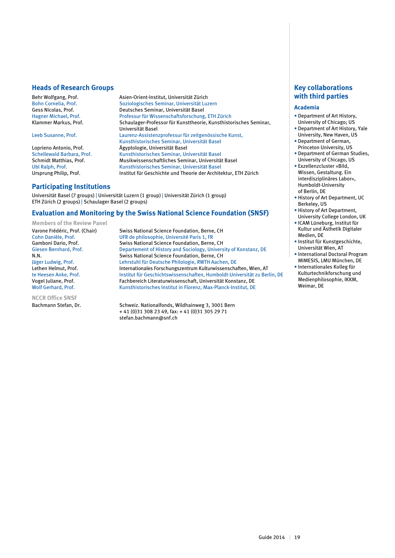#### **Heads of Research Groups**

Behr Wolfgang, Prof. Asien-Orient-Institut, Universität Zürich

Bohn Cornelia, Prof. Soziologisches Seminar, Universität Luzern<br>Gess Nicolas, Prof. Seminar, Universität Basel Gess Nicolas, Prof. Deutsches Seminar, Universität Basel Professur für Wissenschaftsforschung, ETH Zürich Klammer Markus, Prof. Schaulager-Professor für Kunsttheorie, Kunsthistorisches Seminar, Universität Basel<br>Leeb Susanne, Prof. The Museum Laurenz-Assisten. Laurenz-Assistenzprofessur für zeitgenössische Kunst, Kunsthistorisches Seminar, Universität Basel Ägyptologie, Universität Basel Schellewald Barbara, Prof. Kunsthistorisches Seminar, Universität Basel Schmidt Matthias, Prof. Musikwissenschaftliches Seminar, Universität Basel Ubl Ralph, Prof. Kunsthistorisches Seminar, Universität Basel Institut für Geschichte und Theorie der Architektur, ETH Zürich

#### **Participating Institutions**

Universität Basel (7 groups) | Universität Luzern (1 group) | Universität Zürich (1 group) ETH Zürich (2 groups) | Schaulager Basel (2 groups)

#### **Evaluation and Monitoring by the Swiss National Science Foundation (SNSF)**

**Members of the Review Panel**

**NCCR Office SNSF**

Varone Frédéric, Prof. (Chair) Swiss National Science Foundation, Berne, CH<br>Cohn Danièle, Prof. School Cohn Ure de philosophie, Université Paris 1. FR Cohn Danièle, Prof. 
UFR de philosophie, Université Paris 1, FR<br>
Gamboni Dario, Prof. 
Swiss National Science Foundation, Berne Gamboni Dario, Prof. Swiss National Science Foundation, Berne, CH<br>Giesen Bernhard, Prof. Departement of History and Sociology, Univers Departement of History and Sociology, University of Konstanz, DE N.N. Swiss National Science Foundation, Berne, CH Jäger Ludwig, Prof. Lehrstuhl für Deutsche Philologie, RWTH Aachen, DE Internationales Forschungszentrum Kulturwissenschaften, Wien, AT te Heesen Anke, Prof. Institut für Geschichtswissenschaften, Humboldt-Universität zu Berlin, DE<br>Vogel Juliane, Prof. Institutenter Fachbereich Literaturwissenschaft, Universität Konstanz, DE Vogel Juliane, Prof. Fachbereich Literaturwissenschaft, Universität Konstanz, DE<br>Wolf Gerhard, Prof. Fachbereich Kunsthistorisches Institut in Florenz, Max-Planck-Institut, DE Kunsthistorisches Institut in Florenz, Max-Planck-Institut, DE

Bachmann Stefan, Dr. Schweiz. Nationalfonds, Wildhainweg 3, 3001 Bern + 41 (0)31 308 23 49, fax: + 41 (0)31 305 29 71 stefan.bachmann@snf.ch

#### **Key collaborations with third parties**

#### **Academia**

- Department of Art History, University of Chicago; US
- Department of Art History, Yale University, New Haven, US
- Department of German, Princeton University, US
- Department of German Studies, University of Chicago, US
- Exzellenzcluster «Bild, Wissen, Gestaltung. Ein interdisziplinäres Labor», Humboldt-University of Berlin, DE
- History of Art Department, UC Berkeley, US
- History of Art Department, University College London, UK
- ICAM Lüneburg, Institut für Kultur und Ästhetik Digitaler Medien, DE
- Institut für Kunstgeschichte, Universität Wien, AT
- International Doctoral Program MIMESIS, LMU München, DE
- Internationales Kolleg für Kulturtechnikforschung und Medienphilosophie, IKKM, Weimar, DE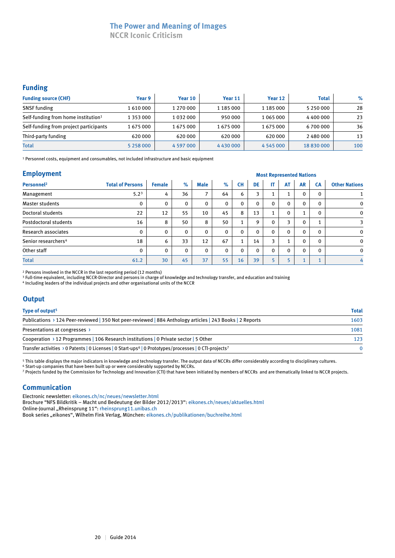### **The Power and Meaning of Images**

**NCCR Iconic Criticism**

#### **Funding**

| <b>Funding source (CHF)</b>                     | Year 9        | Year 10   | Year 11       | Year 12       | <b>Total</b> | $\%$ |
|-------------------------------------------------|---------------|-----------|---------------|---------------|--------------|------|
| <b>SNSF</b> funding                             | 1610000       | 1 270 000 | 1 185 000     | 1 185 000     | 5 250 000    | 28   |
| Self-funding from home institution <sup>1</sup> | 1 353 000     | 1032000   | 950 000       | 1 065 000     | 4 400 000    | 23   |
| Self-funding from project participants          | 1675000       | 1675000   | 1675000       | 1675000       | 6700000      | 36   |
| Third-party funding                             | 620 000       | 620 000   | 620 000       | 620 000       | 2 480 000    | 13   |
| <b>Total</b>                                    | 5 2 5 8 0 0 0 | 4 597 000 | 4 4 3 0 0 0 0 | 4 5 4 5 0 0 0 | 18830000     | 100  |

1 Personnel costs, equipment and consumables, not included infrastructure and basic equipment

#### **Employment**

| <b>Employment</b>               |                         |               | <b>Most Represented Nations</b> |             |              |                            |              |              |              |              |           |                      |
|---------------------------------|-------------------------|---------------|---------------------------------|-------------|--------------|----------------------------|--------------|--------------|--------------|--------------|-----------|----------------------|
| Personnel <sup>2</sup>          | <b>Total of Persons</b> | <b>Female</b> | $\%$                            | <b>Male</b> | $\%$         | <b>CH</b>                  | DE           | IT.          | <b>AT</b>    | <b>AR</b>    | <b>CA</b> | <b>Other Nations</b> |
| Management                      | 5.2 <sup>3</sup>        | 4             | 36                              | 7           | 64           | 6                          | 3            |              | 1            | $\mathbf{0}$ | $\Omega$  |                      |
| Master students                 | 0                       | $\mathbf{0}$  | 0                               | 0           | $\mathbf{0}$ | $\Omega$                   | $\mathbf{0}$ | 0            | $\mathbf 0$  | $\mathbf{0}$ | 0         | $\mathbf 0$          |
| Doctoral students               | 22                      | 12            | 55                              | 10          | 45           | 8                          | 13           |              | $\mathbf 0$  |              | $\Omega$  | $\mathbf 0$          |
| Postdoctoral students           | 16                      | 8             | 50                              | 8           | 50           | 1                          | 9            | 0            | 3            | $\mathbf 0$  |           | 3                    |
| Research associates             | 0                       | 0             | $\Omega$                        | 0           | $\mathbf 0$  | 0                          | $\Omega$     | $\mathbf{0}$ | $\mathbf{0}$ | $\mathbf{0}$ | $\Omega$  | $\mathbf 0$          |
| Senior researchers <sup>4</sup> | 18                      | 6             | 33                              | 12          | 67           | $\blacktriangleleft$<br>л. | 14           | 3            | $\mathbf{1}$ | $\Omega$     | $\Omega$  | $\mathbf 0$          |
| Other staff                     | 0                       | $\mathbf{0}$  | $\Omega$                        | 0           | $\mathbf{0}$ | $\Omega$                   | $\mathbf{0}$ | $\Omega$     | $\mathbf{0}$ | $\Omega$     | $\Omega$  | $\mathbf 0$          |
| <b>Total</b>                    | 61.2                    | 30            | 45                              | 37          | 55           | 16                         | 39           |              | 5            |              |           | 4                    |

2 Persons involved in the NCCR in the last reporting period (12 months)

<sup>3</sup> Full-time equivalent, including NCCR-Director and persons in charge of knowledge and technology transfer, and education and training

4 Including leaders of the individual projects and other organisational units of the NCCR

#### **Output**

| Type of output <sup>5</sup>                                                                                                                | <b>Total</b> |
|--------------------------------------------------------------------------------------------------------------------------------------------|--------------|
| Publications > 124 Peer-reviewed   350 Not peer-reviewed   884 Anthology articles   243 Books   2 Reports                                  | 1603         |
| Presentations at congresses >                                                                                                              | 1081         |
| Cooperation > 12 Programmes   106 Research institutions   0 Private sector   5 Other                                                       | 123          |
| Transfer activities $\rightarrow$ 0 Patents   0 Licenses   0 Start-ups <sup>6</sup>   0 Prototypes/processes   0 CTI-projects <sup>7</sup> | $\Omega$     |

5 This table displays the major indicators in knowledge and technology transfer. The output data of NCCRs differ considerably according to disciplinary cultures. 6 Start-up companies that have been built up or were considerably supported by NCCRs.

7 Projects funded by the Commission for Technology and Innovation (CTI) that have been initiated by members of NCCRs and are thematically linked to NCCR projects.

#### **Communication**

Electronic newsletter: eikones.ch/nc/neues/newsletter.html

Brochure "NFS Bildkritik – Macht und Bedeutung der Bilder 2012/2013": eikones.ch/neues/aktuelles.html

Online-Journal "Rheinsprung 11": rheinsprung11.unibas.ch

Book series "eikones", Wilhelm Fink Verlag, München: eikones.ch/publikationen/buchreihe.html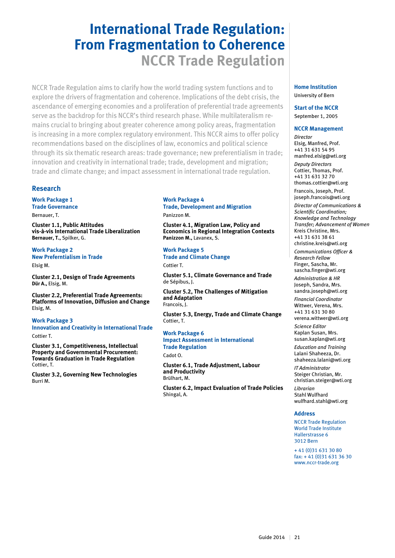## **International Trade Regulation: From Fragmentation to Coherence NCCR Trade Regulation**

NCCR Trade Regulation aims to clarify how the world trading system functions and to explore the drivers of fragmentation and coherence. Implications of the debt crisis, the ascendance of emerging economies and a proliferation of preferential trade agreements serve as the backdrop for this NCCR's third research phase. While multilateralism remains crucial to bringing about greater coherence among policy areas, fragmentation is increasing in a more complex regulatory environment. This NCCR aims to offer policy recommendations based on the disciplines of law, economics and political science through its six thematic research areas: trade governance; new preferentialism in trade; innovation and creativity in international trade; trade, development and migration; trade and climate change; and impact assessment in international trade regulation.

#### **Research**

**Work Package 1 Trade Governance**

Bernauer, T.

**Cluster 1.1, Public Attitudes vis-à-vis International Trade Liberalization Bernauer, T.,** Spilker, G.

**Work Package 2 New Preferntialism in Trade** Elsig M.

**Cluster 2.1, Design of Trade Agreements Dür A.,** Elsig, M.

**Cluster 2.2, Preferential Trade Agreements: Platforms of Innovation, Diffusion and Change** Elsig, M.

**Work Package 3 Innovation and Creativity in International Trade** Cottier T.

**Cluster 3.1, Competitiveness, Intellectual Property and Governmental Procurement: Towards Graduation in Trade Regulation** Cottier, T.

**Cluster 3.2, Governing New Technologies** Burri M.

#### **Work Package 4 Trade, Development and Migration**

Panizzon M.

**Cluster 4.1, Migration Law, Policy and Economics in Regional Integration Contexts Panizzon M.,** Lavanex, S.

**Work Package 5 Trade and Climate Change** Cottier T.

**Cluster 5.1, Climate Governance and Trade** de Sépibus, J.

**Cluster 5.2, The Challenges of Mitigation and Adaptation** Francois, J.

**Cluster 5.3, Energy, Trade and Climate Change** Cottier, T.

**Work Package 6 Impact Assessment in International Trade Regulation** Cadot O.

**Cluster 6.1, Trade Adjustment, Labour and Productivity** Brülhart, M.

**Cluster 6.2, Impact Evaluation of Trade Policies** Shingal, A.

#### **Home Institution** University of Bern

**Start of the NCCR** September 1, 2005

#### **NCCR Management**

*Director* Elsig, Manfred, Prof. +41 31 631 54 95 manfred.elsig@wti.org *Deputy Directors* Cottier, Thomas, Prof. +41 31 631 32 70 thomas.cottier@wti.org Francois, Joseph, Prof. joseph.francois@wti.org

*Director of Communications & Scientific Coordination; Knowledge and Technology Transfer; Advancement of Women* Kreis Christine, Mrs. +41 31 631 38 61 christine.kreis@wti.org *Communications Officer & Research Fellow* Finger, Sascha, Mr. sascha.finger@wti.org *Administration & HR* Joseph, Sandra, Mrs. sandra.joseph@wti.org *Financial Coordinator* Wittwer, Verena, Mrs. +41 31 631 30 80 verena.wittwer@wti.org *Science Editor* Kaplan Susan, Mrs. susan.kaplan@wti.org *Education and Training* Lalani Shaheeza, Dr. shaheeza.lalani@wti.org *IT Administrator* Steiger Christian, Mr. christian.steiger@wti.org *Librarian* Stahl Wulfhard wulfhard.stahl@wti.org **Address**

NCCR Trade Regulation World Trade Institute Hallerstrasse 6 3012 Bern

+ 41 (0)31 631 30 80 fax: + 41 (0)31 631 36 30 www.nccr-trade.org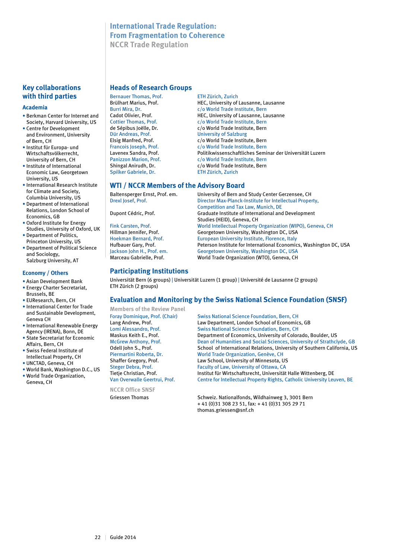#### **International Trade Regulation: From Fragmentation to Coherence NCCR Trade Regulation**

#### **Key collaborations with third parties**

#### **Academia**

- Berkman Center for Internet and Society, Harvard University, US
- Centre for Development and Environment, University of Bern, CH
- Institut für Europa- und Wirtschaftsvölkerrecht, University of Bern, CH
- Institute of International Economic Law, Georgetown University, US
- International Research Institute for Climate and Society, Columbia University, US
- Department of International Relations, London School of Economics, GB
- Oxford Institute for Energy Studies, University of Oxford, UK
- Department of Politics, Princeton University, US
- Department of Political Science and Sociology, Salzburg University, AT

#### **Economy / Others**

- Asian Development Bank • Energy Charter Secretariat,
- Brussels, BE • EUResearch, Bern, CH
- International Center for Trade and Sustainable Development, Geneva CH
- International Renewable Energy Agency (IRENA), Bonn, DE • State Secretariat for Economic
- Affairs, Bern, CH • Swiss Federal Institute of
- Intellectual Property, CH • UNCTAD, Geneva, CH
- World Bank, Washington D.C., US
- World Trade Organization, Geneva, CH

#### **Heads of Research Groups**

Bernauer Thomas, Prof. ETH Zürich, Zurich Dür Andreas, Prof. University of Salzburg Spilker Gabriele, Dr.

Brülhart Marius, Prof.<br>
Brülhart Mira Dr. (O World Trade Institute, Bern Burri Mira, Dr. Cameras Company Company Company Company Company Company Company Company Company Company Company Company Company Company Company Company Company Company Company Company Company Company Company Company Compan Cadot Olivier, Prof.<br>
Colling Thomas Prof Colling Colling Colling Professional Colling Professional Colling Professional Colling Prof c/o World Trade Institute, Bern. de Sépibus Joëlle, Dr. c/o World Trade Institute, Bern<br>Dür Andreas, Prof. comparent University of Salzburg Elsig Manfred, Prof.<br>
Francois Joseph, Prof.<br>
c/o World Trade Institute, Bern Francois Joseph, Prof.<br>
Lavenex Sandra. Prof.<br>
Politikwissenschaftliches Semi Politikwissenschaftliches Seminar der Universität Luzern Panizzon Marion, Prof. c/o World Trade Institute, Bern Shingal Anirudh, Dr.<br>
Spilker Gabriele, Dr.<br>
ETH Zürich, Zurich Lurich

#### **WTI / NCCR Members of the Advisory Board**

Baltensperger Ernst, Prof. em.<br>
Director Max-Planck-Institute for Intellectual Prope<br>
Director Max-Planck-Institute for Intellectual Prope Director Max-Planck-Institute for Intellectual Property, Competition and Tax Law, Munich, DE Dupont Cédric, Prof. Graduate Institute of International and Development Studies (HEID), Geneva, CH<br>Fink Carsten, Prof. The Studies (HEID), Geneva, CH<br>World Intellectual Property World Intellectual Property Organization (WIPO), Geneva, CH Hillman Jennifer, Prof. Georgetown University, Washington DC, USA European University Institute, Florence, Italy Hufbauer Gary, Prof. Peterson Institute for International Economics, Washington DC, USA<br>Jackson John H., Prof. em. Georgetown University, Washington DC, USA Jackson John H., Prof. em.<br>
Marceau Gabrielle, Prof. World Trade Organization (WTO), Geneva, CH World Trade Organization (WTO), Geneva, CH

#### **Participating Institutions**

Universität Bern (6 groups) | Universität Luzern (1 group) | Université de Lausanne (2 groups) ETH Zürich (2 groups)

#### **Evaluation and Monitoring by the Swiss National Science Foundation (SNSF)**

**Members of the Review Panel**

**NCCR Office SNSF**

Foray Dominique, Prof. (Chair) Swiss National Science Foundation, Bern, CH<br>
Lang Andrew. Prof. 
Law Department. London School of Economic Law Department, London School of Economics, GB<br>Lomi Alessandro, Prof. Swiss National Science Foundation, Bern, CH Lomi Alessandro, Prof. Swiss National Science Foundation, Bern, CH<br>Maskus Keith E.. Prof. Department of Economics. University of Color Department of Economics, University of Colorado, Boulder, US McGrew Anthony, Prof. Dean of Humanities and Social Sciences, University of Strathclyde, GB<br>Odell John S., Prof. School of International Relations, University of Southern California, US Odell John S., Prof. School of International Relations, University of Southern California, US<br>Piermartini Roberta. Dr. School Trade Organization. Genève. CH World Trade Organization, Genève, CH Shaffer Gregory, Prof. Law School, University of Minnesota, US Steger Debra, Prof. Faculty of Law, University of Ottawa, CA<br>Tietie Christian, Prof. Faculty of Law, University of Ottawa, CA Institut für Wirtschaftsrecht, Universität Halle Wittenberg, DE Van Overwalle Geertrui, Prof. Centre for Intellectual Property Rights, Catholic University Leuven, BE

Griessen Thomas Schweiz. Nationalfonds, Wildhainweg 3, 3001 Bern + 41 (0)31 308 23 51, fax: + 41 (0)31 305 29 71 thomas.griessen@snf.ch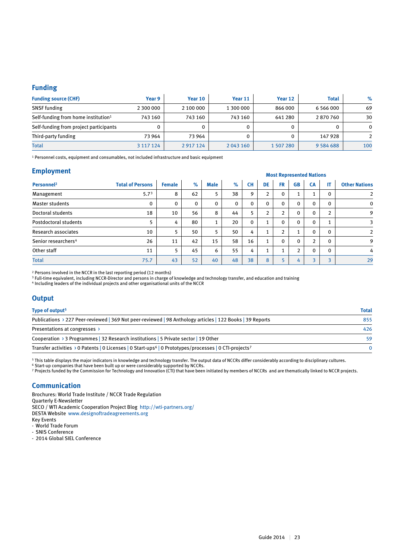#### **Funding**

| <b>Funding source (CHF)</b>                     | Year 9        | Year 10   | Year 11   | Year 12   | <b>Total</b>  | $\%$ |
|-------------------------------------------------|---------------|-----------|-----------|-----------|---------------|------|
| <b>SNSF</b> funding                             | 2 300 000     | 2 100 000 | 1 300 000 | 866 000   | 6 5 6 6 0 0 0 | 69   |
| Self-funding from home institution <sup>1</sup> | 743 160       | 743 160   | 743 160   | 641 280   | 2870760       | 30   |
| Self-funding from project participants          |               |           |           | 0         |               | 0    |
| Third-party funding                             | 73 964        | 73 964    |           | 0         | 147 928       |      |
| <b>Total</b>                                    | 3 1 1 7 1 2 4 | 2917124   | 2 043 160 | 1 507 280 | 9 5 8 4 6 8 8 | 100  |

1 Personnel costs, equipment and consumables, not included infrastructure and basic equipment

#### **Employment**

|                                 |                         | <b>MOST REPLESENTED MATIONS</b> |      |      |             |           |                |              |                |              |                |                      |
|---------------------------------|-------------------------|---------------------------------|------|------|-------------|-----------|----------------|--------------|----------------|--------------|----------------|----------------------|
| Personnel <sup>2</sup>          | <b>Total of Persons</b> | <b>Female</b>                   | $\%$ | Male | $\%$        | <b>CH</b> | <b>DE</b>      | <b>FR</b>    | <b>GB</b>      | <b>CA</b>    | IT             | <b>Other Nations</b> |
| Management                      | 5.7 <sup>3</sup>        | 8                               | 62   | 5    | 38          | 9         | $\overline{2}$ | $\mathbf{0}$ | $\mathbf{1}$   |              | 0              | $\overline{2}$       |
| <b>Master students</b>          | 0                       | 0                               | 0    | 0    | $\mathbf 0$ | 0         | $\mathbf{0}$   | 0            | $\mathbf 0$    | $\mathbf{0}$ | $\mathbf{0}$   | 0                    |
| Doctoral students               | 18                      | 10                              | 56   | 8    | 44          | 5         | 2              |              | $\mathbf 0$    | $\mathbf{0}$ | n.             | 9                    |
| Postdoctoral students           | 5                       | 4                               | 80   | л.   | 20          | 0         |                | $\mathbf{0}$ | $\mathbf{0}$   | $\mathbf{0}$ |                | 3                    |
| Research associates             | 10                      | 5                               | 50   | 5    | 50          | 4         |                |              | $\mathbf{1}$   | $\mathbf{0}$ | $\Omega$       | $\mathfrak{D}$       |
| Senior researchers <sup>4</sup> | 26                      | 11                              | 42   | 15   | 58          | 16        |                | $\mathbf{0}$ | $\mathbf 0$    | 2            | $\mathbf{0}$   | 9                    |
| Other staff                     | 11                      | 5                               | 45   | 6    | 55          | 4         |                |              | $\overline{2}$ | $\mathbf{0}$ | $\Omega$       | 4                    |
| <b>Total</b>                    | 75.7                    | 43                              | 52   | 40   | 48          | 38        | 8              |              | 4              | 3            | $\overline{a}$ | 29                   |
|                                 |                         |                                 |      |      |             |           |                |              |                |              |                |                      |

2 Persons involved in the NCCR in the last reporting period (12 months)

 $^{\rm 3}$  Full-time equivalent, including NCCR-Director and persons in charge of knowledge and technology transfer, and education and training

4 Including leaders of the individual projects and other organisational units of the NCCR

#### **Output**

| Type of output <sup>5</sup>                                                                                                    | <b>Total</b> |
|--------------------------------------------------------------------------------------------------------------------------------|--------------|
| Publications > 227 Peer-reviewed   369 Not peer-reviewed   98 Anthology articles   122 Books   39 Reports                      | 855          |
| Presentations at congresses >                                                                                                  | 426          |
| Cooperation > 3 Programmes   32 Research institutions   5 Private sector   19 Other                                            | 59           |
| Transfer activities > 0 Patents   0 Licenses   0 Start-ups <sup>6</sup>   0 Prototypes/processes   0 CTI-projects <sup>7</sup> |              |

5 This table displays the major indicators in knowledge and technology transfer. The output data of NCCRs differ considerably according to disciplinary cultures.

6 Start-up companies that have been built up or were considerably supported by NCCRs.

7 Projects funded by the Commission for Technology and Innovation (CTI) that have been initiated by members of NCCRs and are thematically linked to NCCR projects.

#### **Communication**

Brochures: World Trade Institute / NCCR Trade Regulation Quarterly E-Newsletter SECO / WTI Academic Cooperation Project Blog http://wti-partners.org/ DESTA Website www.designoftradeagreements.org Key Events - World Trade Forum - SNIS Conference

- 2014 Global SIEL Conference

 **Most Represented Nations**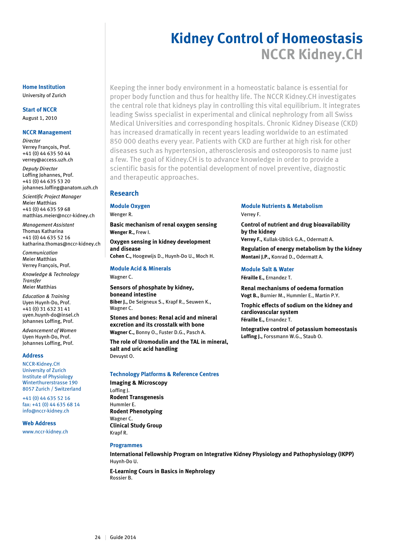## **Kidney Control of Homeostasis NCCR Kidney.CH**

Keeping the inner body environment in a homeostatic balance is essential for proper body function and thus for healthy life. The NCCR Kidney.CH investigates the central role that kidneys play in controlling this vital equilibrium. It integrates leading Swiss specialist in experimental and clinical nephrology from all Swiss Medical Universities and corresponding hospitals. Chronic Kidney Disease (CKD) has increased dramatically in recent years leading worldwide to an estimated 850 000 deaths every year. Patients with CKD are further at high risk for other diseases such as hypertension, atherosclerosis and osteoporosis to name just a few. The goal of Kidney.CH is to advance knowledge in order to provide a scientific basis for the potential development of novel preventive, diagnostic and therapeutic approaches.

#### **Research**

#### **Module Oxygen**

Wenger R.

Wagner C.

**Basic mechanism of renal oxygen sensing Wenger R.,** Frew I.

**Oxygen sensing in kidney development and disease Cohen C.,** Hoogewijs D., Huynh-Do U., Moch H.

#### **Module Acid & Minerals**

**Sensors of phosphate by kidney, boneand intestine Biber J.,** De Seigneux S., Krapf R., Seuwen K., Wagner C.

**Stones and bones: Renal acid and mineral excretion and its crosstalk with bone Wagner C.,** Bonny O., Fuster D.G., Pasch A.

**The role of Uromodulin and the TAL in mineral, salt and uric acid handling** Devuyst O.

#### **Technology Platforms & Reference Centres**

**Imaging & Microscopy** Loffing J. **Rodent Transgenesis** Hummler E. **Rodent Phenotyping** Wagner C. **Clinical Study Group**  Krapf R.

#### **Programmes**

**International Fellowship Program on Integrative Kidney Physiology and Pathophysiology (IKPP)** Huynh-Do U.

**E-Learning Cours in Basics in Nephrology** Rossier B.

#### **Module Nutrients & Metabolism**  Verrey F.

**Control of nutrient and drug bioavailability by the kidney**

**Verrey F.,** Kullak-Ublick G.A., Odermatt A.

**Regulation of energy metabolism by the kidney Montani J.P.,** Konrad D., Odermatt A.

#### **Module Salt & Water**

**Féraille E.,** Ernandez T.

**Renal mechanisms of oedema formation Vogt B.,** Burnier M., Hummler E., Martin P.Y.

**Trophic effects of sodium on the kidney and cardiovascular system Féraille E.,** Ernandez T.

**Integrative control of potassium homeostasis Loffing J.,** Forssmann W.G., Staub O.

#### **Home Institution** University of Zurich

#### **Start of NCCR**

August 1, 2010

#### **NCCR Management**

*Director* Verrey François, Prof. +41 (0) 44 635 50 44 verrey@access.uzh.ch

*Deputy Director* Loffing Johannes, Prof. +41 (0) 44 635 53 20 johannes.loffing@anatom.uzh.ch

*Scientific Project Manager*  Meier Matthias +41 (0) 44 635 59 68 matthias.meier@nccr-kidney.ch

*Management Assistant*  Thomas Katharina +41 (0) 44 635 52 16 katharina.thomas@nccr-kidney.ch

*Communication* Meier Matthias Verrey François, Prof.

*Knowledge & Technology Transfer* Meier Matthias

*Education & Training* Uyen Huynh-Do, Prof. +41 (0) 31 632 31 41 uyen.huynh-do@insel.ch Johannes Loffing, Prof.

*Advancement of Women* Uyen Huynh-Do, Prof. Johannes Loffing, Prof.

#### **Address**

NCCR-Kidney.CH University of Zurich Institute of Physiology Winterthurerstrasse 190 8057 Zurich / Switzerland

+41 (0) 44 635 52 16 fax: +41 (0) 44 635 68 14 info@nccr-kidney.ch

#### **Web Address**

www.nccr-kidney.ch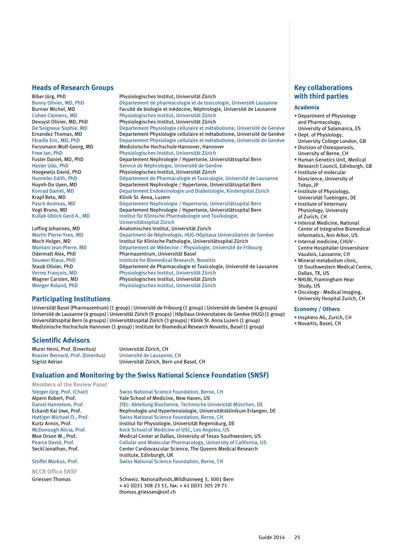#### **Heads of Research Groups**

Biber Jürg, PhD Physiologisches Institut, Universität Zürich<br>Bonny Olivier, MD, PhD Département de pharmacologie et de toxico Bonny Olivier, MD, PhD Département de pharmacologie et de toxicologie, Université Lausanne<br>Burnier Michel. MD Baculté de biologie et médecine. Néphrologie. Université de Lausanne Burnier Michel, MD<br>Cohen Clemens. MD Faculté de biologie et médecine, Néphrologie, Université de Lausanne Cohen Clemens, MD Physiologisches Institut, Universität Zürich De Seigneux Sophie, MD Departement Physiologie cellulaire et métabolisme, Université de Genève Ernandez Thomas, MD Departement Physiologie cellulaire et métabolisme, Université de Genève Forssmann Wolf-Georg, MD Medizinische Hochschule Hannover, Hannover Fuster Daniel, MD, PhD Departement Nephrologie / Hypertonie, Universitätsspital Bern Hasler Udo, PhD Service de Néphrologie, Université de Genève<br>Hoogewijs David, PhD Physiologisches Institut, Universität Zürich Hoogewijs David, PhD Physiologisches Institut, Universität Zürich<br>Hummler Edith, PhD Département de Pharmacologie et Toxicolog Hummler Edith, PhD **Département de Pharmacologie et Toxicologie**, Université de Lausanne<br>Huvnh-Do Uven. MD **Departement Nephrologie / Hypertonie. Universitätsspital Bern** Konrad Daniel, MD Departement Endokrinologie und Diabetologie, Kinderspital Zürich<br>
Kinik St. Anna, Luzern<br>
Kinik St. Anna, Luzern Krapf Reto, MD<br>Pasch Andreas. MD Benartement Nephrology Vogt Bruno, MD Departement Nephrologie / Hypertonie, Universitätsspital Bern

 Universitätsspital Zürich Loffing Johannes, MD Anatomisches Institut, Universität Zürich Moch Holger, MD Institut für Klinische Pathologie, Universitätsspital Zürich Montani Jean-Pierre, MD Département de Médecine / Physiologie, Université de Fribourg<br>Odermatt Alex, PhD Pharmazentrum, Universität Basel Seuwen Klaus, PhD **Institute for Biomedical Research, Novartis**<br>Staub Olivier. PhD **Institute Contained Acts** Département de Pharmacologie et Toxicolo Verrey François, MD Physiologisches Institut, Universität Zürich Wagner Carsten, MD Physiologisches Institut, Universität Zürich

#### **Participating Institutions**

Universität Basel (Pharmazentrum) (1 group) | Université de Fribourg (1 group) | Université de Genève (4 groups) Université de Lausanne (4 groups) | Universität Zürich (9 groups) | Hôpitaux Universitaires de Genève (HUG) (1 group) Universitätsspital Bern (4 groups) | Universitätsspital Zürich (3 groups) | Klinik St. Anna Luzern (1 group) Medizinische Hochschule Hannover (1 group) | Institute for Biomedical Research Novartis, Basel (1 group)

Pharmazentrum, Universität Basel

Physiologisches Institut, Universität Zürich

Physiologisches Institut, Universität Zürich

Physiologisches Institut, Universität Zürich

Departement Physiologie cellulaire et métabolisme, Université de Genève

Departement Nephrologie / Hypertonie, Universitätsspital Bern

Pasch Andreas, MD Departement Nephrologie / Hypertonie, Universitätsspital Bern

Department de Néphrologie, HUG-Hôpitaux Universitaires de Genève

Département de Pharmacologie et Toxicologie, Université de Lausanne

**Institut für Klinische Pharmakologie und Toxikologie.** 

#### **Scientific Advisors**

Murer Heini, Prof. (Emeritus) Universität Zürich, CH Rossier Bernard, Prof. (Emeritus) Université de Lausanne, CH

Universität Zürich, Bern und Basel, CH

#### **Evaluation and Monitoring by the Swiss National Science Foundation (SNSF)**

**Members of the Review Panel**

**NCCR Office SNSF**

Steiger Jürg, Prof. (Chair) Swiss National Science Foundation, Berne, CH<br>
Albern Robert. Prof. Shool of Medicine. New Haven. US Alpern Robert, Prof.<br>
Daniel Hannelore, Prof. 21EL-Abteilung Biochemie, Technische U Daniel Hannelore, Prof. 21EL- Abteilung Biochemie, Technische Universität München, DE<br>Eckardt Kai Uwe, Prof. 2006 Nephrologie und Hypertensiologie, Universitätsklinikum Erlange Eckardt Kai Uwe, Prof. Nephrologie und Hypertensiologie, Universitätsklinikum Erlangen, DE<br>Hottiger Michael O., Prof. Swiss National Science Foundation, Berne, CH Swiss National Science Foundation, Berne, CH Kurtz Armin, Prof. **Institut für Physiologie, Universität Regensburg**, DE McDonough Alicia, Prof. Keck School of Medicine of USC, Los Angeles, US<br>
Moe Orson W.. Prof. Medical Center at Dallas. University of Texas Sout Medical Center at Dallas, University of Texas Southwestern, US Pearce David, Prof. Cellular and Molecular Pharmacology, University of California, US<br>
Center Cardiovascular Science. The Queens Medical Research Center Cardiovascular Science, The Queens Medical Research Institute, Edinburgh, UK<br>Institute, Edinburgh, UK<br>Swiss National Science I Swiss National Science Foundation, Berne, CH

Griessen Thomas Schweiz. Nationalfonds, Wildhainweg 3, 3001 Bern + 41 (0)31 308 23 51, fax: + 41 (0)31 305 29 71 thomas.griessen@snf.ch

#### **Key collaborations with third parties**

#### **Academia**

- Department of Physiology and Pharmacology, University of Salamanca, ES
- Dept. of Physiology,
- University College London, GB • Division of Osteoporosis,
- Unversity of Berne, CH • Human Genetics Unit, Medical Research Council, Edinburgh, GB
- Institute of molecular
- bioscience, University of Tokyo, JP
- Institute of Physiology, Universität Tuebingen, DE
- Institute of Veterinary Physiology, University of Zurich, CH
- Internal Medicine, National Center of Integrative Biomedical Informatics, Ann Arbor, US
- Internal medicine, CHUV Centre Hospitalier Universitaire
- Vaudois, Lausanne, CH • Mineral metabolism clinic, Ut Southwestern Medical Centre, Dallas, TX, US
- NHLBI, Framingham Hear Study, US
- Oncology Medical Imaging, University Hospital Zurich, CH

#### **Economy / Others**

- Insphero AG, Zurich, CH
- Novartis, Basel, CH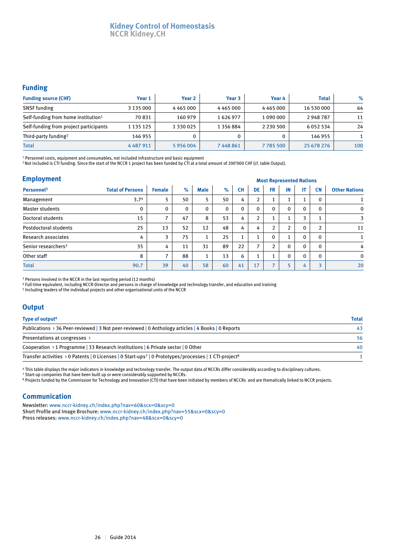#### **Kidney Control of Homeostasis NCCR Kidney.CH**

#### **Funding**

| <b>Funding source (CHF)</b>                     | Year 1        | Year <sub>2</sub> | Year 3        | Year 4          | <b>Total</b> | $\%$ |
|-------------------------------------------------|---------------|-------------------|---------------|-----------------|--------------|------|
| <b>SNSF</b> funding                             | 3 135 000     | 4465000           | 4465000       | 4 4 6 5 0 0 0   | 16 530 000   | 64   |
| Self-funding from home institution <sup>1</sup> | 70831         | 160 979           | 1626977       | 1 0 9 0 0 0 0 0 | 2948787      | 11   |
| Self-funding from project participants          | 1 135 125     | 1 3 3 0 0 2 5     | 1 3 5 6 8 8 4 | 2 2 3 0 5 0 0   | 6052534      | 24   |
| Third-party funding <sup>2</sup>                | 146 955       |                   |               |                 | 146 955      |      |
| <b>Total</b>                                    | 4 4 8 7 9 1 1 | 5956004           | 7448861       | 7785500         | 25 678 276   | 100  |

1 Personnel costs, equipment and consumables, not included infrastructure and basic equipment

2 Not included is CTI funding. Since the start of the NCCR 1 project has been funded by CTI at a total amount of 200'000 CHF (cf. table Output).

| <b>Employment</b>               | <b>Most Represented Nations</b> |               |          |             |          |              |                          |              |                |                          |                |                      |
|---------------------------------|---------------------------------|---------------|----------|-------------|----------|--------------|--------------------------|--------------|----------------|--------------------------|----------------|----------------------|
| Personnel <sup>3</sup>          | <b>Total of Persons</b>         | <b>Female</b> | $\%$     | <b>Male</b> | $\%$     | <b>CH</b>    | DE                       | <b>FR</b>    | IN             | IT                       | <b>CN</b>      | <b>Other Nations</b> |
| Management                      | 3.7 <sup>4</sup>                |               | 50       | 5           | 50       | 4            | $\overline{2}$           |              | ı              | $\overline{\phantom{a}}$ | 0              |                      |
| <b>Master students</b>          | 0                               | 0             | $\Omega$ | 0           | $\Omega$ | $\Omega$     | $\mathbf{0}$             | 0            | $\mathbf{0}$   | $\mathbf{0}$             | $\Omega$       | $\mathbf{0}$         |
| Doctoral students               | 15                              | –             | 47       | 8           | 53       | 4            | 2                        |              |                | 3                        |                | 3                    |
| Postdoctoral students           | 25                              | 13            | 52       | 12          | 48       | 4            | 4                        |              | $\overline{2}$ | $\Omega$                 | $\overline{2}$ | 11                   |
| Research associates             | 4                               | 3             | 75       | 1           | 25       | $\mathbf{1}$ | $\overline{ }$           | $\mathbf{0}$ | $\overline{ }$ | $\Omega$                 | 0              | 1                    |
| Senior researchers <sup>5</sup> | 35                              | 4             | 11       | 31          | 89       | 22           | $\overline{\phantom{a}}$ | <sup>1</sup> | $\mathbf 0$    | $\Omega$                 | $\Omega$       | 4                    |
| Other staff                     | 8                               | ⇁             | 88       | 1           | 13       | 6            |                          |              | $\mathbf{0}$   | $\Omega$                 | $\Omega$       | $\mathbf{0}$         |
| <b>Total</b>                    | 90.7                            | 39            | 40       | 58          | 60       | 41           | 17                       |              | 5              | 4                        | ∍              | 20                   |

3 Persons involved in the NCCR in the last reporting period (12 months)

4 Full-time equivalent, including NCCR-Director and persons in charge of knowledge and technology transfer, and education and training

5 Including leaders of the individual projects and other organisational units of the NCCR

#### **Output**

| Type of output <sup>6</sup>                                                                                                   | <b>Total</b> |
|-------------------------------------------------------------------------------------------------------------------------------|--------------|
| Publications > 36 Peer-reviewed   3 Not peer-reviewed   0 Anthology articles   4 Books   0 Reports                            | 43           |
| Presentations at congresses >                                                                                                 | 56           |
| Cooperation > 1 Programme   33 Research institutions   6 Private sector   0 Other                                             | 40           |
| Transfer activities > 0 Patents   0 Licenses   0 Start-ups <sup>7</sup>   0 Prototypes/processes   1 CTI-project <sup>8</sup> |              |

6 This table displays the major indicators in knowledge and technology transfer. The output data of NCCRs differ considerably according to disciplinary cultures.

7 Start-up companies that have been built up or were considerably supported by NCCRs.

8 Projects funded by the Commission for Technology and Innovation (CTI) that have been initiated by members of NCCRs and are thematically linked to NCCR projects.

#### **Communication**

Newsletter: www.nccr-kidney.ch/index.php?nav=60&scx=0&scy=0 Short Profile and Image Brochure: www.nccr-kidney.ch/index.php?nav=55&scx=0&scy=0 Press releases: www.nccr-kidney.ch/index.php?nav=48&scx=0&scy=0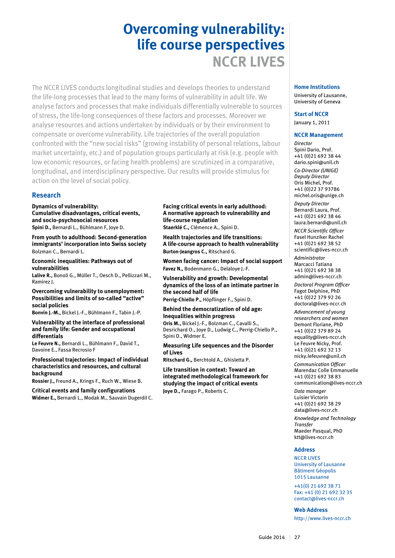# **Overcoming vulnerability: life course perspectives NCCR LIVES**

The NCCR LIVES conducts longitudinal studies and develops theories to understand the life-long processes that lead to the many forms of vulnerability in adult life. We analyse factors and processes that make individuals differentially vulnerable to sources of stress, the life-long consequences of these factors and processes. Moreover we analyse resources and actions undertaken by individuals or by their environment to compensate or overcome vulnerability. Life trajectories of the overall population confronted with the "new social risks" (growing instability of personal relations, labour market uncertainty, etc.) and of population groups particularly at risk (e.g. people with low economic resources, or facing health problems) are scrutinized in a comparative, longitudinal, and interdisciplinary perspective. Our results will provide stimulus for action on the level of social policy.

#### **Research**

**Dynamics of vulnerability:** 

**Cumulative disadvantages, critical events, and socio-psychosocial resources Spini D.,** Bernardi L., Bühlmann F, Joye D.

**From youth to adulthood: Second-generation immigrants' incorporation into Swiss society** Bolzman C., Bernardi L.

**Economic inequalities: Pathways out of vulnerabilities**

**Lalive R.,** Bonoli G., Müller T., Oesch D., Pellizzari M., Ramirez J.

**Overcoming vulnerability to unemployment: Possibilities and limits of so-called "active" social policies**

**Bonvin J.-M.,** Bickel J.-F., Bühlmann F., Tabin J.-P.

**Vulnerability at the interface of professional and family life: Gender and occupational differentials**

**Le Feuvre N.,** Bernardi L., Bühlmann F., David T., Davoine E., Fassa Recrosio F

**Professional trajectories: Impact of individual characteristics and resources, and cultural background**

**Rossier J.,** Freund A., Krings F., Ruch W., Wiese B.

**Critical events and family configurations Widmer E.,** Bernardi L., Modak M., Sauvain Dugerdil C.

#### **Facing critical events in early adulthood: A normative approach to vulnerability and life-course regulation**

**Staerklé C.,** Clémence A., Spini D.

**Health trajectories and life transitions: A life-course approach to health vulnerability Burton-Jeangros C.,** Ritschard G.

**Women facing cancer: Impact of social support Favez N.,** Bodenmann G., Delaloye J.-F.

**Vulnerability and growth: Developmental dynamics of the loss of an intimate partner in the second half of life**

**Perrig-Chiello P.,** Höpflinger F., Spini D.

#### **Behind the democratization of old age: Inequalities within progress**

**Oris M.,** Bickel J.-F., Bolzman C., Cavalli S., Desrichard O., Joye D., Ludwig C., Perrig-Chiello P., Spini D., Widmer E.

#### **Measuring Life sequences and the Disorder of Lives**

**Ritschard G.,** Berchtold A., Ghisletta P.

**Life transition in context: Toward an integrated methodological framework for studying the impact of critical events Joye D.,** Farago P., Roberts C.

### **Home Institutions**

University of Lausanne, University of Geneva

## **Start of NCCR**

January 1, 2011

#### **NCCR Management**

*Director* Spini Dario, Prof. +41 (0)21 692 38 44 dario.spini@unil.ch

*Co-Director (UNIGE) Deputy Director* Oris Michel, Prof. +41 (0)22 37 93786 michel.oris@unige.ch

*Deputy Director* Bernardi Laura, Prof. +41 (0)21 692 38 46 laura.bernardi@unil.ch

*NCCR Scientific Officer* Fasel Hunziker Rachel +41 (0)21 692 38 52 scientific@lives-nccr.ch

*Administrator* Marcacci Tatiana +41 (0)21 692 38 38 admin@lives-nccr.ch

*Doctoral Program Officer* Fagot Delphine, PhD +41 (0)22 379 92 26 doctoral@lives-nccr.ch

*Advancement of young researchers and women* Demont Floriane, PhD +41 (0)22 379 89 24 equality@lives-nccr.ch Le Feuvre Nicky, Prof. +41 (0)21 692 32 13 nicky.lefeuvre@unil.ch

*Communication Officer* Marendaz Colle Emmanuelle +41 (0)21 692 38 83 communication@lives-nccr.ch

*Data manager* Luisier Victorin +41 (0)21 692 38 29 data@lives-nccr.ch

*Knowledge and Technology Transfer* Maeder Pasqual, PhD ktt@lives-nccr.ch

#### **Address**

NCCR LIVES University of Lausanne Bâtiment Géopolis 1015 Lausanne

+41(0) 21 692 38 71 Fax: +41 (0) 21 692 32 35 contact@lives-nccr.ch

**Web Address** http://www.lives-nccr.ch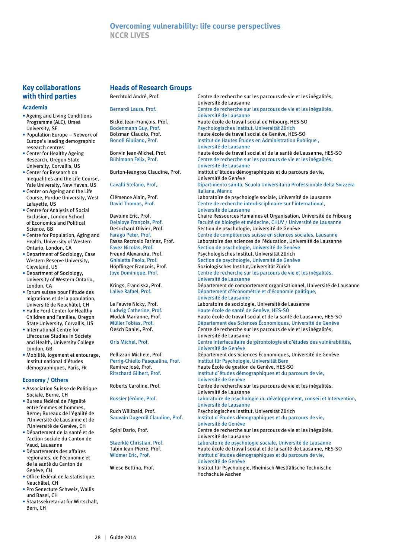#### **Key collaborations with third parties**

#### **Academia**

- Ageing and Living Conditions Programme (ALC), Umeå University, SE
- Population Europe Network of Europe's leading demographic research centres
- Center for Healthy Ageing Research, Oregon State University, Corvallis, US
- Center for Research on Inequalities and the Life Course, Yale University, New Haven, US
- Center on Ageing and the Life Course, Purdue University, West Lafayette, US
- Centre for Analysis of Social Exclusion, London School of Economics and Political Science, GB
- Centre for Population, Aging and Health, University of Western Ontario, London, CA
- Department of Sociology, Case Western Reserve University, Cleveland, US
- Department of Sociology, University of Western Ontario, London, CA
- Forum suisse pour l'étude des migrations et de la population, Université de Neuchâtel, CH
- Hallie Ford Center for Healthy Children and Families, Oregon State University, Corvallis, US
- International Centre for Lifecourse Studies in Society and Health, University College London, GB
- Mobilité, logement et entourage, Institut national d'études démographiques, Paris, FR

#### **Economy / Others**

- Association Suisse de Politique Sociale, Berne, CH
- Bureau fédéral de l'égalité entre femmes et hommes, Berne; Bureaux de l'égalité de l'Université de Lausanne et de l'Université de Genève, CH
- Département de la santé et de l'action sociale du Canton de Vaud, Lausanne
- Départements des affaires régionales, de l'économie et de la santé du Canton de Genève, CH
- Office fédéral de la statistique, Neuchâtel, CH
- Pro Senectute Schweiz, Wallis und Basel, CH
- Staatssekretariat für Wirtschaft, Bern, CH

#### **Heads of Research Groups**

| Berchtold André. Prof. |  |
|------------------------|--|
|------------------------|--|

Centre de recherche sur les parcours de vie et les inégalités, Université de Lausanne Bernardi Laura, Prof. Centre de recherche sur les parcours de vie et les inégalités, Université de Lausanne Bickel Jean-François, Prof. Haute école de travail social de Fribourg, HES-SO Bodenmann Guy, Prof. Prof. Psychologisches Institut, Universität Zürich<br>Bolzman Claudio, Prof. Prof. Profession Haute école de travail social de Genève, HES Haute école de travail social de Genève, HES-SO Bonoli Giuliano, Prof. Institut de Hautes Études en Administration Publique , Université de Lausanne Bonvin Jean-Michel, Prof. Haute école de travail social et de la santé de Lausanne, HES-SO Bühlmann Felix, Prof. Centre de recherche sur les parcours de vie et les inégalités, Université de Lausanne Burton-Jeangros Claudine, Prof. Institut d`études démographiques et du parcours de vie, Université de Genève Dipartimento sanita, Scuola Universitaria Professionale della Svizzera Italiana, Manno Clémence Alain, Prof. Laboratoire de psychologie sociale, Université de Lausanne David Thomas, Prof. Centre de recherche interdisciplinaire sur l'international, Université de Lausanne<br>Chaire Ressources Hum Davoine Eric, Prof. Chaire Ressources Humaines et Organisation, Université de Fribourg<br>Delaloye François, Prof. Faculté de biologie et médecine, CHUV / Université de Lausanne Delaloye François, Prof.<br>
Desrichard Olivier, Prof.<br>
Section de psychologie, Université de Genève Desrichard Olivier, Prof. Section de psychologie, Université de Genève<br>Farago Peter, Prof. Sentre de compétences suisse en sciences sou Centre de compétences suisse en sciences sociales, Lausanne Fassa Recrosio Farinaz, Prof. Laboratoire des sciences de l'éducation, Université de Lausanne Favez Nicolas, Prof. Section de psychologie, Université de Genève Freund Alexandra, Prof. Psychologisches Institut, Universität Zürich Ghisletta Paolo, Prof.<br>
Höpflinger Francois, Prof.<br>
Soziologisches Institut, Universität Zürich Soziologisches Institut, Universität Zürich Joye Dominique, Prof. Centre de recherche sur les parcours de vie et les inégalités, Université de Lausanne Krings, Franciska, Prof. Département de comportement organisationnel, Université de Lausanne Lalive Rafael, Prof. Département d'économétrie et d'économie politique, Université de Lausanne<br>La Feuvre Nicky, Prof. (Laboratoire de sociolog Laboratoire de sociologie, Université de Lausanne Ludwig Catherine, Prof. Haute école de santé de Genève, HES-SO Haute école de travail social et de la santé de Lausanne, HES-SO Müller Tobias, Prof. Département des Sciences Économiques, Université de Genève<br>Oesch Daniel, Prof. Centre de recherche sur les parcours de vie et les inégalités, Centre de recherche sur les parcours de vie et les inégalités, Université de Lausanne Oris Michel, Prof. Centre interfacultaire de gérontologie et d'études des vulnérabilités, Université de Genève Pellizzari Michele, Prof. Département des Sciences Économiques, Université de Genève Perrig-Chiello Pasqualina, Prof. Institut für Psychologie, Universität Bern<br>Ramirez Iosé. Prof. Institut Baute École de gestion de Genève. HES-9 Haute École de gestion de Genève, HES-SO Ritschard Gilbert, Prof. **Institut d'études démographiques et du parcours de vie,**  Université de Genève Roberts Caroline, Prof. Centre de recherche sur les parcours de vie et les inégalités, Université de Lausanne Rossier Jérôme, Prof. Laboratoire de psychologie du développement, conseil et Intervention, Université de Lausanne Ruch Willibald, Prof. Psychologisches Institut, Universität Zürich Sauvain Dugerdil Claudine, Prof. Institut d`études démographiques et du parcours de vie, Université de Genève Spini Dario, Prof. Centre de recherche sur les parcours de vie et les inégalités, Université de Lausanne Staerklé Christian, Prof. Laboratoire de psychologie sociale, Université de Lausanne<br>Tabin Jean-Pierre, Prof. Haute école de travail social et de la santé de Lausanne. HE Haute école de travail social et de la santé de Lausanne, HES-SO Widmer Eric, Prof. **Institut d'études démographiques et du parcours de vie,** Université de Genève<br>Université de Genève<br>Institut für Psycholog Institut für Psychologie, Rheinisch-Westfälische Technische Hochschule Aachen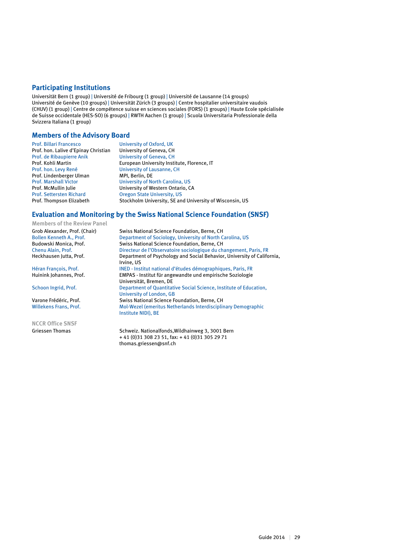#### **Participating Institutions**

Universität Bern (1 group) | Université de Fribourg (1 group) | Université de Lausanne (14 groups) Université de Genève (10 groups) | Universität Zürich (3 groups) | Centre hospitalier universitaire vaudois (CHUV) (1 group) | Centre de compétence suisse en sciences sociales (FORS) (1 groups) | Haute Ecole spécialisée de Suisse occidentale (HES-SO) (6 groups) | RWTH Aachen (1 group) | Scuola Universitaria Professionale della Svizzera Italiana (1 group)

#### **Members of the Advisory Board**

| <b>Prof. Billari Francesco</b>       | University of Oxford, UK                                 |
|--------------------------------------|----------------------------------------------------------|
| Prof. hon. Lalive d'Epinay Christian | University of Geneva, CH                                 |
| Prof. de Ribaupierre Anik            | <b>University of Geneva, CH</b>                          |
| Prof. Kohli Martin                   | European University Institute, Florence, IT              |
| Prof. hon. Levy René                 | University of Lausanne, CH                               |
| Prof. Lindenberger Ulman             | MPI. Berlin. DE                                          |
| <b>Prof. Marshall Victor</b>         | University of North Carolina, US                         |
| Prof. McMullin Julie                 | University of Western Ontario, CA                        |
| <b>Prof. Settersten Richard</b>      | <b>Oregon State University, US</b>                       |
| Prof. Thompson Elizabeth             | Stockholm University, SE and University of Wisconsin, US |

#### **Evaluation and Monitoring by the Swiss National Science Foundation (SNSF)**

**Members of the Review Panel**

**NCCR Office SNSF**

Grob Alexander, Prof. (Chair) Swiss National Science Foundation, Berne, CH<br>Bollen Kenneth A., Prof. Department of Sociology, University of North C Bollen Kenneth A., Prof. Department of Sociology, University of North Carolina, US<br>Budowski Monica, Prof. Swiss National Science Foundation, Berne, CH Budowski Monica, Prof. Swiss National Science Foundation, Berne, CH<br>Chenu Alain, Prof. Directeur de l'Observatoire sociologique du ch Directeur de l'Observatoire sociologique du changement, Paris, FR Heckhausen Jutta, Prof. Department of Psychology and Social Behavior, University of California, Irvine, US Héran François, Prof. **INED - Institut national d'études démographiques**, Paris, FR Huinink Johannes, Prof. EMPAS - Institut für angewandte und empirische Soziologie Universität, Bremen, DE<br>
Schoon Ingrid, Prof.<br>
Department of Quantitat Department of Quantitative Social Science, Institute of Education, University of London, GB<br>Varone Frédéric, Prof. Swiss National Science F Swiss National Science Foundation, Berne, CH Willekens Frans, Prof. Mol-Wezel (emeritus Netherlands Interdisciplinary Demographic Institute NIDI), BE

Griessen Thomas Schweiz. Nationalfonds, Wildhainweg 3, 3001 Bern + 41 (0)31 308 23 51, fax: + 41 (0)31 305 29 71 thomas.griessen@snf.ch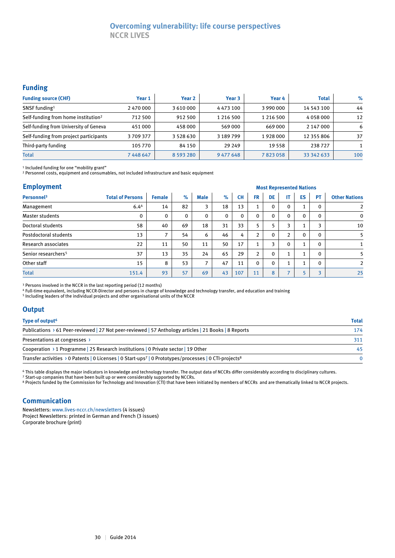### **Overcoming vulnerability: life course perspectives NCCR LIVES**

#### **Funding**

| <b>Funding source (CHF)</b>                     | Year 1  | Year <sub>2</sub> | Year <sub>3</sub> | Year 4        | <b>Total</b> | $\%$ |
|-------------------------------------------------|---------|-------------------|-------------------|---------------|--------------|------|
| SNSF funding <sup>1</sup>                       | 2470000 | 3610000           | 4 4 7 3 1 0 0     | 3 990 000     | 14 543 100   | 44   |
| Self-funding from home institution <sup>2</sup> | 712 500 | 912 500           | 1 216 500         | 1 2 1 6 5 0 0 | 4058000      | 12   |
| Self-funding from University of Geneva          | 451 000 | 458000            | 569 000           | 669 000       | 2 147 000    | 6    |
| Self-funding from project participants          | 3709377 | 3 5 2 8 6 3 0     | 3 189 799         | 1928000       | 12 355 806   | 37   |
| Third-party funding                             | 105 770 | 84 150            | 29 249            | 19 5 58       | 238727       |      |
| <b>Total</b>                                    | 7448647 | 8 5 9 3 2 8 0     | 9 477 648         | 7823058       | 33 342 633   | 100  |

1 Included funding for one "mobility grant"

<sup>2</sup> Personnel costs, equipment and consumables, not included infrastructure and basic equipment

#### **Employment**

| <b>Employment</b>               |                         |               | <b>Most Represented Nations</b> |             |          |              |                |              |                |          |                |                      |
|---------------------------------|-------------------------|---------------|---------------------------------|-------------|----------|--------------|----------------|--------------|----------------|----------|----------------|----------------------|
| Personnel <sup>3</sup>          | <b>Total of Persons</b> | <b>Female</b> | $\%$                            | <b>Male</b> | $\%$     | <b>CH</b>    | <b>FR</b>      | <b>DE</b>    | IT.            | ES       | <b>PT</b>      | <b>Other Nations</b> |
| Management                      | 6.44                    | 14            | 82                              | 3           | 18       | 13           | 1              | $\mathbf{0}$ | 0              |          | $\Omega$       | $\overline{2}$       |
| Master students                 | 0                       | $\mathbf{0}$  | $\Omega$                        | 0           | $\Omega$ | $\mathbf{0}$ | $\mathbf{0}$   | 0            | $\mathbf{0}$   | $\Omega$ | $\mathbf{0}$   | $\mathbf 0$          |
| Doctoral students               | 58                      | 40            | 69                              | 18          | 31       | 33           | 5              |              | 3              |          | 3              | 10                   |
| Postdoctoral students           | 13                      | ⇁             | 54                              | 6           | 46       | 4            | $\overline{2}$ | $\mathbf{0}$ | $\overline{2}$ | $\Omega$ | $\mathbf{0}$   | 5                    |
| Research associates             | 22                      | 11            | 50                              | 11          | 50       | 17           |                | 3            | $\mathbf 0$    |          | $\mathbf{0}$   |                      |
| Senior researchers <sup>5</sup> | 37                      | 13            | 35                              | 24          | 65       | 29           | $\overline{2}$ | $\mathbf{0}$ | 1              |          | $\Omega$       | 5                    |
| Other staff                     | 15                      | 8             | 53                              | 7           | 47       | 11           | $\mathbf{0}$   | $\mathbf{0}$ | 1              |          | $\mathbf{0}$   | $\overline{2}$       |
| <b>Total</b>                    | 151.4                   | 93            | 57                              | 69          | 43       | 107          | 11             | 8            | $\overline{ }$ |          | $\overline{a}$ | 25                   |

<sup>3</sup> Persons involved in the NCCR in the last reporting period (12 months)

4 Full-time equivalent, including NCCR-Director and persons in charge of knowledge and technology transfer, and education and training

5 Including leaders of the individual projects and other organisational units of the NCCR

#### **Output**

| Type of output <sup>6</sup>                                                                                                                | <b>Total</b> |
|--------------------------------------------------------------------------------------------------------------------------------------------|--------------|
| Publications > 61 Peer-reviewed   27 Not peer-reviewed   57 Anthology articles   21 Books   8 Reports                                      | 174          |
| Presentations at congresses >                                                                                                              | 311          |
| Cooperation > 1 Programme 25 Research institutions $\vert$ 0 Private sector $\vert$ 19 Other                                               | 45           |
| Transfer activities $\rightarrow$ 0 Patents   0 Licenses   0 Start-ups <sup>7</sup>   0 Prototypes/processes   0 CTI-projects <sup>8</sup> |              |

6 This table displays the major indicators in knowledge and technology transfer. The output data of NCCRs differ considerably according to disciplinary cultures. 7 Start-up companies that have been built up or were considerably supported by NCCRs.

<sup>8</sup> Projects funded by the Commission for Technology and Innovation (CTI) that have been initiated by members of NCCRs and are thematically linked to NCCR projects.

#### **Communication**

Newsletters: www.lives-nccr.ch/newsletters (4 issues) Project Newsletters: printed in German and French (3 issues) Corporate brochure (print)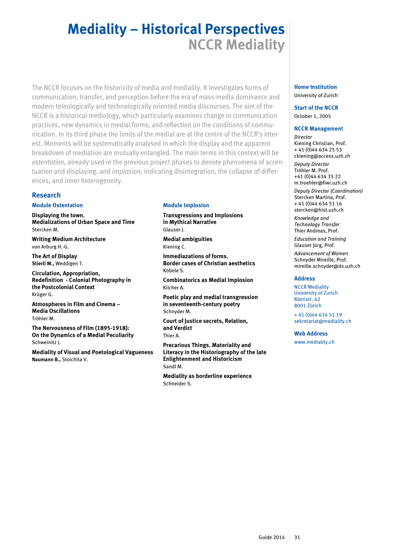# **Mediality – Historical Perspectives NCCR Mediality**

The NCCR focuses on the historicity of media and mediality. It investigates forms of communication, transfer, and perception before the era of mass-media dominance and modern teleologically and technologically oriented media discourses. The aim of the NCCR is a historical mediology, which particularly examines change in communication practices, new dynamics in medial forms, and reflection on the conditions of communication. In its third phase the limits of the medial are at the centre of the NCCR's interest. Moments will be systematically analysed in which the display and the apparent breakdown of mediation are mutually entangled. The main terms in this context will be *ostentation,* already used in the previous project phases to denote phenomena of accentuation and displaying, and *implosion,* indicating disintegration, the collapse of differences, and inner heterogeneity.

#### **Research**

#### **Module Ostentation**

**Displaying the town. Medializations of Urban Space and Time**  Stercken M.

**Writing Medium Architecture** von Arburg H.-G.

**The Art of Display Stierli M.,** Weddigen T.

**Circulation, Appropriation, Redefinition - Colonial Photography in the Postcolonial Context** Krüger G.

**Atmospheres in Film and Cinema – Media Oscillations** Tröhler M.

**The Nervousness of Film (1895-1918): On the Dynamics of a Medial Peculiarity** Schweinitz J.

**Mediality of Visual and Poetological Vagueness Naumann B.,** Stoichita V.

#### **Module Implosion**

**Transgressions and Implosions in Mythical Narrative** Glauser J.

**Medial ambiguities** Kiening C.

**Immediazations of forms. Border cases of Christian aesthetics** Köbele S.

**Combinatorics as Medial Implosion** Kilcher A.

**Poetic play and medial transgression in seventeenth-century poetry** Schnyder M.

**Court of Justice secrets, Relation, and Verdict** Thier A.

**Precarious Things. Materiality and Literacy in the Historiography of the late Enlightenment and Historicism** Sandl M.

**Mediality as borderline experience** Schneider S.

#### **Home Institution** University of Zurich

**Start of the NCCR** October 1, 2005

#### **NCCR Management**

*Director* Kiening Christian, Prof. + 41 (0)44 634 25 53 ckiening@access.uzh.ch *Deputy Director* Tröhler M. Prof. +41 (0)44 634 35 22 m.troehler@fiwi.uzh.ch *Deputy Director (Coordination)* Stercken Martina, Prof. + 41 (0)44 634 51 16

stercken@hist.uzh.ch *Knowledge and Technology Transfer* Thier Andreas, Prof.

*Education and Training* Glauser Jürg, Prof.

*Advancement of Women* Schnyder Mireille, Prof. mireille.schnyder@ds.uzh.ch

#### **Address**

NCCR Mediality University of Zurich Rämistr. 42 8001 Zürich

+ 41 (0)44 634 51 19 sekretariat@mediality.ch

**Web Address** www.mediality.ch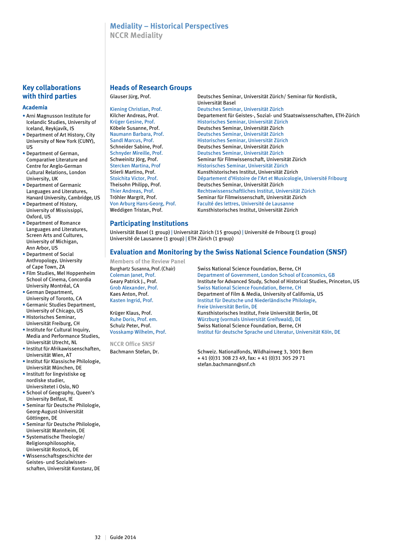### **Mediality – Historical Perspectives**

**NCCR Mediality**

#### **Key collaborations with third parties**

#### **Academia**

- Arni Magnusson Institute for Icelandic Studies, University of Iceland, Reykjavík, IS
- Department of Art History, City University of New York (CUNY), US
- Department of German, Comparative Literature and Centre for Anglo-German Cultural Relations, London University, UK
- Department of Germanic Languages and Literatures, Harvard University, Cambridge, US
- Department of History, University of Mississippi, Oxford, US
- Department of Romance Languages and Literatures, Screen Arts and Cultures, University of Michigan, Ann Arbor, US
- Department of Social Anthropology, University of Cape Town, ZA
- Film Studies, Mel Hoppenheim School of Cinema, Concordia University Montréal, CA
- German Department, University of Toronto, CA
- Germanic Studies Department, University of Chicago, US
- Historisches Seminar, Universität Freiburg, CH
- Institute for Cultural Inquiry, Media and Performance Studies, Universität Utrecht, NL
- Institut für Afrikawissenschaften, Universität Wien, AT
- Institut für Klassische Philologie, Universität München, DE
- Institutt for lingvistiske og nordiske studier, Universitetet i Oslo, NO
- School of Geography, Queen's University Belfast, IE
- Seminar für Deutsche Philologie, Georg-August-Universität Göttingen, DE
- Seminar für Deutsche Philologie, Universität Mannheim, DE
- Systematische Theologie/ Religionsphilosophie, Universität Rostock, DE
- Wissenschaftsgeschichte der Geistes- und Sozialwissenschaften, Universität Konstanz, DE

#### **Heads of Research Groups**

Glauser Jürg, Prof. Deutsches Seminar, Universität Zürich/ Seminar für Nordistik, Universität Basel Kiening Christian, Prof. Deutsches Seminar, Universität Zürich<br>Kilcher Andreas, Prof. Departement für Geistes-, Sozial- und ! Kilcher Andreas, Prof. Departement für Geistes-, Sozial- und Staatswissenschaften, ETH-Zürich<br>Rrüger Gesine. Prof. Test and Historisches Seminar. Universität Zürich Historisches Seminar, Universität Zürich Köbele Susanne, Prof. **Deutsches Seminar, Universität Zürich**<br>Naumann Barbara, Prof. **Deutsches Seminar, Universität Zürich** Deutsches Seminar, Universität Zürich Sandl Marcus, Prof. Historisches Seminar, Universität Zürich Schneider Sabine, Prof. Deutsches Seminar, Universität Zürich Schnyder Mireille, Prof. Deutsches Seminar, Universität Zürich Schweinitz Jörg, Prof. Seminar für Filmwissenschaft, Universität Zürich Stercken Martina, Prof Fistorisches Seminar, Universität Zürich<br>Stierli Martino. Prof. Kunsthistorisches Institut. Universität Zü Stierli Martino, Prof. Kunsthistorisches Institut, Universität Zürich<br>Stoichita Victor, Prof. Département d'Histoire de l'Art et Musicologi Stoichita Victor, Prof. Département d'Histoire de l'Art et Musicologie, Université Fribourg<br>Theisohn Philipp. Prof. Deutsches Seminar. Universität Zürich Deutsches Seminar, Universität Zürich Thier Andreas, Prof. Rechtswissenschaftliches Institut, Universität Zürich<br>Tröhler Margrit, Prof. Seminar für Filmwissenschaft, Universität Zürich Tröhler Margrit, Prof. Seminar für Filmwissenschaft, Universität Zürich<br>
Von Arburg Hans-Georg, Prof. Faculté des lettres. Université de Lausanne Faculté des lettres, Université de Lausanne Weddigen Tristan, Prof. Kunsthistorisches Institut, Universität Zürich

### **Participating Institutions**

Universität Basel (1 group) | Universität Zürich (15 groups) | Université de Fribourg (1 group) Université de Lausanne (1 group) | ETH Zürich (1 group)

#### **Evaluation and Monitoring by the Swiss National Science Foundation (SNSF)**

**Members of the Review Panel**

**NCCR Office SNSF**

Burghartz Susanna, Prof. (Chair) Swiss National Science Foundation, Berne, CH Coleman Janet, Prof. **Department of Government, London School of Economics, GB**<br>Geary Patrick I., Prof. **Department of Advanced Study, School of Historical Studies. Pri** Institute for Advanced Study, School of Historical Studies, Princeton. US Grob Alexander, Prof. Swiss National Science Foundation, Berne, CH Kaes Anton, Prof. The Supertment of Film & Media, University of California, US Kasten Ingrid, Prof. Institut für Deutsche und Niederländische Philologie, Freie Universität Berlin, DE Krüger Klaus, Prof. Kunsthistorisches Institut, Freie Universität Berlin, DE Ruhe Doris, Prof. em. Würzburg (vormals Universität Greifswald), DE Schulz Peter, Prof. Swiss National Science Foundation, Berne, CH Vosskamp Wilhelm, Prof. Institut für deutsche Sprache und Literatur, Universität Köln, DE

Bachmann Stefan, Dr. Schweiz. Nationalfonds, Wildhainweg 3, 3001 Bern + 41 (0)31 308 23 49, fax: + 41 (0)31 305 29 71 stefan.bachmann@snf.ch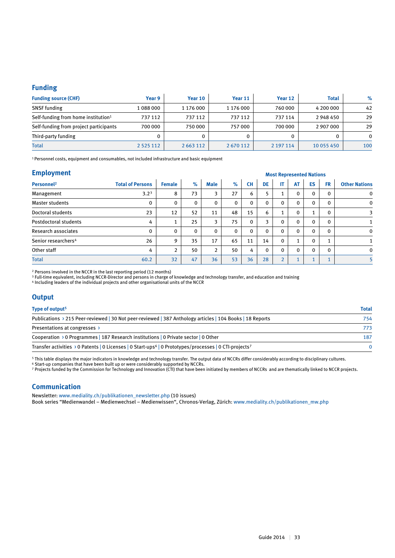#### **Funding**

| <b>Funding source (CHF)</b>                     | Year 9        | Year 10       | Year 11   | Year 12   | <b>Total</b> | $\%$     |
|-------------------------------------------------|---------------|---------------|-----------|-----------|--------------|----------|
| <b>SNSF</b> funding                             | 1088000       | 1 176 000     | 1 176 000 | 760 000   | 4 200 000    | 42       |
| Self-funding from home institution <sup>1</sup> | 737 112       | 737 112       | 737 112   | 737 114   | 2948450      | 29       |
| Self-funding from project participants          | 700 000       | 750 000       | 757000    | 700 000   | 2 907 000    | 29       |
| Third-party funding                             |               |               |           | 0         |              | $\Omega$ |
| <b>Total</b>                                    | 2 5 2 5 1 1 2 | 2 6 6 3 1 1 2 | 2670112   | 2 197 114 | 10 055 450   | 100      |

1 Personnel costs, equipment and consumables, not included infrastructure and basic equipment

| <b>Employment</b>               |                         | <b>Most Represented Nations</b> |          |                |              |              |              |               |              |              |              |                      |
|---------------------------------|-------------------------|---------------------------------|----------|----------------|--------------|--------------|--------------|---------------|--------------|--------------|--------------|----------------------|
| Personnel <sup>2</sup>          | <b>Total of Persons</b> | <b>Female</b>                   | $\%$     | <b>Male</b>    | $\%$         | <b>CH</b>    | <b>DE</b>    | IT            | <b>AT</b>    | <b>ES</b>    | <b>FR</b>    | <b>Other Nations</b> |
| Management                      | 3.2 <sup>3</sup>        | 8                               | 73       | 3              | 27           | 6            | 5.           |               | $\mathbf 0$  | $\mathbf 0$  | 0            | $\mathbf 0$          |
| Master students                 | $\mathbf{0}$            | $\mathbf{0}$                    | $\Omega$ | 0              | $\mathbf{0}$ | $\mathbf{0}$ | $\Omega$     | $\mathbf{0}$  | $\mathbf{0}$ | $\mathbf{0}$ | $\mathbf{0}$ | $\mathbf 0$          |
| Doctoral students               | 23                      | 12                              | 52       | 11             | 48           | 15           | 6            |               | $\mathbf 0$  |              | $\mathbf{0}$ | 3                    |
| Postdoctoral students           | 4                       |                                 | 25       | 3              | 75           | $\mathbf{0}$ | 3            | $\mathbf{0}$  | $\Omega$     | $\Omega$     | $\mathbf{0}$ |                      |
| Research associates             | $\Omega$                | $\mathbf{0}$                    | $\Omega$ | 0              | $\mathbf 0$  | $\Omega$     | $\mathbf{0}$ | $\Omega$      | $\Omega$     | $\Omega$     | $\Omega$     | $\mathbf 0$          |
| Senior researchers <sup>4</sup> | 26                      | 9                               | 35       | 17             | 65           | 11           | 14           | $\Omega$      | 1            | $\Omega$     |              |                      |
| Other staff                     | 4                       | 2                               | 50       | $\overline{2}$ | 50           | 4            | $\mathbf{0}$ | $\Omega$      | $\mathbf 0$  | $\Omega$     | $\Omega$     | $\mathbf 0$          |
| <b>Total</b>                    | 60.2                    | 32                              | 47       | 36             | 53           | 36           | 28           | $\mathcal{D}$ |              |              |              |                      |

2 Persons involved in the NCCR in the last reporting period (12 months)

 $^{\rm 3}$  Full-time equivalent, including NCCR-Director and persons in charge of knowledge and technology transfer, and education and training

4 Including leaders of the individual projects and other organisational units of the NCCR

#### **Output**

| Type of output <sup>5</sup>                                                                                                    | <b>Total</b> |
|--------------------------------------------------------------------------------------------------------------------------------|--------------|
| Publications > 215 Peer-reviewed   30 Not peer-reviewed   387 Anthology articles   104 Books   18 Reports                      | 754          |
| Presentations at congresses >                                                                                                  | 773          |
| Cooperation > 0 Programmes   187 Research institutions   0 Private sector   0 Other                                            | 187          |
| Transfer activities > 0 Patents   0 Licenses   0 Start-ups <sup>6</sup>   0 Prototypes/processes   0 CTI-projects <sup>7</sup> |              |

5 This table displays the major indicators in knowledge and technology transfer. The output data of NCCRs differ considerably according to disciplinary cultures.

6 Start-up companies that have been built up or were considerably supported by NCCRs.

7 Projects funded by the Commission for Technology and Innovation (CTI) that have been initiated by members of NCCRs and are thematically linked to NCCR projects.

#### **Communication**

Newsletter: www.mediality.ch/publikationen\_newsletter.php (10 issues)

Book series "Medienwandel – Medienwechsel – Medienwissen", Chronos-Verlag, Zürich: www.mediality.ch/publikationen\_mw.php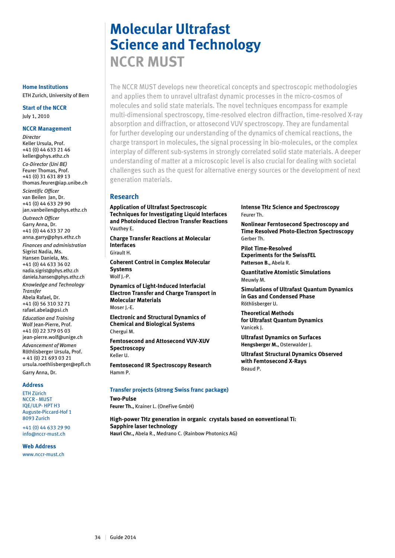# **Molecular Ultrafast Science and Technology NCCR MUST**

The NCCR MUST develops new theoretical concepts and spectroscopic methodologies and applies them to unravel ultrafast dynamic processes in the micro-cosmos of molecules and solid state materials. The novel techniques encompass for example multi-dimensional spectroscopy, time-resolved electron diffraction, time-resolved X-ray absorption and diffraction, or attosecond VUV spectroscopy. They are fundamental for further developing our understanding of the dynamics of chemical reactions, the charge transport in molecules, the signal processing in bio-molecules, or the complex interplay of different sub-systems in strongly correlated solid state materials. A deeper understanding of matter at a microscopic level is also crucial for dealing with societal challenges such as the quest for alternative energy sources or the development of next generation materials.

#### **Research**

**Application of Ultrafast Spectroscopic Techniques for Investigating Liquid Interfaces and Photoinduced Electron Transfer Reactions** Vauthey E.

**Charge Transfer Reactions at Molecular Interfaces**  Girault H.

**Coherent Control in Complex Molecular Systems** Wolf J.-P.

**Dynamics of Light-Induced Interfacial Electron Transfer and Charge Transport in Molecular Materials** Moser J.-E.

**Electronic and Structural Dynamics of Chemical and Biological Systems** Chergui M.

**Femtosecond and Attosecond VUV-XUV Spectroscopy** Keller U.

**Femtosecond IR Spectroscopy Research** Hamm P.

#### **Transfer projects (strong Swiss franc package)**

**Two-Pulse Feurer Th.,** Krainer L. (OneFive GmbH)

**High-power THz generation in organic crystals based on eonventional Ti: Sapphire laser technology Hauri Chr.,** Abela R., Medrano C. (Rainbow Photonics AG)

**Intense THz Science and Spectroscopy** Feurer Th.

**Nonlinear Ferntosecond Spectroscopy and Time Resolved Photo-Electron Spectroscopy**  Gerber Th.

**Pilot Time-Resolved Experiments for the SwissFEL Patterson B.,** Abela R.

**Quantitative Atomistic Simulations** Meuwly M.

**Simulations of Ultrafast Quantum Dynamics in Gas and Condensed Phase** Röthlisberger U.

**Theoretical Methods for Ultrafast Quantum Dynamics** Vanicek J.

**Ultrafast Dynamics on Surfaces Hengsberger M.,** Osterwalder J.

**Ultrafast Structural Dynamics Observed with Femtosecond X-Rays** Beaud P.

#### **Home Institutions** ETH Zurich, University of Bern

**Start of the NCCR** July 1, 2010

#### **NCCR Management**

*Director* Keller Ursula, Prof. +41 (0) 44 633 21 46 keller@phys.ethz.ch *Co-Director (Uni BE)* Feurer Thomas, Prof. +41 (0) 31 631 89 13 thomas.feurer@iap.unibe.ch *Scientific Officer* van Beilen Jan, Dr. +41 (0) 44 633 29 90 jan.vanbeilen@phys.ethz.ch

*Outreach Officer* Garry Anna, Dr. +41 (0) 44 633 37 20 anna.garry@phys.ethz.ch *Finances and administration* Sigrist Nadia, Ms. Hansen Daniela, Ms. +41 (0) 44 633 36 02 nadia.sigrist@phys.ethz.ch daniela.hansen@phys.ethz.ch

*Knowledge and Technology Transfer* Abela Rafael, Dr. +41 (0) 56 310 32 71 rafael.abela@psi.ch

*Education and Training* Wolf Jean-Pierre, Prof. +41 (0) 22 379 05 03 jean-pierre.wolf@unige.ch

*Advancement of Women* Röthlisberger Ursula, Prof. + 41 (0) 21 693 03 21 ursula.roethlisberger@epfl.ch Garry Anna, Dr.

#### **Address**

ETH Zürich NCCR - MUST IQE/ULP- HPT H3 Auguste-Piccard-Hof 1 8093 Zurich

+41 (0) 44 633 29 90 info@nccr-must.ch

#### **Web Address**

www.nccr-must.ch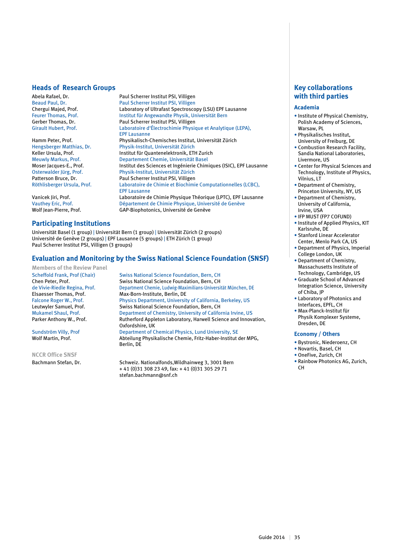#### **Heads of Research Groups**

Abela Rafael, Dr. **Paul Scherrer Institut PSI, Villigen**<br>Beaud Paul. Dr. Paul Scherrer Institut PSI, Villigen Beaud Paul, Dr. Paul Scherrer Institut PSI, Villigen<br>
Chergui Majed, Prof. Laboratory of Ultrafast Spectrosco Chergui Majed, Prof. The Laboratory of Ultrafast Spectroscopy (LSU) EPF Lausanne<br>
Feurer Thomas, Prof. The Lattratiut für Angewandte Physik, Universität Bern Feurer Thomas, Prof.<br>
Feurer Thomas, Dr. **Institut für Angewandte Physik, Universität Bern**<br>
Paul Scherrer Institut PSI, Villigen Girault Hubert, Prof. Laboratoire d'Électrochimie Physique et Analytique (LEPA),

Hamm Peter, Prof. Physikalisch-Chemisches Institut, Universität Zürich Hengsberger Matthias, Dr. Physik-Institut, Universität Zürich<br>
Keller Ursula, Prof. Physik-Institut für Quantenelektronik, ETH Meuwly Markus, Prof. **Departement Chemie, Universität Basel** Departement Chemie, Universität Basel<br>Moser lacques-E.. Prof. **Departement Chemie, Chemie, Chemie, Prof.** Moser Jacques-E., Prof. Institut des Sciences et Ingénierie Chimiques (ISIC), EPF Lausanne<br>Osterwalder lürg. Prof. Physik-Institut. Universität Zürich Osterwalder Jürg, Prof. Physik-Institut, Universität Zürich<br>
Patterson Bruce, Dr. Paul Scherrer Institut PSI, Villigen Patterson Bruce, Dr. Paul Scherrer Institut PSI, Villigen<br>
Röthlisberger Ursula. Prof. Laboratoire de Chimie et Biochimi

Vanicek Jiri, Prof. Laboratoire de Chimie Physique Théorique (LPTC), EPF Lausanne Vauthey Eric, Prof. Département de Chimie Physique, Université de Genève Wolf Jean-Pierre, Prof. GAP-Biophotonics, Université de Genève

#### **Participating Institutions**

Universität Basel (1 group) | Universität Bern (1 group) | Universität Zürich (2 groups) Université de Genève (2 groups) | EPF Lausanne (5 groups) | ETH Zürich (1 group) Paul Scherrer Institut PSI, Villigen (3 groups)

#### **Evaluation and Monitoring by the Swiss National Science Foundation (SNSF)**

Paul Scherrer Institut PSI, Villigen

Institut für Quantenelektronik, ETH Zurich

EPF Lausanne

EPF Lausanne

**Members of the Review Panel**

**NCCR Office SNSF**

Scheffold Frank, Prof (Chair) Swiss National Science Foundation, Bern, CH<br>Chen Peter. Prof. Swiss National Science Foundation. Bern. CH Swiss National Science Foundation, Bern, CH de Vivie-Riedle Regina, Prof. Department Chemie, Ludwig-Maximilians-Universität München, DE<br>Elsaesser Thomas, Prof. Max-Born-Institute, Berlin, DE Elsaesser Thomas, Prof. Max-Born-Institute, Berlin, DE<br>Falcone Roger W., Prof. Physics Department, Universit Physics Department, University of California, Berkeley, US Leutwyler Samuel, Prof.<br>
Swiss National Science Foundation, Bern, CH<br>
Department of Chemistry, University of Califo Mukamel Shaul, Prof. Department of Chemistry, University of California Irvine, US<br>Parker Anthony W., Prof. Rutherford Appleton Laboratory, Harwell Science and Innov Rutherford Appleton Laboratory, Harwell Science and Innovation, Oxfordshire, UK Sundström Villy, Prof Department of Chemical Physics, Lund University, SE Wolf Martin, Prof. Abteilung Physikalische Chemie, Fritz-Haber-Institut der MPG, Berlin, DE

Laboratoire de Chimie et Biochimie Computationnelles (LCBC),

Bachmann Stefan, Dr. Schweiz. Nationalfonds, Wildhainweg 3, 3001 Bern + 41 (0)31 308 23 49, fax: + 41 (0)31 305 29 71 stefan.bachmann@snf.ch

#### **Key collaborations with third parties**

#### **Academia**

- Institute of Physical Chemistry, Polish Academy of Sciences, Warsaw, PL
- Physikalisches Institut, University of Freiburg, DE
- Combustion Research Facility, Sandia National Laboratories, Livermore, US
- Center for Physical Sciences and Technology, Institute of Physics, Vilnius, LT
- Department of Chemistry, Princeton University, NY, US
- Department of Chemistry, University of California, Irvine, USA
- IFP MUST (FP7 COFUND)
- Institute of Applied Physics, KIT Karlsruhe, DE
- Stanford Linear Accelerator Center, Menlo Park CA, US
- Department of Physics, Imperial College London, UK
- Department of Chemistry, Massachusetts Institute of Technology, Cambridge, US
- Graduate School of Advanced Integration Science, University of Chiba, JP
- Laboratory of Photonics and Interfaces, EPFL, CH
- Max-Planck-Institut für Physik Komplexer Systeme, Dresden, DE

#### **Economy / Others**

- Bystronic, Niederoenz, CH
- Novartis, Basel, CH
- OneFive, Zurich, CH
- Rainbow Photonics AG, Zurich, CH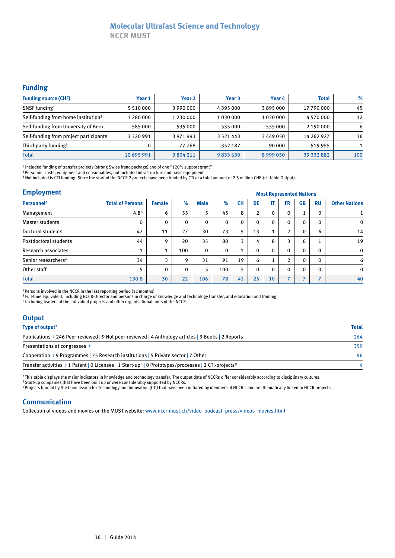### **Molecular Ultrafast Science and Technology**

**NCCR MUST**

#### **Funding**

| <b>Funding source (CHF)</b>                     | Year 1        | Year 2    | Year 3        | Year 4  | <b>Total</b> | $\%$ |
|-------------------------------------------------|---------------|-----------|---------------|---------|--------------|------|
| SNSF funding <sup>1</sup>                       | 5 5 1 0 0 0 0 | 3 990 000 | 4 395 000     | 3895000 | 17 790 000   | 45   |
| Self-funding from home institution <sup>2</sup> | 1 280 000     | 1 230 000 | 1 030 000     | 1030000 | 4 570 000    | 12   |
| Self-funding from University of Bern            | 585 000       | 535 000   | 535 000       | 535 000 | 2 190 000    | 6    |
| Self-funding from project participants          | 3 3 2 0 9 9 1 | 3 971 443 | 3 5 2 1 4 4 3 | 3449050 | 14 262 927   | 36   |
| Third-party funding <sup>3</sup>                |               | 77768     | 352 187       | 90 000  | 519955       |      |
| <b>Total</b>                                    | 10 695 991    | 9804211   | 9833630       | 8999050 | 39 332 882   | 100  |

1 Included funding of transfer projects (strong Swiss franc package) and of one "120% support grant"

2 Personnel costs, equipment and consumables, not included infrastructure and basic equipment

3 Not included is CTI funding. Since the start of the NCCR 2 projects have been funded by CTI at a total amount of 2.3 million CHF (cf. table Output).

#### **Employment**

| <b>Employment</b>               |                         |               | <b>Most Represented Nations</b> |             |             |           |                |    |                |                          |                          |                      |  |  |
|---------------------------------|-------------------------|---------------|---------------------------------|-------------|-------------|-----------|----------------|----|----------------|--------------------------|--------------------------|----------------------|--|--|
| Personnel <sup>4</sup>          | <b>Total of Persons</b> | <b>Female</b> | $\%$                            | <b>Male</b> | $\%$        | <b>CH</b> | DE             | ΙT | <b>FR</b>      | <b>GB</b>                | <b>RU</b>                | <b>Other Nations</b> |  |  |
| Management                      | 4.8 <sup>5</sup>        | 6             | 55                              | 5           | 45          | 8         | $\overline{2}$ | 0  | 0              |                          | $\Omega$                 |                      |  |  |
| <b>Master students</b>          | 0                       | $\Omega$      | $\mathbf{0}$                    | 0           | $\mathbf 0$ | 0         | $\Omega$       | 0  | $\mathbf 0$    | $\Omega$                 | $\Omega$                 | $\mathbf 0$          |  |  |
| Doctoral students               | 42                      | 11            | 27                              | 30          | 73          | 5         | 13             |    | $\overline{2}$ | $\Omega$                 | 6                        | 14                   |  |  |
| Postdoctoral students           | 44                      | 9             | 20                              | 35          | 80          | 3         | 4              | 8  | 3              | 6                        | $\mathbf{1}$             | 19                   |  |  |
| Research associates             | 1<br>л.                 | 1             | 100                             | 0           | $\Omega$    |           | $\mathbf{0}$   | 0  | $\Omega$       | $\Omega$                 | $\Omega$                 | $\Omega$             |  |  |
| Senior researchers <sup>6</sup> | 34                      | 3             | 9                               | 31          | 91          | 19        | 6              |    | $\overline{2}$ | $\Omega$                 | $\mathbf{0}$             | 6                    |  |  |
| Other staff                     | 5                       | $\mathbf{0}$  | $\mathbf{0}$                    | 5           | 100         | 5         | $\mathbf{0}$   | 0  | $\mathbf{0}$   | $\Omega$                 | $\Omega$                 | $\mathbf{0}$         |  |  |
| <b>Total</b>                    | 130.8                   | 30            | 22                              | 106         | 78          | 41        | 25             | 10 | $\overline{ }$ | $\overline{\phantom{a}}$ | $\overline{\phantom{0}}$ | 40                   |  |  |

4 Persons involved in the NCCR in the last reporting period (12 months)

5 Full-time equivalent, including NCCR-Director and persons in charge of knowledge and technology transfer, and education and training

6 Including leaders of the individual projects and other organisational units of the NCCR

| <b>Output</b>                                                                                                                |              |
|------------------------------------------------------------------------------------------------------------------------------|--------------|
| Type of output <sup>7</sup>                                                                                                  | <b>Total</b> |
| Publications > 246 Peer-reviewed   9 Not peer-reviewed   4 Anthology articles   3 Books   2 Reports                          | 264          |
| Presentations at congresses >                                                                                                | 359          |
| Cooperation > 9 Programmes   75 Research institutions   5 Private sector   7 Other                                           | 96           |
| Transfer activities > 1 Patent   0 Licenses   1 Start-up <sup>8</sup>   0 Prototypes/processes   2 CTI-projects <sup>9</sup> |              |

7 This table displays the major indicators in knowledge and technology transfer. The output data of NCCRs differ considerably according to disciplinary cultures.

8 Start-up companies that have been built up or were considerably supported by NCCRs.<br>9 Projects funded by the Commission for Technology and Innovation (CTI) that have been initiated by members of NCCRs and are thematicall

#### **Communication**

Collection of videos and movies on the MUST website: www.nccr-must.ch/video\_podcast\_press/videos\_movies.html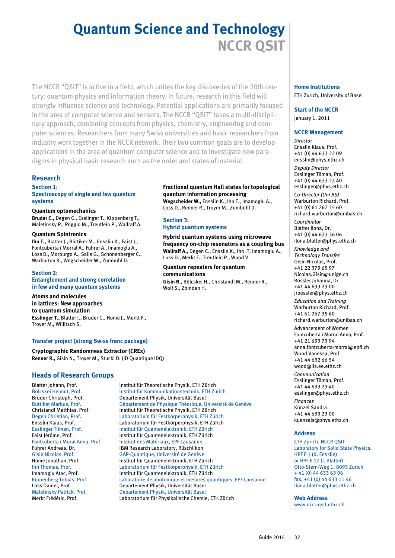# **Quantum Science and Technology NCCR QSIT**

The NCCR "QSIT" is active in a field, which unites the key discoveries of the 20th century: quantum physics and information theory. In future, research in this field will strongly influence science and technology. Potential applications are primarily focused in the area of computer science and sensors. The NCCR "QSIT" takes a multi-disciplinary approach, combining concepts from physics, chemistry, engineering and computer sciences. Researchers from many Swiss universities and basic researchers from industry work together in the NCCR network. Their two common goals are to develop applications in the area of quantum computer science and to investigate new paradigms in physical basic research such as the order and states of material.

#### **Research**

#### **Section 1: Spectroscopy of single and few quantum systems**

#### **Quantum optomechanics**

**Bruder C.,** Degen C., Esslinger T., Kippenberg T., Maletinsky P., Poggio M., Treutlein P., Wallraff A.

#### **Quantum Spintronics**

**Ihn T.,** Blatter J., Büttiker M., Ensslin K., Faist J., Fontcuberta i Morral A., Fuhrer A., Imamoglu A., Loss D., Morpurgo A., Salis G., Schönenberger C., Warburton R., Wegscheider W., Zumbühl D.

#### **Section 2:**

#### **Entanglement and strong correlation in few and many quantum systems**

**Atoms and molecules in lattices: New approaches to quantum simulation Esslinger T.,** Blatter J., Bruder C., Home J., Merkt F., Troyer M., Willitsch S.

#### **Transfer project (strong Swiss franc package)**

**Cryptographic Randomness Extractor (CREx) Renner R.,** Gisin N., Troyer M., Stucki D. (ID Quantique IDQ)

#### **Heads of Research Groups**

#### **Fractional quantum Hall states for topological quantum information processing**

**Wegscheider W.,** Ensslin K., Ihn T., Imamoglu A., Loss D., Renner R., Troyer M., Zumbühl D.

#### **Section 3: Hybrid quantum systems**

**Hybrid quantum systems using microwave frequency on-chip resonators as a coupling bus Wallraff A.,** Degen C., Ensslin K., Ihn .T, Imamoglu A., Loss D., Merkt F., Treutlein P., Wood V.

**Quantum repeaters for quantum communications Gisin N.,** Bölcskei H., Christandl M., Renner R., Wolf S., Zbinden H.

### **Home Institutions**

ETH Zurich, University of Basel

#### **Start of the NCCR**

January 1, 2011

#### **NCCR Management**

*Director* Ensslin Klaus, Prof. +41 (0) 44 633 22 09 ensslin@phys.ethz.ch

*Deputy Director* Esslinger Tilman, Prof. +41 (0) 44 633 23 40 esslinger@phys.ethz.ch *Co-Director (Uni BS)* Warburton Richard, Prof. +41 (0) 61 267 35 60 richard.warburton@unibas.ch *Coordinator* Blatter Ilona, Dr. +41 (0) 44 633 36 06 ilona.blatter@phys.ethz.ch

*Knowledge and Technology Transfer* Gisin Nicolas, Prof. +41 22 379 65 97 Nicolas.Gisin@unige.ch Rössler Johanna, Dr. +41 44 633 23 00 jroessler@phys.ethz.ch *Education and Training* Warburton Richard, Prof. +41 61 267 35 60 richard.warburton@unibas.ch Advancement of Women Fontcuberta i Morral Anna, Prof. +41 21 693 73 94 anna.fontcuberta-morral@epfl.ch Wood Vanessa, Prof. +41 44 632 66 54 wood@iis.ee.ethz.ch

*Communication* Esslinger Tilman, Prof. +41 44 633 23 40 esslinger@phys.ethz.ch

*Finances* Künzel Sandra +41 44 633 23 00 kuenzels@phys.ethz.ch

#### **Address**

ETH Zurich, NCCR QSIT Laboratory for Solid State Physics, HPF E 3 (K. Ensslin) or HPF E 17 (I. Blatter) Otto-Stern-Weg 1, 8093 Zurich + 41 (0) 44 633 63 06 fax: +41 (0) 44 633 11 46 ilona.blatter@phys.ethz.ch

**Web Address** www.nccr-qsit.ethz.ch

Blatter Johann, Prof. Institut für Theoretische Physik, ETH Zürich Bölcskei Helmut, Prof. Institut für Kommunikationstechnik, ETH Zürich Bruder Christoph, Prof. **Departement Physik, Universität Basel**<br>Büttiker Markus, Prof. **Département de Physique Théorique**, U Büttiker Markus, Prof. Département de Physique Théorique, Université de Genève<br>Christandl Matthias, Prof. Christitut für Theoretische Physik, ETH Zürich Christandl Matthias, Prof. Institut für Theoretische Physik, ETH Zürich Degen Christian, Prof. Laboratorium für Festkörperphysik, ETH Zürich Laboratorium für Festkörperphysik, ETH Zürich Esslinger Tilman, Prof. Institut für Quantenelektronik, ETH Zürich Faist Jérôme, Prof. The State of the Unstitut für Quantenelektronik, ETH Zürich Fontcuberta i Moral Anna, Prof. Institut des Matériaux, EPF Lausanne Fuhrer Andreas, Dr. **IBM Research Laboratory, Rüschlikon**<br>Gisin Nicolas, Prof. **International CAP-Quantique, Université de Genève** GAP-Quantique, Université de Genève Home Jonathan, Prof. Institut für Quantenelektronik, ETH Zürich Ihn Thomas, Prof. Laboratorium für Festkörperphysik, ETH Zürich Imamoglu Atac, Prof. Institut für Quantenelektronik, ETH Zürich Kippenberg Tobias, Prof. Laboratoire de photonique et mesures quantiques, EPF Lausanne Loss Daniel, Prof. Departement Physik, Universität Basel Maletinsky Patrick, Prof. Departement Physik, Universität Basel Laboratorium für Physikalische Chemie, ETH Zürich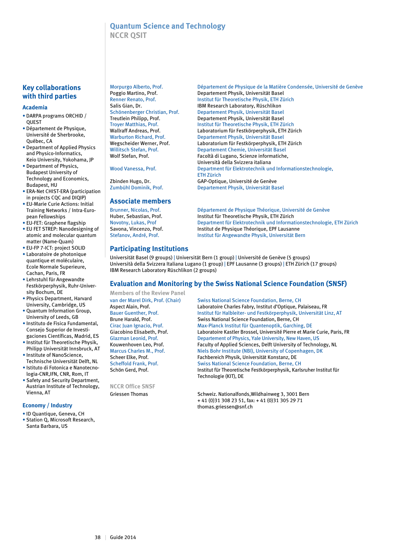#### **Quantum Science and Technology NCCR QSIT**

#### **Key collaborations with third parties**

#### **Academia**

- DARPA programs ORCHID / QUEST
- Département de Physique, Université de Sherbrooke, Québec, CA
- Department of Applied Physics and Physico-Informatics, Keio University, Yokohama, JP
- Department of Physics, Budapest University of Technology and Economics, Budapest, HU
- ERA-Net CHIST-ERA (participation in projects CQC and DIQIP)
- EU-Marie Curie Actions: Initial Training Networks / Intra-European Fellowships
- EU-FET: Graphene flagship
- EU FET STREP: Nanodesigning of atomic and molecular quantum matter (Name-Quam)
- EU-FP 7-ICT: project SOLID
- Laboratoire de photonique quantique et moléculaire, Ecole Normale Superieure, Cachan, Paris, FR
- Lehrstuhl für Angewandte Festkörperphysik, Ruhr-University Bochum, DE
- Physics Department, Harvard University, Cambridge, US
- Quantum Information Group, University of Leeds, GB
- Instituto de Fisica Fundamental, Consejo Superior de Investigaciones Científicas, Madrid, ES
- Institut für Theoretische Physik, Philipp Universität Innsbruck, AT
- Institute of NanoScience, Technische Universität Delft, NL
- Istituto di Fotonica e Nanotecnologia-CNR,IFN, CNR, Rom, IT
- Safety and Security Department, Austrian Institute of Technology, Vienna, AT

#### **Economy / Industry**

- ID Quantique, Geneva, CH
- Station Q, Microsoft Research, Santa Barbara, US

#### **Associate members**

Morpurgo Alberto, Prof. Département de Physique de la Matière Condensée, Université de Genève<br>Poggio Martino, Prof. Departement Physik, Universität Basel Departement Physik, Universität Basel Renner Renato, Prof. Institut für Theoretische Physik, ETH Zürich Salis Gian, Dr. **IBM Research Laboratory, Rüschlikon**<br>Schönenberger Christian, Prof. Departement Physik, Universität Base Departement Physik, Universität Basel Treutlein Philipp, Prof. Departement Physik, Universität Basel Troyer Matthias, Prof. Institut für Theoretische Physik, ETH Zürich Laboratorium für Festkörperphysik, ETH Zürich Warburton Richard, Prof. Departement Physik, Universität Basel Wegscheider Werner, Prof. Laboratorium für Festkörperphysik, ETH Zürich<br>Willitsch Stefan, Prof. Departement Chemie, Universität Basel Willitsch Stefan, Prof.<br>
Wolf Stefan, Prof. Departement Chemie, Universität Basel<br>
Facoltà di Lugano, Scienze informatiche Facoltà di Lugano, Scienze informatiche, Università della Svizzera italiana Wood Vanessa, Prof. Department für Elektrotechnik und Informationstechnologie, ETH Zürich Zbinden Hugo, Dr. GAP-Optique, Université de Genève Zumbühl Dominik, Prof. Departement Physik, Universität Basel

Brunner, Nicolas, Prof. Département de Physique Théorique, Université de Genève<br>Huber, Sebastian, Prof. (Institut für Theoretische Physik, ETH Zürich Institut für Theoretische Physik, ETH Zürich Novotny, Lukas, Prof **Department für Elektrotechnik und Informationstechnologie**, ETH Zürich<br>Savona, Vincenzo, Prof. **Nebel and Institut de Physique Théorique**, EPF Lausanne Savona, Vincenzo, Prof. **Institut de Physique Théorique, EPF Lausanne**<br>Stefanov, André, Prof. **Institut für Angewandte Physik, Universität Be** Institut für Angewandte Physik, Universität Bern

#### **Participating Institutions**

Universität Basel (9 groups) | Universität Bern (1 group) | Université de Genève (5 groups) Università della Svizzera Italiana Lugano (1 group) | EPF Lausanne (3 groups) | ETH Zürich (17 groups) IBM Research Laboratory Rüschlikon (2 groups)

#### **Evaluation and Monitoring by the Swiss National Science Foundation (SNSF)**

**Members of the Review Panel**

**NCCR Office SNSF**

van der Marel Dirk, Prof. (Chair) Swiss National Science Foundation, Berne, CH Aspect Alain, Prof. Laboratoire Charles Fabry, Institut d'Optique, Palaiseau, FR Bauer Guenther, Prof. Institut für Halbleiter- und Festkörperphysik, Universität Linz, AT Brune Harald, Prof. Swiss National Science Foundation, Berne, CH Cirac Juan Ignacio, Prof. Max-Planck Institut für Quantenoptik, Garching, DE Giacobino Elisabeth, Prof. 
Laboratoire Kastler Brossel, Université Pierre et Marie Curie, Paris, FR<br>
Glazman Leonid. Prof. 
Departement of Physics. Yale University. New Haven. US Glazman Leonid, Prof. **Departement of Physics, Yale University, New Haven, US**<br>**Kouwenhoven Leo. Prof.** Faculty of Applied Sciences. Delft University of Techno Faculty of Applied Sciences, Delft University of Technology, NL Marcus Charles M., Prof. Niels Bohr Institute (NBI), University of Copenhagen, DK Scheer Elke, Prof. Fachbereich Physik, Universität Konstanz, DE<br>Scheffold Frank. Prof. Fachs Swiss National Science Foundation. Berne. C Swiss National Science Foundation, Berne, CH Schön Gerd, Prof. Institut für Theoretische Festkörperphysik, Karlsruher Institut für Technologie (KIT), DE

Griessen Thomas Schweiz. Nationalfonds, Wildhainweg 3, 3001 Bern + 41 (0)31 308 23 51, fax: + 41 (0)31 305 29 71 thomas.griessen@snf.ch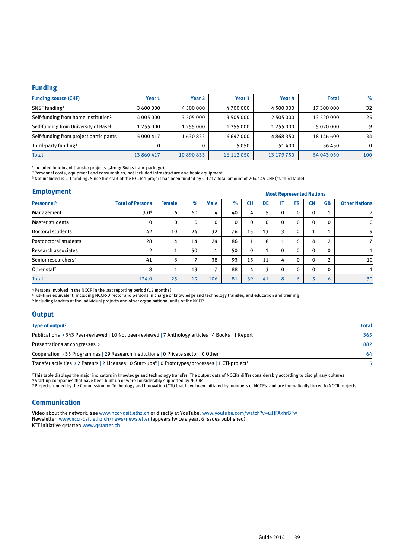#### **Funding**

| <b>Funding source (CHF)</b>                     | Year 1     | Year <sub>2</sub> | Year 3     | Year 4     | <b>Total</b> | $\%$         |
|-------------------------------------------------|------------|-------------------|------------|------------|--------------|--------------|
| SNSF funding <sup>1</sup>                       | 3 600 000  | 4 500 000         | 4700000    | 4 500 000  | 17 300 000   | 32           |
| Self-funding from home institution <sup>2</sup> | 4 005 000  | 3 505 000         | 3 505 000  | 2 505 000  | 13 520 000   | 25           |
| Self-funding from University of Basel           | 1 255 000  | 1 255 000         | 1 255 000  | 1 255 000  | 5020000      | 9            |
| Self-funding from project participants          | 5 000 417  | 1630833           | 6 647 000  | 4868350    | 18 14 6 600  | 34           |
| Third-party funding <sup>3</sup>                | 0          |                   | 5050       | 51 400     | 56 450       | $\mathbf{0}$ |
| Total                                           | 13 860 417 | 10 890 833        | 16 112 050 | 13 179 750 | 54 043 050   | 100          |

<sup>1</sup> Included funding of transfer projects (strong Swiss franc package)<br><sup>2</sup> Personnel costs, equipment and consumables, not included infrastructure and basic equipment<br><sup>3</sup> Not included is CTI funding. Since the start of the

#### **Employment**

| Employment                      |                         |                          | <b>Most Represented Nations</b> |                    |              |              |          |              |             |           |              |                      |
|---------------------------------|-------------------------|--------------------------|---------------------------------|--------------------|--------------|--------------|----------|--------------|-------------|-----------|--------------|----------------------|
| Personnel <sup>4</sup>          | <b>Total of Persons</b> | <b>Female</b>            | $\%$                            | <b>Male</b>        | $\%$         | <b>CH</b>    | DE       | IT           | FR.         | <b>CN</b> | <b>GB</b>    | <b>Other Nations</b> |
| Management                      | 3.0 <sup>5</sup>        | 6                        | 60                              | 4                  | 40           | 4            | 5        | 0            | 0           | $\Omega$  |              | $\overline{2}$       |
| <b>Master students</b>          | $\mathbf 0$             | $\Omega$                 | $\mathbf{0}$                    | 0                  | $\mathbf{0}$ | $\mathbf 0$  | $\Omega$ | $\mathbf{0}$ | 0           | $\Omega$  | 0            | $\mathbf 0$          |
| Doctoral students               | 42                      | 10                       | 24                              | 32                 | 76           | 15           | 13       | 3            | $\mathbf 0$ |           |              | 9                    |
| Postdoctoral students           | 28                      | 4                        | 14                              | 24                 | 86           | $\mathbf{1}$ | 8        |              | 6           | 4         | <sup>1</sup> | $\overline{7}$       |
| <b>Research associates</b>      | $\overline{2}$          | $\overline{\phantom{a}}$ | 50                              | $\mathbf{1}$<br>Τ. | 50           | 0            | 1        | $\mathbf{0}$ | $\mathbf 0$ | $\Omega$  | 0            |                      |
| Senior researchers <sup>6</sup> | 41                      | 3                        | 7                               | 38                 | 93           | 15           | 11       | 4            | 0           | $\Omega$  | <sup>1</sup> | 10                   |
| Other staff                     | 8                       | $\overline{\phantom{a}}$ | 13                              | 7                  | 88           | 4            | 3        | $\mathbf{0}$ | $\mathbf 0$ | $\Omega$  | $\Omega$     |                      |
| <b>Total</b>                    | 124.0                   | 25                       | 19                              | 106                | 81           | 39           | 41       | 8            | 6           |           | 6            | 30                   |

<sup>4</sup> Persons involved in the NCCR in the last reporting period (12 months)<br><sup>5</sup> Full-time equivalent, including NCCR-Director and persons in charge of knowledge and technology transfer, and education and training<br><sup>6</sup> Includi

#### **Output**

| Type of output <sup>7</sup>                                                                                                   | <b>Total</b> |
|-------------------------------------------------------------------------------------------------------------------------------|--------------|
| Publications > 343 Peer-reviewed   10 Not peer-reviewed   7 Anthology articles   4 Books   1 Report                           | 365          |
| Presentations at congresses >                                                                                                 | 882          |
| Cooperation > 35 Programmes   29 Research institutions   0 Private sector   0 Other                                           | 64           |
| Transfer activities > 2 Patents   2 Licenses   0 Start-ups <sup>8</sup>   0 Prototypes/processes   1 CTI-project <sup>9</sup> |              |

7 This table displays the major indicators in knowledge and technology transfer. The output data of NCCRs differ considerably according to disciplinary cultures.

<sup>8</sup> Start-up companies that have been built up or were considerably supported by NCCRs.<br><sup>9</sup> Projects funded by the Commission for Technology and Innovation (CTI) that have been initiated by members of NCCRs and are themati

#### **Communication**

Video about the network: see www.nccr-qsit.ethz.ch or directly at YouTube: www.youtube.com/watch?v=u1JFAxhrBFw Newsletter: www.nccr-qsit.ethz.ch/news/newsletter (appears twice a year, 6 issues published). KTT initiative qstarter: www.qstarter.ch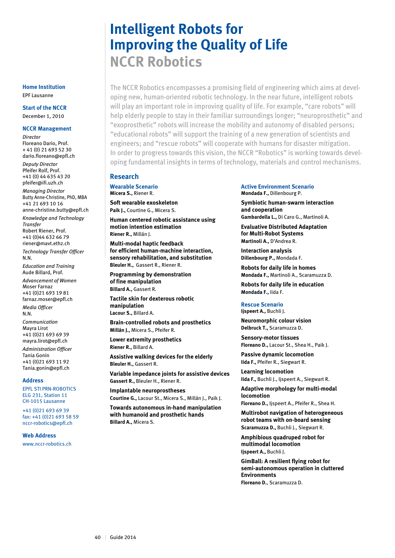# **Intelligent Robots for Improving the Quality of Life NCCR Robotics**

The NCCR Robotics encompasses a promising field of engineering which aims at developing new, human-oriented robotic technology. In the near future, intelligent robots will play an important role in improving quality of life. For example, "care robots" will help elderly people to stay in their familiar surroundings longer; "neuroprosthetic" and "exoprosthetic" robots will increase the mobility and autonomy of disabled persons; "educational robots" will support the training of a new generation of scientists and engineers; and "rescue robots" will cooperate with humans for disaster mitigation. In order to progress towards this vision, the NCCR "Robotics" is working towards developing fundamental insights in terms of technology, materials and control mechanisms.

#### **Research**

**Wearable Scenario Micera S.,** Riener R.

**Soft wearable exoskeleton Paik J.,** Courtine G., Micera S.

**Human centered robotic assistance using motion intention estimation Riener R.,** Millán J.

**Multi-modal haptic feedback for efficient human-machine interaction, sensory rehabilitation, and substitution Bleuler H.,** Gassert R., Riener R.

**Programming by demonstration of fine manipulation Billard A.,** Gassert R.

**Tactile skin for dexterous robotic manipulation Lacour S.,** Billard A.

**Brain-controlled robots and prosthetics Millán J.,** Micera S., Pfeifer R.

**Lower extremity prosthetics Riener R.,** Billard A.

**Assistive walking devices for the elderly Bleuler H.,** Gassert R.

**Variable impedance joints for assistive devices Gassert R.,** Bleuler H., Riener R.

**Implantable neuroprostheses Courtine G.,** Lacour St., Micera S., Millán J., Paik J.

**Towards autonomous in-hand manipulation with humanoid and prosthetic hands Billard A.,** Micera S.

#### **Active Environment Scenario Mondada F.,** Dillenbourg P.

**Symbiotic human-swarm interaction and cooperation Gambardella L.,** Di Caro G., Martinoli A.

**Evaluative Distributed Adaptation for Multi-Robot Systems**

**Martinoli A.,** D'Andrea R. **Interaction analysis Dillenbourg P.,** Mondada F.

**Robots for daily life in homes Mondada F.,** Martinoli A., Scaramuzza D.

**Robots for daily life in education Mondada F.,** Iida F.

#### **Rescue Scenario**

**Ijspeert A.,** Buchli J. **Neuromorphic colour vision Delbruck T.,** Scaramuzza D.

**Sensory-motor tissues Floreano D.,** Lacour St., Shea H., Paik J.

**Passive dynamic locomotion Iida F.,** Pfeifer R., Siegwart R.

**Learning locomotion Iida F.,** Buchli J., Ijspeert A., Siegwart R.

**Adaptive morphology for multi-modal locomotion**

**Floreano D.,** Ijspeert A., Pfeifer R., Shea H.

**Multirobot navigation of heterogeneous robot teams with on-board sensing Scaramuzza D.,** Buchli J., Siegwart R.

**Amphibious quadruped robot for multimodal locomotion Ijspeert A.,** Buchli J.

**GimBall: A resilient flying robot for semi-autonomous operation in cluttered Environments Floreano D.**, Scaramuzza D.

#### **Home Institution** EPF Lausanne

#### **Start of the NCCR**

December 1, 2010

#### **NCCR Management**

*Director* Floreano Dario, Prof. + 41 (0) 21 693 52 30 dario.floreano@epfl.ch *Deputy Director* Pfeifer Rolf, Prof. +41 (0) 44 635 43 20 pfeifer@ifi.uzh.ch *Managing Director* Butty Anne-Christine, PhD, MBA +41 21 693 10 16 anne-christine.butty@epfl.ch *Knowledge and Technology Transfer* Robert Riener, Prof. +41 (0)44 632 66 79 riener@mavt.ethz.ch *Technology Transfer Officer* N.N. *Education and Training* Aude Billard, Prof.

*Advancement of Women* Moser Farnaz +41 (0)21 693 19 81 farnaz.moser@epfl.ch

*Media Officer* N.N.

*Communication* Mayra Lirot +41 (0)21 693 69 39 mayra.lirot@epfl.ch *Administration Officer* Tania Gonin +41 (0)21 693 11 92 Tania.gonin@epfl.ch

#### **Address**

EPFL STI PRN-ROBOTICS ELG 231, Station 11 CH-1015 Lausanne

+41 (0)21 693 69 39 fax: +41 (0)21 693 58 59 nccr-robotics@epfl.ch

#### **Web Address**

www.nccr-robotics.ch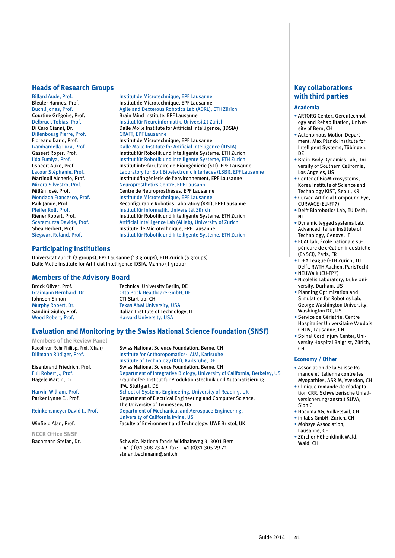#### **Heads of Research Groups**

Dillenbourg Pierre, Prof.<br>Floreano Dario, Prof.

Billard Aude, Prof.<br>
Billard Aude, Prof.<br>
Institut de Microtechnique, EPF Lausanne Institut de Microtechnique, EPF Lausanne Buchli Jonas, Prof.<br>
Courtine Grégoire, Prof.<br>
Brain Mind Institute, EPF Lausanne Courtine Grégoire, Prof. Brain Mind Institute, EPF Lausanne Delbruck Tobias, Prof. Institut für Neuroinformatik, Universität Zürich Di Caro Gianni, Dr. Dalle Molle Institute for Artificial Intelligence, (IDSIA)<br>Dillenbourg Pierre, Prof. CRAFT, EPF Lausanne Institut de Microtechnique, EPF Lausanne Gambardella Luca, Prof. Dalle Molle Institute for Artificial Intelligence (IDSIA) Gassert Roger, Prof. Institut für Robotik und Intelligente Systeme, ETH Zürich Iida Fumiya, Prof. Institut für Robotik und Intelligente Systeme, ETH Zürich Ijspeert Auke, Prof.<br>
Laboratory for Soft Bioelectronic Interfaces (LSBI), EPF Lausanne<br>
Laboratory for Soft Bioelectronic Interfaces (LSBI), EPF Laus Lacour Stéphanie, Prof. Laboratory for Soft Bioelectronic Interfaces (LSBI), EPF Lausanne Martinoli Alcherio, Prof. **Institut d'ingénierie de l'environnement**, EPF Lausanne<br>Institut d'ingénierie de l'environnement, EPF Lausanne<br>Institut de l'environnement de la lausanne Neuroprosthetics Centre, EPF Lausann Millán José, Prof. Centre de Neuroprosthèses, EPF Lausanne<br>Mondada Francesco, Prof. Mondada Francesco, Prof. Centre de Microtechnique, EPF Lausanne Mondada Francesco, Prof.<br>
Paik Jamie. Prof. **Institut de Microtechnique, EPF Lausanne**<br>
Reconfigurable Robotics Laboratory (RRL) Reconfigurable Robotics Laboratory (RRL), EPF Lausanne Pfeifer Rolf, Prof. Institut für Informatik, Universität Zürich Riener Robert, Prof.<br>
Scaramuzza Davide Prof **Explorition** Artificial Intelligence Lab (ALLab) University of Zurich Scaramuzza Davide, Prof. <br>
Shea Herbert, Prof. **Artificial Intelligence Lab (AI lab)**, University of Zurich<br>
Institute de Microtechnique, EPF Lausanne Shea Herbert, Prof. **Institute de Microtechnique, EPF Lausanne**<br>Siegwart Roland, Prof. **Institut für Robotik und Intelligente System** Institut für Robotik und Intelligente Systeme, ETH Zürich

#### **Participating Institutions**

Universität Zürich (3 groups), EPF Lausanne (13 groups), ETH Zürich (5 groups) Dalle Molle Institute for Artificial Intelligence IDSIA, Manno (1 group)

#### **Members of the Advisory Board**

Johnson Simon CTI-Start-up, CH<br>
Murphy Robert, Dr.<br>
Texas A&M Univ Wood Robert, Prof. **Harvard University, USA** 

Brock Oliver, Prof. Technical University Berlin, DE Graimann Bernhard, Dr. Otto Bock Healthcare GmbH, DE Murphy Robert, Dr. Texas A&M University, USA<br>
Sandini Giulio. Prof. The Italian Institute of Technolo Italian Institute of Technology, IT

#### **Evaluation and Monitoring by the Swiss National Science Foundation (SNSF)**

**Members of the Review Panel**

**NCCR Office SNSF**

Rudolf von Rohr Philipp, Prof. (Chair) Swiss National Science Foundation, Berne, CH<br>Dillmann Rüdiger, Prof. Subsettute for Anthoropomatics- IAIM, Karlsruhe Institute for Anthoropomatics- IAIM, Karlsruhe Institute of Technology (KIT), Karlsruhe, DE<br>Swiss National Science Foundation, Berne, Swiss National Science Foundation, Berne, CH Full Robert J., Prof. Department of Integrative Biology, University of California, Berkeley, US Hägele Martin, Dr. Fraunhofer- Institut für Produktionstechnik und Automatisierung IPA, Stuttgart, DE Harwin William, Prof. School of Systems Engineering, University of Reading, UK Parker Lynne E., Prof. Department of Electrical Engineering and Computer Science, The University of Tennessee, US<br>Reinkensmeyer David J., Prof. Department of Mechanical and A Department of Mechanical and Aerospace Engineering, University of California Irvine, US<br>
University of California Irvine, US<br>
Faculty of Environment and Techn Faculty of Environment and Technology, UWE Bristol, UK

Bachmann Stefan, Dr. Schweiz. Nationalfonds, Wildhainweg 3, 3001 Bern + 41 (0)31 308 23 49, fax: + 41 (0)31 305 29 71 stefan.bachmann@snf.ch

#### **Key collaborations with third parties**

#### **Academia**

- ARTORG Center, Gerontechnology and Rehabilitation, University of Bern, CH
- Autonomous Motion Department, Max Planck Institute for Intelligent Systems, Tübingen, DE
- Brain-Body Dynamics Lab, University of Southern California, Los Angeles, US
- Center of BioMicrosystems, Korea Institute of Science and Technology KIST, Seoul, KR
- Curved Artificial Compound Eye, CURVACE (EU-FP7)
- Delft Biorobotics Lab, TU Delft; NL
- Dynamic legged systems Lab, Advanced Italian Institute of Technology, Genova, IT
- ECAL lab, École nationale supérieure de création industrielle (ENSCI), Paris, FR
- IDEA League (ETH Zurich, TU Delft, RWTH Aachen, ParisTech) • NEUWalk (EU-FP7)
- Nicolelis Laboratory, Duke Uni-
- versity, Durham, US
- Planning Optimization and Simulation for Robotics Lab, George Washington University, Washington DC, US
- Service de Gériatrie, Centre Hospitalier Universitaire Vaudois CHUV, Lausanne, CH
- Spinal Cord Injury Center, University Hospital Balgrist, Zürich, CH

#### **Economy / Other**

- Association de la Suisse Romande et Italienne contre les Myopathies, ASRIM, Yverdon, CH
- Clinique romande de réadaptation CRR, Schweizerische Unfallversicherungsanstalt SUVA, Sion CH
- Hocoma AG, Volketswil, CH
- inilabs GmbH, Zurich, CH
- Mobsya Association, Lausanne, CH
- Zürcher Höhenklinik Wald, Wald, CH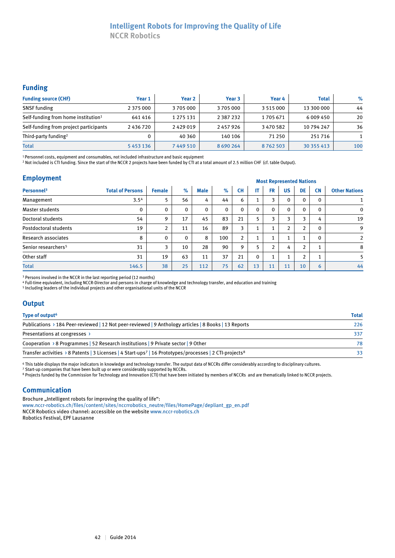#### **Intelligent Robots for Improving the Quality of Life NCCR Robotics**

#### **Funding**

| <b>Funding source (CHF)</b>                     | Year 1        | Year <sub>2</sub> | Year 3        | Year 4        | <b>Total</b> | $\%$ |
|-------------------------------------------------|---------------|-------------------|---------------|---------------|--------------|------|
| <b>SNSF</b> funding                             | 2 3 7 5 0 0 0 | 3705000           | 3705000       | 3 5 1 5 0 0 0 | 13 300 000   | 44   |
| Self-funding from home institution <sup>1</sup> | 641416        | 1 275 131         | 2 3 8 7 2 3 2 | 1705671       | 6 009 450    | 20   |
| Self-funding from project participants          | 2436720       | 2429019           | 2457926       | 3470582       | 10 794 247   | 36   |
| Third-party funding <sup>2</sup>                |               | 40 3 60           | 140 106       | 71 250        | 251716       |      |
| <b>Total</b>                                    | 5453136       | 7449510           | 8 6 9 0 2 6 4 | 8762503       | 30 355 413   | 100  |

1 Personnel costs, equipment and consumables, not included infrastructure and basic equipment

2 Not included is CTI funding. Since the start of the NCCR 2 projects have been funded by CTI at a total amount of 2.5 million CHF (cf. table Output).

### **Employment** Most Represented Nations

|                                 |                         | <b><i>INOSE INCRECISEMED INQUIRIS</i></b> |      |             |          |                |                |           |           |                |           |                      |
|---------------------------------|-------------------------|-------------------------------------------|------|-------------|----------|----------------|----------------|-----------|-----------|----------------|-----------|----------------------|
| Personnel <sup>3</sup>          | <b>Total of Persons</b> | <b>Female</b>                             | $\%$ | <b>Male</b> | $\%$     | <b>CH</b>      | ΙT             | <b>FR</b> | <b>US</b> | DE             | <b>CN</b> | <b>Other Nations</b> |
| Management                      | 3.5 <sup>4</sup>        |                                           | 56   | 4           | 44       | 6              |                | 3         | 0         | $\mathbf 0$    |           |                      |
| Master students                 | 0                       | $\mathbf{0}$                              | 0    | 0           | $\Omega$ | 0              | $\mathbf{0}$   | $\Omega$  | 0         | $\Omega$       | 0         | $\mathbf 0$          |
| Doctoral students               | 54                      | 9                                         | 17   | 45          | 83       | 21             | 5              | 3         | 3         | 3              | 4         | 19                   |
| Postdoctoral students           | 19                      | 2                                         | 11   | 16          | 89       | 3              | $\overline{ }$ |           | 2         | $\overline{2}$ | 0         | 9                    |
| Research associates             | 8                       | $\mathbf{0}$                              | 0    | 8           | 100      | $\overline{2}$ |                |           | 1         |                | 0         | $\overline{2}$       |
| Senior researchers <sup>5</sup> | 31                      | 3                                         | 10   | 28          | 90       | 9              | 5              | 2         | 4         | $\overline{2}$ |           | 8                    |
| Other staff                     | 31                      | 19                                        | 63   | 11          | 37       | 21             | $\mathbf{0}$   |           | 4         | $\overline{2}$ |           | 5                    |
| <b>Total</b>                    | 146.5                   | 38                                        | 25   | 112         | 75       | 62             | 13             | 11        | 11        | 10             | 6         | 44                   |

<sup>3</sup> Persons involved in the NCCR in the last reporting period (12 months)

4 Full-time equivalent, including NCCR-Director and persons in charge of knowledge and technology transfer, and education and training

5 Including leaders of the individual projects and other organisational units of the NCCR

#### **Output**

| Type of output <sup>6</sup>                                                                                                     | <b>Total</b> |
|---------------------------------------------------------------------------------------------------------------------------------|--------------|
| Publications > 184 Peer-reviewed   12 Not peer-reviewed   9 Anthology articles   8 Books   13 Reports                           | 226          |
| Presentations at congresses >                                                                                                   | 337          |
| Cooperation > 8 Programmes   52 Research institutions   9 Private sector   9 Other                                              | 78           |
| Transfer activities > 8 Patents   3 Licenses   4 Start-ups <sup>7</sup>   16 Prototypes/processes   2 CTI-projects <sup>8</sup> | 33           |

6 This table displays the major indicators in knowledge and technology transfer. The output data of NCCRs differ considerably according to disciplinary cultures.

7 Start-up companies that have been built up or were considerably supported by NCCRs.

<sup>8</sup> Projects funded by the Commission for Technology and Innovation (CTI) that have been initiated by members of NCCRs and are thematically linked to NCCR projects.

#### **Communication**

Brochure "Intelligent robots for improving the quality of life": www.nccr-robotics.ch/files/content/sites/nccrrobotics\_neutre/files/HomePage/depliant\_gp\_en.pdf NCCR Robotics video channel: accessible on the website www.nccr-robotics.ch

Robotics Festival, EPF Lausanne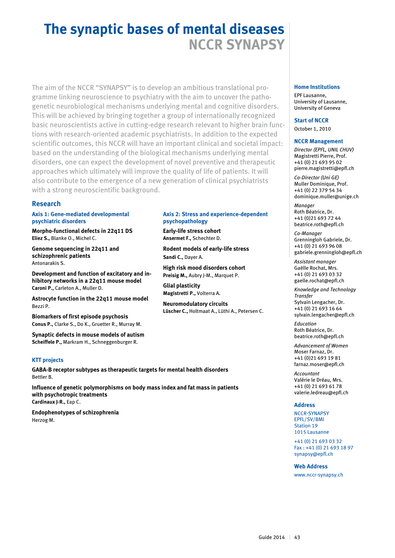# **The synaptic bases of mental diseases NCCR SYNAPSY**

The aim of the NCCR "SYNAPSY" is to develop an ambitious translational programme linking neuroscience to psychiatry with the aim to uncover the pathogenetic neurobiological mechanisms underlying mental and cognitive disorders. This will be achieved by bringing together a group of internationally recognized basic neuroscientists active in cutting-edge research relevant to higher brain functions with research-oriented academic psychiatrists. In addition to the expected scientific outcomes, this NCCR will have an important clinical and societal impact: based on the understanding of the biological mechanisms underlying mental disorders, one can expect the development of novel preventive and therapeutic approaches which ultimately will improve the quality of life of patients. It will also contribute to the emergence of a new generation of clinical psychiatrists with a strong neuroscientific background.

#### **Research**

**Axis 1: Gene-mediated developmental psychiatric disorders** 

**Morpho-functional defects in 22q11 DS Eliez S.,** Blanke O., Michel C.

**Genome sequencing in 22q11 and schizophrenic patients** Antonarakis S.

**Development and function of excitatory and inhibitory networks in a 22q11 mouse model Caroni P.,** Carleton A., Muller D.

**Astrocyte function in the 22q11 mouse model** Bezzi P.

**Biomarkers of first episode psychosis Conus P.,** Clarke S., Do K., Gruetter R., Murray M.

**Synaptic defects in mouse models of autism Scheiffele P.,** Markram H., Schneggenburger R.

#### **KTT projects**

**GABA-B receptor subtypes as therapeutic targets for mental health disorders** Bettler B.

**Influence of genetic polymorphisms on body mass index and fat mass in patients with psychotropic treatments Cardinaux J-R.,** Eap C.

**Endophenotypes of schizophrenia** Herzog M.

#### **Axis 2: Stress and experience-dependent psychopathology**

**Early-life stress cohort Ansermet F.,** Schechter D.

**Rodent models of early-life stress Sandi C.,** Dayer A.

**High risk mood disorders cohort Preisig M.,** Aubry J-M., Marquet P.

**Glial plasticity Magistretti P.,** Volterra A.

**Neuromodulatory circuits Lüscher C.,** Holtmaat A., Lüthi A., Petersen C.

#### **Home Institutions**

EPF Lausanne, University of Lausanne, University of Geneva

**Start of NCCR** October 1, 2010

#### **NCCR Management**

*Director (EPFL, UNIL CHUV)* Magistretti Pierre, Prof. +41 (0) 21 693 95 02 pierre.magistretti@epfl.ch

*Co-Director (Uni GE)* Muller Dominique, Prof. +41 (0) 22 379 54 34 dominique.muller@unige.ch

*Manager* Roth Béatrice, Dr. +41 (0)21 693 72 44 beatrice.roth@epfl.ch

*Co-Manager* Grenningloh Gabriele, Dr. +41 (0) 21 693 96 08 gabriele.grenningloh@epfl.ch

*Assistant manager* Gaëlle Rochat, Mrs. +41 (0) 21 693 03 32 gaelle.rochat@epfl.ch

*Knowledge and Technology Transfer*  Sylvain Lengacher, Dr. +41 (0) 21 693 16 64 sylvain.lengacher@epfl.ch

*Education* Roth Béatrice, Dr. beatrice.roth@epfl.ch

*Advancement of Women*  Moser Farnaz, Dr. +41 (0)21 693 19 81 farnaz.moser@epfl.ch

*Accountant* Valérie le Dréau, Mrs. +41 (0) 21 693 61 78 valerie.ledreau@epfl.ch

#### **Address**

NCCR-SYNAPSY EPFL/SV/BMI Station 19 1015 Lausanne

+41 (0) 21 693 03 32 Fax : +41 (0) 21 693 18 97 synapsy@epfl.ch

#### **Web Address**

www.nccr-synapsy.ch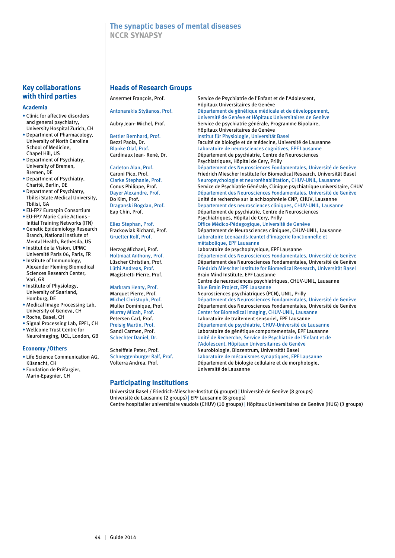### **The synaptic bases of mental diseases NCCR SYNAPSY**

#### **Key collaborations with third parties**

#### **Academia**

- Clinic for affective disorders and general psychiatry, University Hospital Zurich, CH
- Department of Pharmacology, University of North Carolina School of Medicine, Chapel Hill, US
- Department of Psychiatry, University of Bremen, Bremen, DE
- Department of Psychiatry, Charité, Berlin, DE
- Department of Psychiatry, Tbilisi State Medical University, Tbilisi, GA
- EU-FP7 Eurospin Consortium • EU-FP7 Marie Curie Actions -
- Initial Training Networks (ITN) • Genetic Epidemiology Research Branch, National Instiute of
- Mental Health, Bethesda, US • Institut de la Vision, UPMC Université Paris 06, Paris, FR
- Institute of Immunology, Alexander Fleming Biomedical Sciences Research Center, Vari, GR
- Institute of Physiology, University of Saarland, Homburg, DE
- Medical Image Processing Lab, University of Geneva, CH
- Roche, Basel, CH
- Signal Processing Lab, EPFL, CH • Wellcome Trust Centre for
- Neuroimaging, UCL, London, GB

#### **Economy /Others**

- Life Science Communication AG, Küsnacht, CH
- Fondation de Préfargier, Marin-Epagnier, CH

#### **Heads of Research Groups**

#### **Participating Institutions**

Ansermet François, Prof. Service de Psychiatrie de l'Enfant et de l'Adolescent, Hôpitaux Universitaires de Genève Antonarakis Stylianos, Prof. Département de génétique médicale et de développement, Université de Genève et Hôpitaux Universitaires de Genève Aubry Jean-Michel, Prof. Service de psychiatrie générale, Programme Bipolaire, Hôpitaux Universitaires de Genève<br>Institut für Physiologie, Universität Bettler Bernhard, Prof. **Institut für Physiologie, Universität Basel<br>Bezzi Paola. Dr. Schwarter Baculté de biologie et de médecine, Universität Basel** Bezzi Paola, Dr. Faculté de biologie et de médecine, Université de Lausanne<br>Blanke Olaf, Prof. Caboratoire de neurosciences cognitives, EPF Lausanne Blanke Olaf, Prof. (Laboratoire de neurosciences cognitives, EPF Lausanne<br>Cardinaux Jean-René, Dr. (Département de psychiatrie, Centre de Neurosciences Département de psychiatrie, Centre de Neurosciences Psychiatriques, Hôpital de Cery, Prilly Carleton Alan, Prof. Département des Neurosciences Fondamentales, Université de Genève<br>Caroni Pico. Prof. Friedrich Miescher Institute for Biomedical Research, Universität Basel Friedrich Miescher Institute for Biomedical Research, Universität Basel Clarke Stephanie, Prof. Neuropsychologie et neuroréhabilitation, CHUV-UNIL, Lausanne Service de Psychiatrie Générale, Clinique psychiatrique universitaire, CHUV Dayer Alexandre, Prof. Département des Neurosciences Fondamentales, Université de Genève<br>Do Kim, Prof. Des Christé de Fondante de recherche sur la schizophrénie CNP, CHUV, Lausanne Unité de recherche sur la schizophrénie CNP, CHUV, Lausanne Draganski Bogdan, Prof. Departement des neurosciences cliniques, CHUV-UNIL, Lausanne Eap Chin, Prof. Département de psychiatrie, Centre de Neurosciences Psychiatriques, Hôpital de Cery, Prilly Eliez Stephan, Prof. Office Médico-Pédagogique, Université de Genève Frackowiak Richard, Prof. Département de Neurosciences cliniques, CHUV-UNIL, Lausanne<br>Gruetter Rolf. Prof. Climitation by Laboratoire Leenaards-leantet d'imagerie fonctionnelle et Laboratoire Leenaards-Jeantet d'imagerie fonctionnelle et métabolique, EPF Lausanne<br>
Laboratoire de psychophysi Laboratoire de psychophysique, EPF Lausanne Holtmaat Anthony, Prof. Département des Neurosciences Fondamentales, Université de Genève Lüscher Christian, Prof. Département des Neurosciences Fondamentales, Université de Genève<br>Lüthi Andreas, Prof. Priedrich Miescher Institute for Biomedical Research, Universität Basel Lüthi Andreas, Prof. Friedrich Miescher Institute for Biomedical Research, Universität Basel Brain Mind Institute, EPF Lausanne Centre de neurosciences psychiatriques, CHUV-UNIL, Lausanne Markram Henry, Prof. Blue Brain Project, EPF Lausanne Marquet Pierre, Prof. Neurosciences psychiatriques (PCN), UNIL, Prilly<br>Michel Christoph, Prof. Département des Neurosciences Fondamentales Michel Christoph, Prof. Département des Neurosciences Fondamentales, Université de Genève<br>Muller Dominique, Prof. Département des Neurosciences Fondamentales, Université de Genève Département des Neurosciences Fondamentales, Université de Genève Murray Micah, Prof.<br>
Petersen Carl. Prof. Center for Biomedical Imaging, CHUV-UNIL, Lausanne<br>
Laboratoire de traitement sensoriel. EPF Lausanne Laboratoire de traitement sensoriel, EPF Lausanne

Preisig Martin, Prof.  $D$ épartement de psychiatrie, CHUV-Université de Lausanne<br>Sandi Carmen. Prof. (aboratoire de génétique comportementale. EPF Lausanne Laboratoire de génétique comportementale, EPF Lausanne Schechter Daniel, Dr. Unité de Recherche, Service de Psychiatrie de l'Enfant et de l'Adolescent, Hôpitaux Universitaires de Genève Scheiffele Peter, Prof. Neurobiologie, Biozentrum, Universität Basel<br>Schneggenburger Ralf, Prof. Laboratoire de mécanismes synaptiques, EPF Laboratoire de mécanismes synaptiques, EPF Lausanne Volterra Andrea, Prof. Département de biologie cellulaire et de morphologie, Université de Lausanne

Universität Basel / Friedrich-Miescher-Institut (4 groups) | Université de Genève (8 groups) Université de Lausanne (2 groups) | EPF Lausanne (8 groups) Centre hospitalier universitaire vaudois (CHUV) (10 groups) | Hôpitaux Universitaires de Genève (HUG) (3 groups)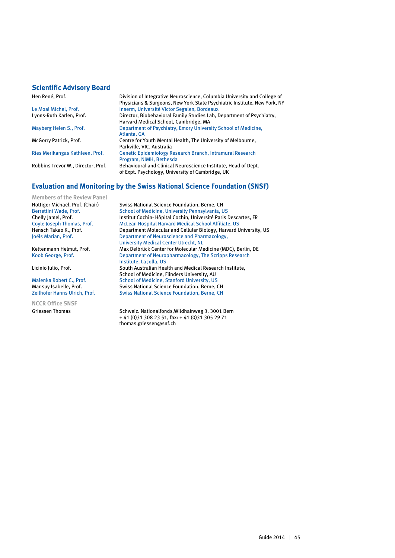#### **Scientific Advisory Board**

Hen René, Prof. Division of Integrative Neuroscience, Columbia University and College of Physicians & Surgeons, New York State Psychiatric Institute, New York, NY Le Moal Michel, Prof.<br>
Lyons-Ruth Karlen, Prof.<br>
Director, Biobehavioral Family Studies Lab, I Director, Biobehavioral Family Studies Lab, Department of Psychiatry, Harvard Medical School, Cambridge, MA<br>Department of Psychiatry, Emory Univers Department of Psychiatry, Emory University School of Medicine, Atlanta, GA<br>
McGorry Patrick, Prof. Centre for Y Centre for Youth Mental Health, The University of Melbourne, Parkville, VIC, Australia Ries Merikangas Kathleen, Prof. Genetic Epidemiology Research Branch, Intramural Research Program, NIMH, Bethesda<br>Robbins Trevor W., Director, Prof. Behavioural and Clinical N Behavioural and Clinical Neuroscience Institute, Head of Dept. of Expt. Psychology, University of Cambridge, UK

#### **Evaluation and Monitoring by the Swiss National Science Foundation (SNSF)**

**Members of the Review Panel**

**NCCR Office SNSF**

Hottiger Michael, Prof. (Chair) Swiss National Science Foundation, Berne, CH Berrettini Wade, Prof. School of Medicine, University Pennsylvania, US Chelly Jamel, Prof. Institut Cochin- Hôpital Cochin, Université Paris Descartes, FR<br>Coyle Joseph Thomas, Prof. McLean Hospital Harvard Medical School Affiliate, US McLean Hospital Harvard Medical School Affiliate, US Hensch Takao K., Prof. Department Molecular and Cellular Biology, Harvard University, US Joëls Marian, Prof. Department of Neuroscience and Pharmacology, University Medical Center Utrecht, NL<br>Kettenmann Helmut, Prof. Max Delbrück Center for Molecular Me Max Delbrück Center for Molecular Medicine (MDC), Berlin, DE Koob George, Prof. **Department of Neuropharmacology, The Scripps Research** Institute, La Jolla, US<br>South Australian Hea South Australian Health and Medical Research Institute, School of Medicine, Flinders University, AU Malenka Robert C., Prof. School of Medicine, Stanford University, US<br>Mansuy Isabelle, Prof. Swiss National Science Foundation, Berne, O Swiss National Science Foundation, Berne, CH Zeilhofer Hanns Ulrich, Prof. Swiss National Science Foundation, Berne, CH

Griessen Thomas Schweiz. Nationalfonds, Wildhainweg 3, 3001 Bern + 41 (0)31 308 23 51, fax: + 41 (0)31 305 29 71 thomas.griessen@snf.ch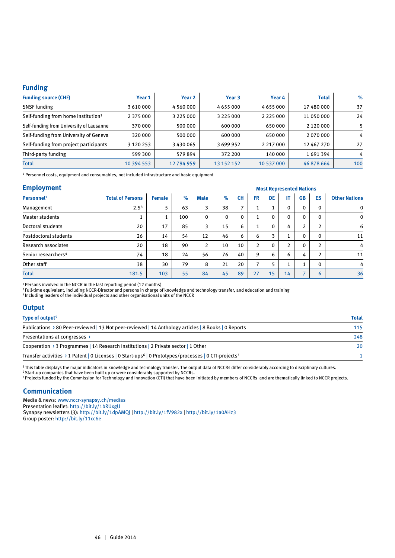#### **Funding**

| <b>Funding source (CHF)</b>                     | Year 1        | Year 2        | Year 3        | Year 4        | <b>Total</b>  | $\%$ |
|-------------------------------------------------|---------------|---------------|---------------|---------------|---------------|------|
| <b>SNSF</b> funding                             | 3 610 000     | 4 560 000     | 4 655 000     | 4655000       | 17 480 000    | 37   |
| Self-funding from home institution <sup>1</sup> | 2 375 000     | 3 2 2 5 0 0 0 | 3 2 2 5 0 0 0 | 2 2 2 5 0 0 0 | 11 050 000    | 24   |
| Self-funding from University of Lausanne        | 370 000       | 500 000       | 600 000       | 650000        | 2 1 2 0 0 0 0 |      |
| Self-funding from University of Geneva          | 320 000       | 500 000       | 600 000       | 650000        | 2070000       | 4    |
| Self-funding from project participants          | 3 1 2 0 2 5 3 | 3430065       | 3699952       | 2 2 1 7 0 0 0 | 12 467 270    | 27   |
| Third-party funding                             | 599 300       | 579894        | 372 200       | 140 000       | 1691394       | 4    |
| <b>Total</b>                                    | 10 394 553    | 12794959      | 13 152 152    | 10 537 000    | 46 878 664    | 100  |

1 Personnel costs, equipment and consumables, not included infrastructure and basic equipment

#### **Employment**

| <b>Employment</b>               |                         | <b>Most Represented Nations</b> |      |                |      |                          |                |              |                |                          |              |                      |
|---------------------------------|-------------------------|---------------------------------|------|----------------|------|--------------------------|----------------|--------------|----------------|--------------------------|--------------|----------------------|
| Personnel <sup>2</sup>          | <b>Total of Persons</b> | <b>Female</b>                   | $\%$ | <b>Male</b>    | $\%$ | <b>CH</b>                | <b>FR</b>      | DE           | IT             | <b>GB</b>                | ES           | <b>Other Nations</b> |
| Management                      | 2.5 <sup>3</sup>        | 5                               | 63   | 3              | 38   | $\overline{\phantom{a}}$ | ш              |              | 0              | $\mathbf 0$              |              | $\mathbf 0$          |
| <b>Master students</b>          | 1                       |                                 | 100  | $\mathbf 0$    | 0    | 0                        |                | $\mathbf{0}$ | 0              | $\Omega$                 | 0            | $\mathbf 0$          |
| Doctoral students               | 20                      | 17                              | 85   | 3              | 15   | 6                        |                | $\mathbf{0}$ | 4              | $\overline{2}$           | <sup>1</sup> | 6                    |
| <b>Postdoctoral students</b>    | 26                      | 14                              | 54   | 12             | 46   | 6                        | 6              | 3            | $\mathbf{1}$   | $\mathbf{0}$             | 0            | 11                   |
| Research associates             | 20                      | 18                              | 90   | $\overline{2}$ | 10   | 10                       | $\overline{2}$ | $\mathbf{0}$ | $\overline{2}$ | $\Omega$                 | <sup>1</sup> | 4                    |
| Senior researchers <sup>4</sup> | 74                      | 18                              | 24   | 56             | 76   | 40                       | 9              | 6            | 6              | 4                        | C.           | 11                   |
| Other staff                     | 38                      | 30                              | 79   | 8              | 21   | 20                       | 7              |              | 1              | $\blacktriangleleft$     | 0            | 4                    |
| <b>Total</b>                    | 181.5                   | 103                             | 55   | 84             | 45   | 89                       | 27             | 15           | 14             | $\overline{\phantom{a}}$ | 6            | 36                   |

2 Persons involved in the NCCR in the last reporting period (12 months)

3 Full-time equivalent, including NCCR-Director and persons in charge of knowledge and technology transfer, and education and training

4 Including leaders of the individual projects and other organisational units of the NCCR

#### **Output**

| Type of output <sup>5</sup>                                                                                                   | <b>Total</b> |
|-------------------------------------------------------------------------------------------------------------------------------|--------------|
| Publications $\rightarrow$ 80 Peer-reviewed   13 Not peer-reviewed   14 Anthology articles   8 Books   0 Reports              | 115          |
| Presentations at congresses >                                                                                                 | 248          |
| Cooperation > 3 Programmes   14 Research institutions   2 Private sector   1 Other                                            |              |
| Transfer activities > 1 Patent   0 Licenses   0 Start-ups <sup>6</sup>   0 Prototypes/processes   0 CTI-projects <sup>7</sup> |              |

5 This table displays the major indicators in knowledge and technology transfer. The output data of NCCRs differ considerably according to disciplinary cultures.

6 Start-up companies that have been built up or were considerably supported by NCCRs. 7 Projects funded by the Commission for Technology and Innovation (CTI) that have been initiated by members of NCCRs and are thematically linked to NCCR projects.

#### **Communication**

Media & news: www.nccr-synapsy.ch/medias Presentation leaflet: http://bit.ly/1bRUxgU Synapsy newsletters (3): http://bit.ly/1dpAMQJ | http://bit.ly/1fV982x | http://bit.ly/1a0AHz3 Group poster: http://bit.ly/11cc6e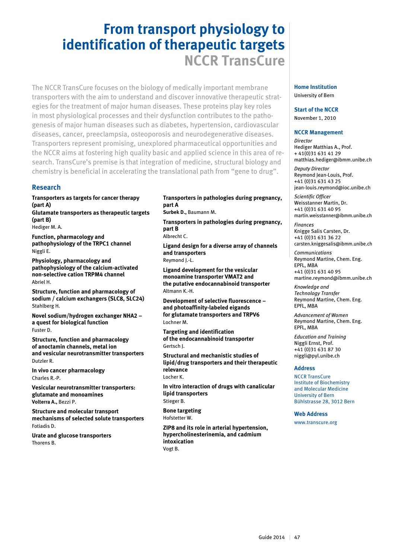## **From transport physiology to identification of therapeutic targets NCCR TransCure**

The NCCR TransCure focuses on the biology of medically important membrane transporters with the aim to understand and discover innovative therapeutic strategies for the treatment of major human diseases. These proteins play key roles in most physiological processes and their dysfunction contributes to the pathogenesis of major human diseases such as diabetes, hypertension, cardiovascular diseases, cancer, preeclampsia, osteoporosis and neurodegenerative diseases. Transporters represent promising, unexplored pharmaceutical opportunities and the NCCR aims at fostering high quality basic and applied science in this area of research. TransCure's premise is that integration of medicine, structural biology and chemistry is beneficial in accelerating the translational path from "gene to drug".

#### **Research**

**Transporters as targets for cancer therapy (part A) Glutamate transporters as therapeutic targets** 

**(part B)**  Hediger M. A.

**Function, pharmacology and pathophysiology of the TRPC1 channel** Niggli E.

**Physiology, pharmacology and pathophysiology of the calcium-activated non-selective cation TRPM4 channel** Abriel H.

**Structure, function and pharmacology of sodium / calcium exchangers (SLC8, SLC24)** Stahlberg H.

**Novel sodium/hydrogen exchanger NHA2 – a quest for biological function** Fuster D.

**Structure, function and pharmacology of anoctamin channels, metal ion and vesicular neurotransmitter transporters** Dutzler R.

**In vivo cancer pharmacology** Charles R.-P.

**Vesicular neurotransmitter transporters: glutamate and monoamines Volterra A.,** Bezzi P.

**Structure and molecular transport mechanisms of selected solute transporters** Fotiadis D.

**Urate and glucose transporters** Thorens B.

#### **Transporters in pathologies during pregnancy, part A**

**Surbek D.,** Baumann M.

**Transporters in pathologies during pregnancy, part B** Albrecht C.

**Ligand design for a diverse array of channels and transporters** Reymond J.-L.

**Ligand development for the vesicular monoamine transporter VMAT2 and the putative endocannabinoid transporter** Altmann K.-H.

**Development of selective fluorescence – and photoaffinity-labeled eigands for glutamate transporters and TRPV6** Lochner M.

**Targeting and identification of the endocannabinoid transporter** Gertsch J.

**Structural and mechanistic studies of lipid/drug transporters and their therapeutic relevance** Locher K.

**In vitro interaction of drugs with canalicular lipid transporters** Stieger B.

**Bone targeting** Hofstetter W.

**ZIP8 and its role in arterial hypertension, hypercholinesterinemia, and cadmium intoxication** Vogt B.

### **Home Institution**

University of Bern

#### **Start of the NCCR**

November 1, 2010

#### **NCCR Management**

*Director* Hediger Matthias A., Prof. + 41(0)31 631 41 29 matthias.hediger@ibmm.unibe.ch

*Deputy Director* Reymond Jean-Louis, Prof. +41 (0)31 631 43 25 jean-louis.reymond@ioc.unibe.ch

*Scientific Officer* Weisstanner Martin, Dr. +41 (0)31 631 40 95 martin.weisstanner@ibmm.unibe.ch

*Finances*  Knigge Salis Carsten, Dr. +41 (0)31 631 36 22 carsten.kniggesalis@ibmm.unibe.ch

*Communications*  Reymond Martine, Chem. Eng. EPFL, MBA +41 (0)31 631 40 95 martine.reymond@ibmm.unibe.ch

*Knowledge and Technology Transfer* Reymond Martine, Chem. Eng. EPFL, MBA

*Advancement of Women* Reymond Martine, Chem. Eng. EPFL, MBA

*Education and Training* Niggli Ernst, Prof. +41 (0)31 631 87 30 niggli@pyl.unibe.ch

#### **Address**

NCCR TransCure Institute of Biochemistry and Molecular Medicine University of Bern Bühlstrasse 28, 3012 Bern

#### **Web Address**

www.transcure.org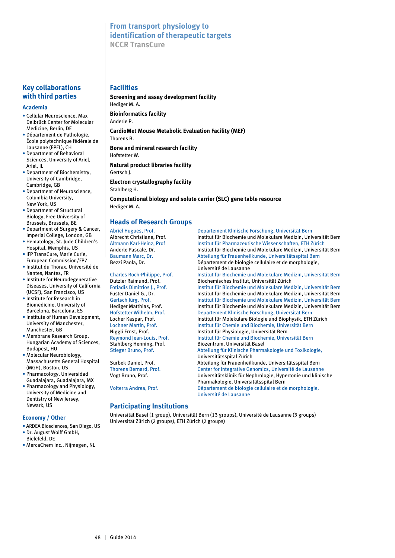### **From transport physiology to identification of therapeutic targets NCCR TransCure**

#### **Key collaborations with third parties**

#### **Academia**

- Cellular Neuroscience, Max Delbrück Center for Molecular Medicine, Berlin, DE
- Département de Pathologie, École polytechnique fédérale de Lausanne (EPFL), CH
- Department of Behavioral Sciences, University of Ariel, Ariel, IL
- Department of Biochemistry, University of Cambridge, Cambridge, GB
- Department of Neuroscience, Columbia University, New York, US
- Department of Structural Biology, Free University of Brussels, Brussels, BE
- Department of Surgery & Cancer, Imperial College, London, GB • Hematology, St. Jude Children's
- Hospital, Memphis, US • IFP TransCure, Marie Curie,
- European Commission/FP7 • Institut du Thorax, Université de
- Nantes, Nantes, FR
- Institute for Neurodegenerative Diseases, University of California (UCSF), San Francisco, US
- Institute for Research in Biomedicine, University of Barcelona, Barcelona, ES
- Institute of Human Development, University of Manchester, Manchester, GB
- Membrane Research Group, Hungarian Academy of Sciences, Budapest, HU
- Molecular Neurobiology, Massachusetts General Hospital (MGH), Boston, US
- Pharmacology, Universidad Guadalajara, Guadalajara, MX
- Pharmacology and Physiology, University of Medicine and Dentistry of New Jersey, Newark, US

#### **Economy / Other**

- ARDEA Biosciences, San Diego, US
- Dr. August Wolff GmbH, Bielefeld, DE
- MercaChem Inc., Nijmegen, NL

#### **Facilities**

**Screening and assay development facility** Hediger M. A. **Bioinformatics facility**  Anderle P. **CardioMet Mouse Metabolic Evaluation Facility (MEF)** Thorens B. **Bone and mineral research facility** Hofstetter W. **Natural product libraries facility**  Gertsch J. **Electron crystallography facility** Stahlberg H.

**Computational biology and solute carrier (SLC) gene table resource** Hediger M. A.

#### **Heads of Research Groups**

Dutzler Raimund, Prof. Biochemisches Institut, Universität Zürich

#### **Participating Institutions**

Universität Basel (1 group), Universität Bern (13 groups), Université de Lausanne (3 groups) Universität Zürich (2 groups), ETH Zürich (2 groups)

#### Abriel Hugues, Prof. Departement Klinische Forschung, Universität Bern Albrecht Christiane, Prof. Institut für Biochemie und Molekulare Medizin, Universität Bern Altmann Karl-Heinz, Prof Institut für Pharmazeutische Wissenschaften, ETH Zürich Institut für Biochemie und Molekulare Medizin, Universität Bern Baumann Marc, Dr. **Abteilung für Frauenheilkunde, Universitätsspital Bern** Baumann Marc, Dr. Bezzi Paola, Dr. Département de biologie cellulaire et de morphologie, Université de Lausanne Charles Roch-Philippe, Prof. Institut für Biochemie und Molekulare Medizin, Universität Bern Fotiadis Dimitrios J., Prof. **Institut für Biochemie und Molekulare Medizin**, Universität Bern<br>
Fuster Daniel G., Dr. **Institut für Biochemie und Molekulare Medizin**, Universität Bern Institut für Biochemie und Molekulare Medizin, Universität Bern Gertsch Jürg, Prof. Institut für Biochemie und Molekulare Medizin, Universität Bern Hediger Matthias, Prof. Institut für Biochemie und Molekulare Medizin, Universität Bern Hofstetter Wilhelm, Prof. Departement Klinische Forschung, Universität Bern Locher Kaspar, Prof. Institut für Molekulare Biologie und Biophysik, ETH Zürich Lochner Martin, Prof.<br>
Institut für Chemie und Biochemie, Universität Bern<br>
Institut für Physiologie. Universität Bern Institut für Physiologie, Universität Bern Reymond Jean-Louis, Prof. Institut für Chemie und Biochemie, Universität Bern<br>Stahlberg Henning, Prof. Biozentrum, Universität Basel Biozentrum, Universität Basel Stieger Bruno, Prof. Abteilung für Klinische Pharmakologie und Toxikologie, Universitätsspital Zürich Surbek Daniel, Prof. Abteilung für Frauenheilkunde, Universitätsspital Bern Thorens Bernard, Prof. Center for Integrative Genomics, Université de Lausanne Vogt Bruno, Prof. Universitätsklinik für Nephrologie, Hypertonie und klinische Pharmakologie, Universitätsspital Bern Volterra Andrea, Prof. Département de biologie cellulaire et de morphologie, Université de Lausanne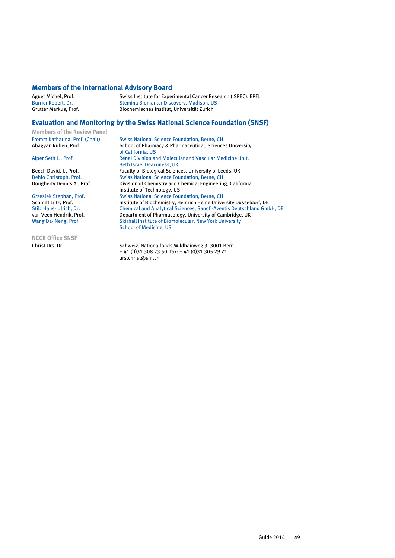#### **Members of the International Advisory Board**

Aguet Michel, Prof. Swiss Institute for Experimental Cancer Research (ISREC), EPFL<br>Burrier Robert, Dr. Stemina Biomarker Discovery, Madison, US Burrier Robert, Dr. Stemina Biomarker Discovery, Madison, US<br>Grütter Markus. Prof. Stemina Biochemisches Institut. Universität Zürich Biochemisches Institut, Universität Zürich

#### **Evaluation and Monitoring by the Swiss National Science Foundation (SNSF)**

**Members of the Review Panel**

**NCCR Office SNSF**

Fromm Katharina, Prof. (Chair) Swiss National Science Foundation, Berne, CH<br>
Abagyan Ruben, Prof. Science School of Pharmacy & Pharmaceutical, Science School of Pharmacy & Pharmaceutical, Sciences University of California, US<br>Alber Seth L., Prof. 2006 1991 - Renal Division and Professor and Professor and Professor and Professor and P Renal Division and Molecular and Vascular Medicine Unit, Example 15 and 15 Beth Israel Deaconess, UK<br>Beech David, J., Prof. The Taculty of Biological Science Beech David, J., Prof. Faculty of Biological Sciences, University of Leeds, UK<br>
Dehio Christoph, Prof. Swiss National Science Foundation, Berne, CH Dehio Christoph, Prof.<br>
Dehio Christoph, Prof.<br>
Division of Chemistry and Chemical Engineerin<br>
Division of Chemistry and Chemical Engineerin Division of Chemistry and Chemical Engineering, California Institute of Technology, US<br>Grzesiek Stephan, Prof. Swiss National Science Fou Grzesiek Stephan, Prof. Swiss National Science Foundation, Berne, CH<br>Schmitt Lutz, Prof. Schmitt University, Heinrich Heine Unive Schmitt Lutz, Prof. Institute of Biochemistry, Heinrich Heine University Düsseldorf, DE<br>Stilz Hans- Ulrich. Dr. Chemical and Analytical Sciences. Sanofi-Aventis Deutschland Gmb Stilz Hans- Ulrich, Dr. Chemical and Analytical Sciences, Sanofi-Aventis Deutschland GmbH, DE<br>
2001 Van Veen Hendrik. Prof. Department of Pharmacology. University of Cambridge. UK van Veen Hendrik, Prof. Department of Pharmacology, University of Cambridge, UK<br>Vang Da-Neng, Prof. Skirball Institute of Biomolecular, New York University Skirball Institute of Biomolecular, New York University School of Medicine, US

Christ Urs, Dr. Schweiz. Nationalfonds,Wildhainweg 3, 3001 Bern + 41 (0)31 308 23 50, fax: + 41 (0)31 305 29 71 urs.christ@snf.ch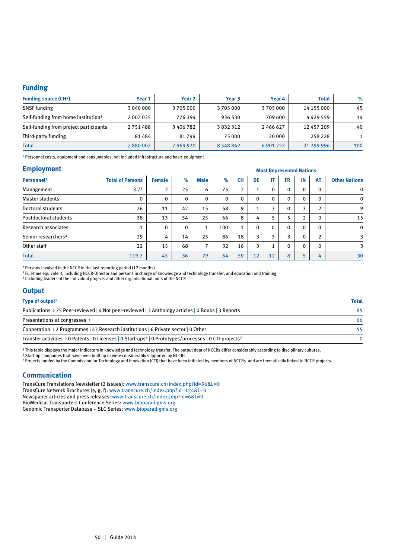#### **Funding**

| <b>Funding source (CHF)</b>                     | Year 1    | Year <sub>2</sub> | Year <sub>3</sub> | Year 4    | <b>Total</b> | $\%$ |
|-------------------------------------------------|-----------|-------------------|-------------------|-----------|--------------|------|
| <b>SNSF</b> funding                             | 3 040 000 | 3705000           | 3705000           | 3705000   | 14 155 000   | 45   |
| Self-funding from home institution <sup>1</sup> | 2 007 035 | 776 394           | 936 530           | 709 600   | 4429559      | 14   |
| Self-funding from project participants          | 2751488   | 3 406 782         | 3832312           | 2466627   | 12 457 209   | 40   |
| Third-party funding                             | 81484     | 81744             | 75 000            | 20 000    | 258 228      |      |
| <b>Total</b>                                    | 7880007   | 7969920           | 8 5 4 8 8 4 2     | 6 901 227 | 31 299 996   | 100  |

1 Personnel costs, equipment and consumables, not included infrastructure and basic equipment

#### **Employment**

| <b>Employment</b>               |                         |                |              | <b>Most Represented Nations</b> |             |                          |              |              |             |                |                |                      |
|---------------------------------|-------------------------|----------------|--------------|---------------------------------|-------------|--------------------------|--------------|--------------|-------------|----------------|----------------|----------------------|
| Personnel <sup>2</sup>          | <b>Total of Persons</b> | <b>Female</b>  | $\%$         | <b>Male</b>                     | %           | <b>CH</b>                | DE           | IT           | <b>FR</b>   | IN             | <b>AT</b>      | <b>Other Nations</b> |
| Management                      | 3.7 <sup>3</sup>        | $\overline{2}$ | 25           | 6                               | 75          | $\overline{\phantom{a}}$ |              | $\mathbf{0}$ | 0           | $\mathbf{0}$   | 0              | $\mathbf 0$          |
| Master students                 | 0                       | $\mathbf{0}$   | $\mathbf{0}$ | $\mathbf 0$                     | $\mathbf 0$ | $\mathbf{0}$             | $\mathbf{0}$ | $\mathbf{0}$ | $\mathbf 0$ | $\mathbf{0}$   | $\mathbf{0}$   | 0                    |
| Doctoral students               | 26                      | 11             | 42           | 15                              | 58          | 9                        |              | ∍            | $\mathbf 0$ | 3              | $\overline{2}$ | 9                    |
| Postdoctoral students           | 38                      | 13             | 34           | 25                              | 66          | 8                        | 4            |              | 5           | $\overline{2}$ | $\mathbf{0}$   | 15                   |
| <b>Research associates</b>      |                         | $\mathbf{0}$   | $\mathbf{0}$ | 1                               | 100         | 1                        | $\mathbf{0}$ | $\Omega$     | $\mathbf 0$ | $\mathbf{0}$   | $\Omega$       | 0                    |
| Senior researchers <sup>4</sup> | 29                      | 4              | 14           | 25                              | 86          | 18                       | 3            | ર            | 3           | $\mathbf{0}$   | $\overline{2}$ | 3                    |
| Other staff                     | 22                      | 15             | 68           | 7                               | 32          | 16                       | 3            |              | $\mathbf 0$ | $\mathbf{0}$   | $\Omega$       | 3                    |
| <b>Total</b>                    | 119.7                   | 45             | 36           | 79                              | 64          | 59                       | 12           | 12           | 8           |                | 4              | 30                   |

2 Persons involved in the NCCR in the last reporting period (12 months)

<sup>3</sup> Full-time equivalent, including NCCR-Director and persons in charge of knowledge and technology transfer, and education and training

4 Including leaders of the individual projects and other organisational units of the NCCR

#### **Output**

| Type of output <sup>5</sup>                                                                                                    | <b>Total</b> |
|--------------------------------------------------------------------------------------------------------------------------------|--------------|
| Publications > 75 Peer-reviewed   4 Not peer-reviewed   3 Anthology articles   0 Books   3 Reports                             | 85           |
| Presentations at congresses >                                                                                                  | 66           |
| Cooperation > 2 Programmes   47 Research institutions   6 Private sector   0 Other                                             | 55           |
| Transfer activities > 0 Patents   0 Licenses   0 Start-ups <sup>6</sup>   0 Prototypes/processes   0 CTI-projects <sup>7</sup> |              |

5 This table displays the major indicators in knowledge and technology transfer. The output data of NCCRs differ considerably according to disciplinary cultures.

6 Start-up companies that have been built up or were considerably supported by NCCRs.

7 Projects funded by the Commission for Technology and Innovation (CTI) that have been initiated by members of NCCRs and are thematically linked to NCCR projects.

#### **Communication**

TransCure Translations Newsletter (2 issues): www.transcure.ch/index.php?id=96&L=0 TransCure Network Brochures (e, g, f): www.transcure.ch/index.php?id=124&L=0 Newspaper articles and press releases: www.transcure.ch/index.php?id=6&L=0 BioMedical Transporters Conference Series: www.bioparadigms.org Genomic Transporter Database – SLC Series: www.bioparadigms.org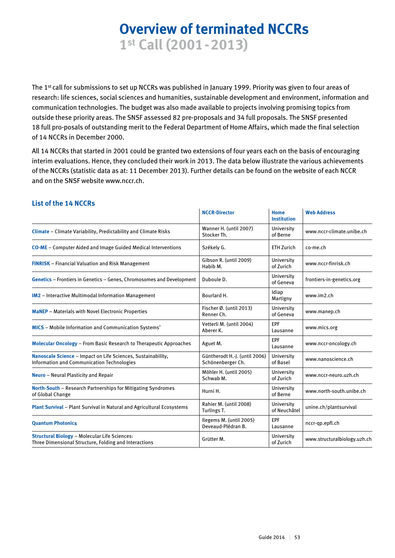# **Overview of terminated NCCRs 1st Call (2001-2013)**

The 1st call for submissions to set up NCCRs was published in January 1999. Priority was given to four areas of research: life sciences, social sciences and humanities, sustainable development and environment, information and communication technologies. The budget was also made available to projects involving promising topics from outside these priority areas. The SNSF assessed 82 pre-proposals and 34 full proposals. The SNSF presented 18 full pro-posals of outstanding merit to the Federal Department of Home Affairs, which made the final selection of 14 NCCRs in December 2000.

All 14 NCCRs that started in 2001 could be granted two extensions of four years each on the basis of encouraging interim evaluations. Hence, they concluded their work in 2013. The data below illustrate the various achievements of the NCCRs (statistic data as at: 11 December 2013). Further details can be found on the website of each NCCR and on the SNSF website www.nccr.ch.

|                                                                                                                   | <b>NCCR-Director</b>                               | Home<br><b>Institution</b> | <b>Web Address</b>           |
|-------------------------------------------------------------------------------------------------------------------|----------------------------------------------------|----------------------------|------------------------------|
| Climate - Climate Variability, Predictability and Climate Risks                                                   | Wanner H. (until 2007)<br>Stocker Th.              | University<br>of Berne     | www.nccr-climate.unibe.ch    |
| <b>CO-ME</b> – Computer Aided and Image Guided Medical Interventions                                              | Székely G.                                         | <b>ETH Zurich</b>          | co-me.ch                     |
| <b>FINRISK</b> - Financial Valuation and Risk Management                                                          | Gibson R. (until 2009)<br>Habib M.                 | University<br>of Zurich    | www.nccr-finrisk.ch          |
| Genetics - Frontiers in Genetics - Genes, Chromosomes and Development                                             | Duboule D.                                         | University<br>of Geneva    | frontiers-in-genetics.org    |
| <b>IM2</b> - Interactive Multimodal Information Management                                                        | Bourlard H.                                        | Idiap<br>Martigny          | www.im2.ch                   |
| <b>MaNEP</b> - Materials with Novel Electronic Properties                                                         | Fischer $\emptyset$ . (until 2013)<br>Renner Ch.   | University<br>of Geneva    | www.manep.ch                 |
| <b>MICS</b> - Mobile Information and Communication Systems*                                                       | Vetterli M. (until 2004)<br>Aberer K.              | <b>EPF</b><br>Lausanne     | www.mics.org                 |
| <b>Molecular Oncology - From Basic Research to Therapeutic Approaches</b>                                         | Aguet M.                                           | <b>EPF</b><br>Lausanne     | www.nccr-oncology.ch         |
| Nanoscale Science - Impact on Life Sciences, Sustainability,<br><b>Information and Communication Technologies</b> | Güntherodt H.-J. (until 2006)<br>Schönenberger Ch. | University<br>of Basel     | www.nanoscience.ch           |
| <b>Neuro</b> - Neural Plasticity and Repair                                                                       | Möhler H. (until 2005)<br>Schwab M.                | University<br>of Zurich    | www.nccr-neuro.uzh.ch        |
| North-South - Research Partnerships for Mitigating Syndromes<br>of Global Change                                  | Hurni H.                                           | University<br>of Berne     | www.north-south.unibe.ch     |
| Plant Survival - Plant Survival in Natural and Agricultural Ecosystems                                            | Rahier M. (until 2008)<br>Turlings T.              | University<br>of Neuchâtel | unine.ch/plantsurvival       |
| <b>Quantum Photonics</b>                                                                                          | Ilegems M. (until 2005)<br>Deveaud-Plédran B.      | <b>EPF</b><br>Lausanne     | nccr-qp.epfl.ch              |
| <b>Structural Biology - Molecular Life Sciences:</b><br>Three Dimensional Structure, Folding and Interactions     | Grütter M.                                         | University<br>of Zurich    | www.structuralbiology.uzh.ch |
|                                                                                                                   |                                                    |                            |                              |

#### **List of the 14 NCCRs**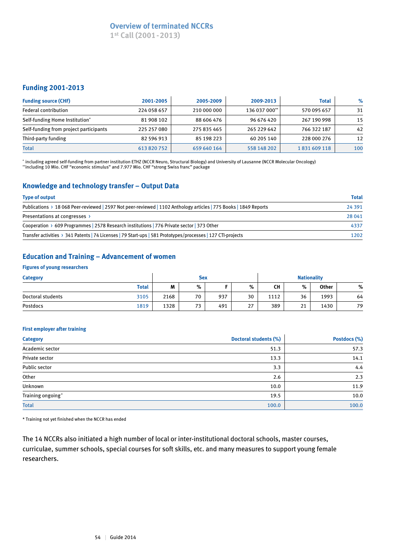### **Overview of terminated NCCRs**

**1st Call (2001-2013)**

#### **Funding 2001-2013**

| <b>Funding source (CHF)</b>            | 2001-2005   | 2005-2009   | 2009-2013     | <b>Total</b> | $\%$ |
|----------------------------------------|-------------|-------------|---------------|--------------|------|
| Federal contribution                   | 224 058 657 | 210 000 000 | 136 037 000** | 570 095 657  | 31   |
| Self-funding Home Institution*         | 81 908 102  | 88 606 476  | 96 676 420    | 267 190 998  | 15   |
| Self-funding from project participants | 225 257 080 | 275 835 465 | 265 229 642   | 766 322 187  | 42   |
| Third-party funding                    | 82 596 913  | 85 198 223  | 60 205 140    | 228 000 276  | 12   |
| <b>Total</b>                           | 613 820 752 | 659 640 164 | 558 148 202   | 1831609118   | 100  |

\* including agreed self-funding from partner institution ETHZ (NCCR Neuro, Structural Biology) and University of Lausanne (NCCR Molecular Oncology) \*\*including 10 Mio. CHF "economic stimulus" and 7.977 Mio. CHF "strong Swiss franc" package

#### **Knowledge and technology transfer – Output Data**

| <b>Type of output</b>                                                                                             | <b>Total</b> |
|-------------------------------------------------------------------------------------------------------------------|--------------|
| Publications > 18 068 Peer-reviewed   2597 Not peer-reviewed   1102 Anthology articles   775 Books   1849 Reports | 24 3 9 1     |
| Presentations at congresses >                                                                                     | 28 041       |
| Cooperation > 609 Programmes   2578 Research institutions   776 Private sector   373 Other                        | 4337         |
| Transfer activities > 341 Patents   74 Licenses   79 Start-ups   581 Prototypes/processes   127 CTI-projects      | 1202         |

#### **Education and Training – Advancement of women**

#### **Figures of young researchers**

| <b>Category</b>   |              |      | <b>Sex</b> |     |    |      |    | <b>Nationality</b> |    |
|-------------------|--------------|------|------------|-----|----|------|----|--------------------|----|
|                   | <b>Total</b> | M    | %          |     | %  | CН   | %  | <b>Other</b>       | %  |
| Doctoral students | 3105         | 2168 | 70         | 937 | 30 | 1112 | 36 | 1993               | 64 |
| Postdocs          | 1819         | 1328 | 73         | 491 | 27 | 389  | 21 | 1430               | 79 |

#### **First employer after training**

| <b>Category</b>   | Doctoral students (%) | Postdocs (%) |
|-------------------|-----------------------|--------------|
| Academic sector   | 51.3                  | 57.3         |
| Private sector    | 13.3                  | 14.1         |
| Public sector     | 3.3                   | 4.4          |
| Other             | 2.6                   | 2.3          |
| Unknown           | 10.0                  | 11.9         |
| Training ongoing* | 19.5                  | 10.0         |
| <b>Total</b>      | 100.0                 | 100.0        |

\* Training not yet finished when the NCCR has ended

The 14 NCCRs also initiated a high number of local or inter-institutional doctoral schools, master courses, curriculae, summer schools, special courses for soft skills, etc. and many measures to support young female researchers.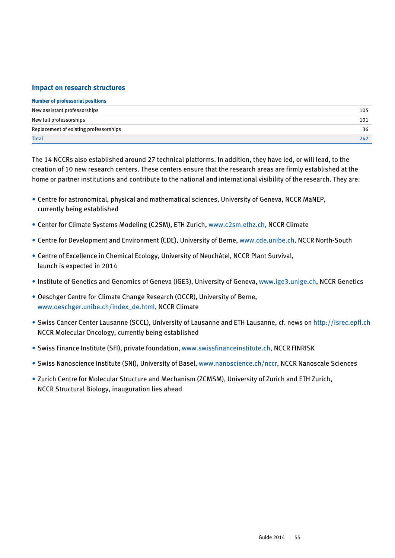#### **Impact on research structures**

| <b>Number of professorial positions</b> |     |
|-----------------------------------------|-----|
| New assistant professorships            | 105 |
| New full professorships                 | 101 |
| Replacement of existing professorships  | 36  |
| <b>Total</b>                            | 242 |

The 14 NCCRs also established around 27 technical platforms. In addition, they have led, or will lead, to the creation of 10 new research centers. These centers ensure that the research areas are firmly established at the home or partner institutions and contribute to the national and international visibility of the research. They are:

- Centre for astronomical, physical and mathematical sciences, University of Geneva, NCCR MaNEP, currently being established
- Center for Climate Systems Modeling (C2SM), ETH Zurich, www.c2sm.ethz.ch, NCCR Climate
- Centre for Development and Environment (CDE), University of Berne, www.cde.unibe.ch, NCCR North-South
- Centre of Excellence in Chemical Ecology, University of Neuchâtel, NCCR Plant Survival, launch is expected in 2014
- Institute of Genetics and Genomics of Geneva (iGE3), University of Geneva, www.ige3.unige.ch, NCCR Genetics
- Oeschger Centre for Climate Change Research (OCCR), University of Berne, www.oeschger.unibe.ch/index\_de.html, NCCR Climate
- Swiss Cancer Center Lausanne (SCCL), University of Lausanne and ETH Lausanne, cf. news on http://isrec.epfl.ch NCCR Molecular Oncology, currently being established
- Swiss Finance Institute (SFI), private foundation, www.swissfinanceinstitute.ch, NCCR FINRISK
- Swiss Nanoscience Institute (SNI), University of Basel, www.nanoscience.ch/nccr, NCCR Nanoscale Sciences
- Zurich Centre for Molecular Structure and Mechanism (ZCMSM), University of Zurich and ETH Zurich, NCCR Structural Biology, inauguration lies ahead